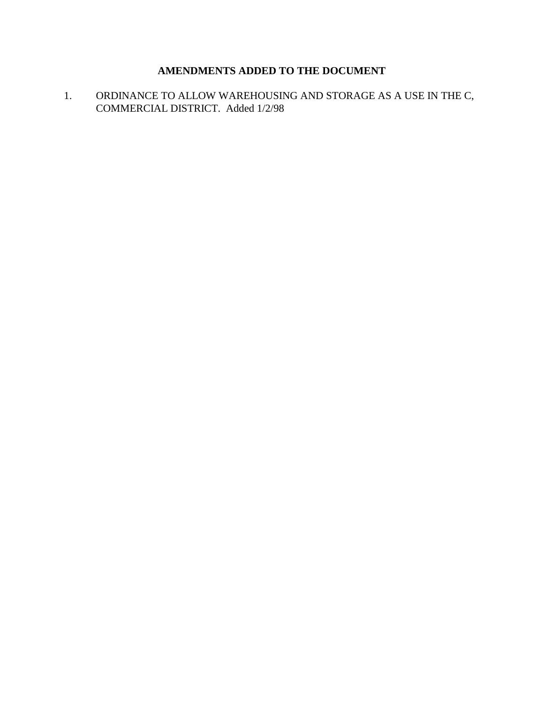# **AMENDMENTS ADDED TO THE DOCUMENT**

1. ORDINANCE TO ALLOW WAREHOUSING AND STORAGE AS A USE IN THE C, COMMERCIAL DISTRICT. Added 1/2/98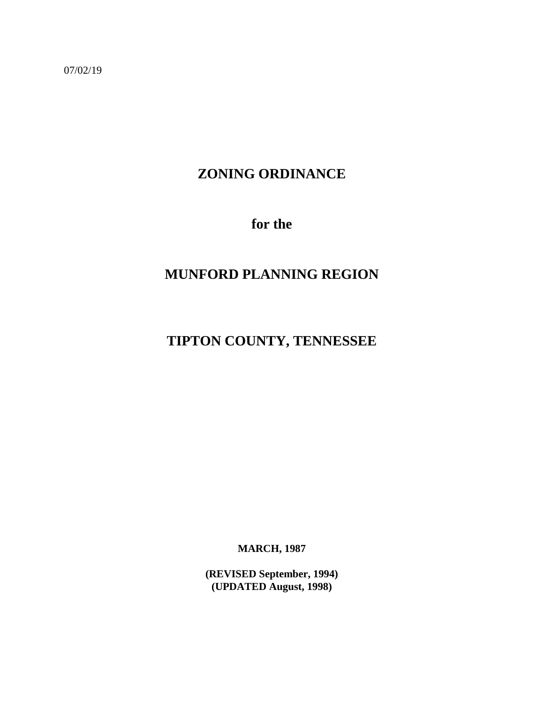07/02/19

# **ZONING ORDINANCE**

**for the**

# **MUNFORD PLANNING REGION**

# **TIPTON COUNTY, TENNESSEE**

**MARCH, 1987**

**(REVISED September, 1994) (UPDATED August, 1998)**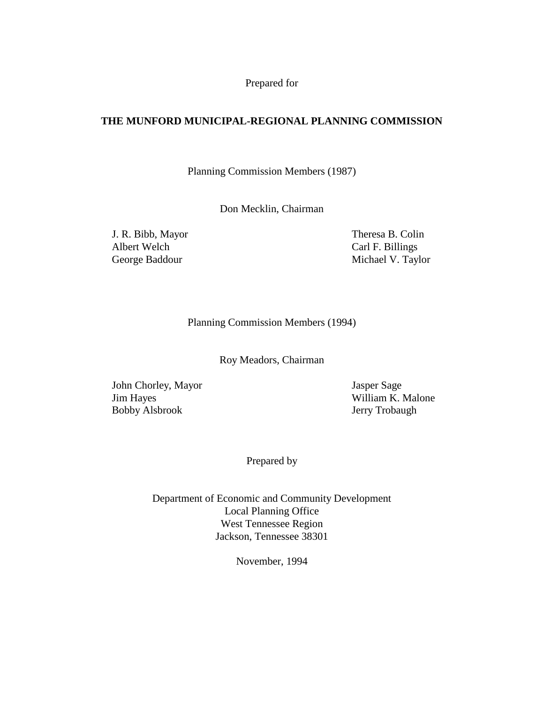Prepared for

# **THE MUNFORD MUNICIPAL-REGIONAL PLANNING COMMISSION**

Planning Commission Members (1987)

Don Mecklin, Chairman

Albert Welch Carl F. Billings

J. R. Bibb, Mayor Theresa B. Colin George Baddour Michael V. Taylor

Planning Commission Members (1994)

Roy Meadors, Chairman

John Chorley, Mayor Jasper Sage Jim Hayes William K. Malone Bobby Alsbrook Jerry Trobaugh

Prepared by

Department of Economic and Community Development Local Planning Office West Tennessee Region Jackson, Tennessee 38301

November, 1994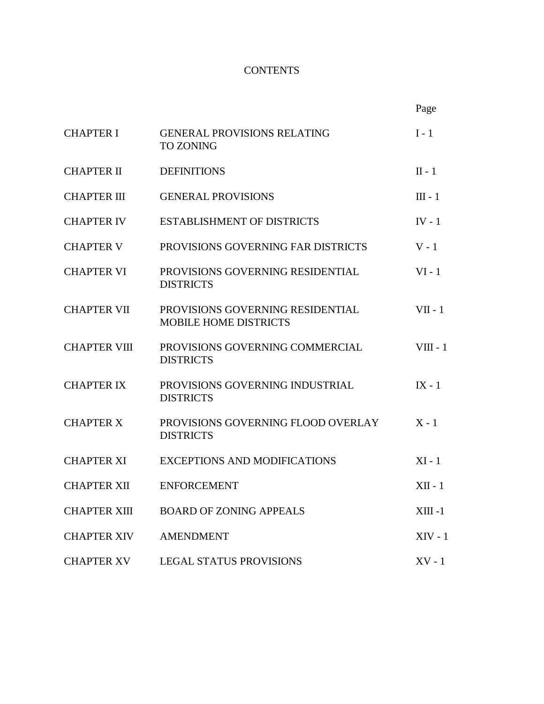# **CONTENTS**

|                     |                                                                  | Page       |
|---------------------|------------------------------------------------------------------|------------|
| <b>CHAPTER I</b>    | <b>GENERAL PROVISIONS RELATING</b><br><b>TO ZONING</b>           | $I - 1$    |
| <b>CHAPTER II</b>   | <b>DEFINITIONS</b>                                               | $II - 1$   |
| <b>CHAPTER III</b>  | <b>GENERAL PROVISIONS</b>                                        | $III - 1$  |
| <b>CHAPTER IV</b>   | <b>ESTABLISHMENT OF DISTRICTS</b>                                | $IV - 1$   |
| <b>CHAPTER V</b>    | PROVISIONS GOVERNING FAR DISTRICTS                               | $V - 1$    |
| <b>CHAPTER VI</b>   | PROVISIONS GOVERNING RESIDENTIAL<br><b>DISTRICTS</b>             | $VI - 1$   |
| <b>CHAPTER VII</b>  | PROVISIONS GOVERNING RESIDENTIAL<br><b>MOBILE HOME DISTRICTS</b> | $VII - 1$  |
| <b>CHAPTER VIII</b> | PROVISIONS GOVERNING COMMERCIAL<br><b>DISTRICTS</b>              | $VIII - 1$ |
| <b>CHAPTER IX</b>   | PROVISIONS GOVERNING INDUSTRIAL<br><b>DISTRICTS</b>              | $IX - 1$   |
| <b>CHAPTER X</b>    | PROVISIONS GOVERNING FLOOD OVERLAY<br><b>DISTRICTS</b>           | $X - 1$    |
| <b>CHAPTER XI</b>   | <b>EXCEPTIONS AND MODIFICATIONS</b>                              | $XI - 1$   |
| <b>CHAPTER XII</b>  | <b>ENFORCEMENT</b>                                               | $XII - 1$  |
| <b>CHAPTER XIII</b> | <b>BOARD OF ZONING APPEALS</b>                                   | $XIII -1$  |
| <b>CHAPTER XIV</b>  | <b>AMENDMENT</b>                                                 | $XIV - 1$  |
| <b>CHAPTER XV</b>   | <b>LEGAL STATUS PROVISIONS</b>                                   | $XV - 1$   |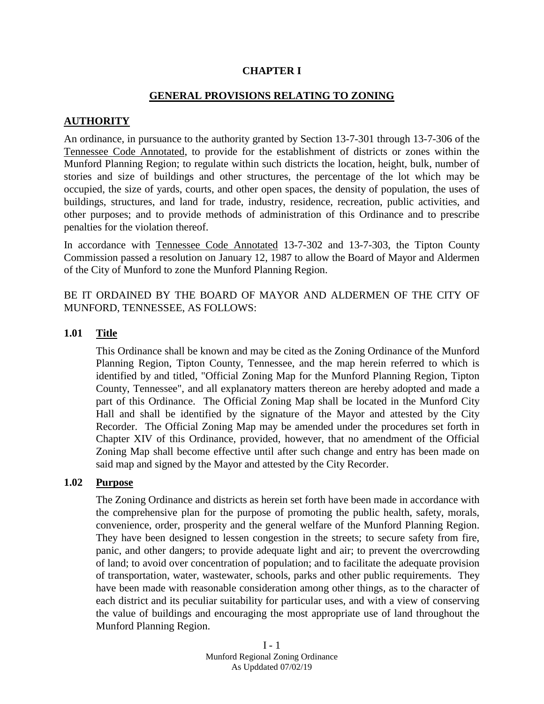### **CHAPTER I**

### **GENERAL PROVISIONS RELATING TO ZONING**

### **AUTHORITY**

An ordinance, in pursuance to the authority granted by Section 13-7-301 through 13-7-306 of the Tennessee Code Annotated, to provide for the establishment of districts or zones within the Munford Planning Region; to regulate within such districts the location, height, bulk, number of stories and size of buildings and other structures, the percentage of the lot which may be occupied, the size of yards, courts, and other open spaces, the density of population, the uses of buildings, structures, and land for trade, industry, residence, recreation, public activities, and other purposes; and to provide methods of administration of this Ordinance and to prescribe penalties for the violation thereof.

In accordance with Tennessee Code Annotated 13-7-302 and 13-7-303, the Tipton County Commission passed a resolution on January 12, 1987 to allow the Board of Mayor and Aldermen of the City of Munford to zone the Munford Planning Region.

BE IT ORDAINED BY THE BOARD OF MAYOR AND ALDERMEN OF THE CITY OF MUNFORD, TENNESSEE, AS FOLLOWS:

#### **1.01 Title**

This Ordinance shall be known and may be cited as the Zoning Ordinance of the Munford Planning Region, Tipton County, Tennessee, and the map herein referred to which is identified by and titled, "Official Zoning Map for the Munford Planning Region, Tipton County, Tennessee", and all explanatory matters thereon are hereby adopted and made a part of this Ordinance. The Official Zoning Map shall be located in the Munford City Hall and shall be identified by the signature of the Mayor and attested by the City Recorder. The Official Zoning Map may be amended under the procedures set forth in Chapter XIV of this Ordinance, provided, however, that no amendment of the Official Zoning Map shall become effective until after such change and entry has been made on said map and signed by the Mayor and attested by the City Recorder.

### **1.02 Purpose**

The Zoning Ordinance and districts as herein set forth have been made in accordance with the comprehensive plan for the purpose of promoting the public health, safety, morals, convenience, order, prosperity and the general welfare of the Munford Planning Region. They have been designed to lessen congestion in the streets; to secure safety from fire, panic, and other dangers; to provide adequate light and air; to prevent the overcrowding of land; to avoid over concentration of population; and to facilitate the adequate provision of transportation, water, wastewater, schools, parks and other public requirements. They have been made with reasonable consideration among other things, as to the character of each district and its peculiar suitability for particular uses, and with a view of conserving the value of buildings and encouraging the most appropriate use of land throughout the Munford Planning Region.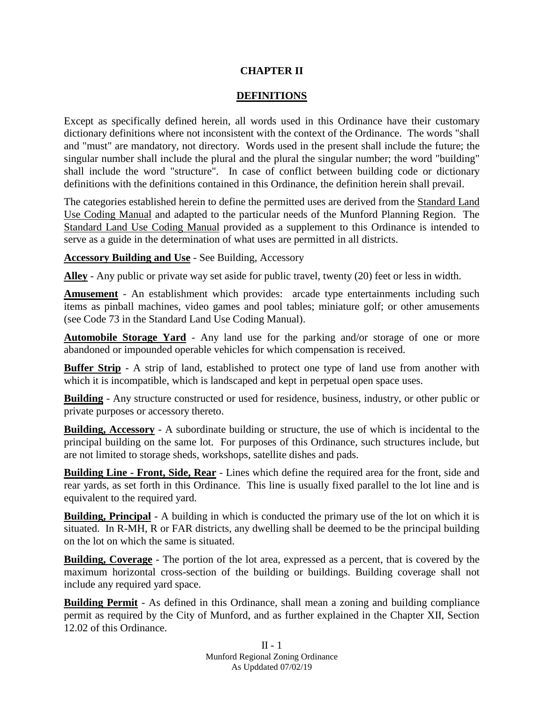# **CHAPTER II**

# **DEFINITIONS**

Except as specifically defined herein, all words used in this Ordinance have their customary dictionary definitions where not inconsistent with the context of the Ordinance. The words "shall and "must" are mandatory, not directory. Words used in the present shall include the future; the singular number shall include the plural and the plural the singular number; the word "building" shall include the word "structure". In case of conflict between building code or dictionary definitions with the definitions contained in this Ordinance, the definition herein shall prevail.

The categories established herein to define the permitted uses are derived from the Standard Land Use Coding Manual and adapted to the particular needs of the Munford Planning Region. The Standard Land Use Coding Manual provided as a supplement to this Ordinance is intended to serve as a guide in the determination of what uses are permitted in all districts.

**Accessory Building and Use** - See Building, Accessory

**Alley** - Any public or private way set aside for public travel, twenty (20) feet or less in width.

**Amusement** - An establishment which provides: arcade type entertainments including such items as pinball machines, video games and pool tables; miniature golf; or other amusements (see Code 73 in the Standard Land Use Coding Manual).

**Automobile Storage Yard** - Any land use for the parking and/or storage of one or more abandoned or impounded operable vehicles for which compensation is received.

**Buffer Strip** - A strip of land, established to protect one type of land use from another with which it is incompatible, which is landscaped and kept in perpetual open space uses.

**Building** - Any structure constructed or used for residence, business, industry, or other public or private purposes or accessory thereto.

**Building, Accessory** - A subordinate building or structure, the use of which is incidental to the principal building on the same lot. For purposes of this Ordinance, such structures include, but are not limited to storage sheds, workshops, satellite dishes and pads.

**Building Line - Front, Side, Rear** - Lines which define the required area for the front, side and rear yards, as set forth in this Ordinance. This line is usually fixed parallel to the lot line and is equivalent to the required yard.

**Building, Principal** - A building in which is conducted the primary use of the lot on which it is situated. In R-MH, R or FAR districts, any dwelling shall be deemed to be the principal building on the lot on which the same is situated.

**Building, Coverage** - The portion of the lot area, expressed as a percent, that is covered by the maximum horizontal cross-section of the building or buildings. Building coverage shall not include any required yard space.

**Building Permit** - As defined in this Ordinance, shall mean a zoning and building compliance permit as required by the City of Munford, and as further explained in the Chapter XII, Section 12.02 of this Ordinance.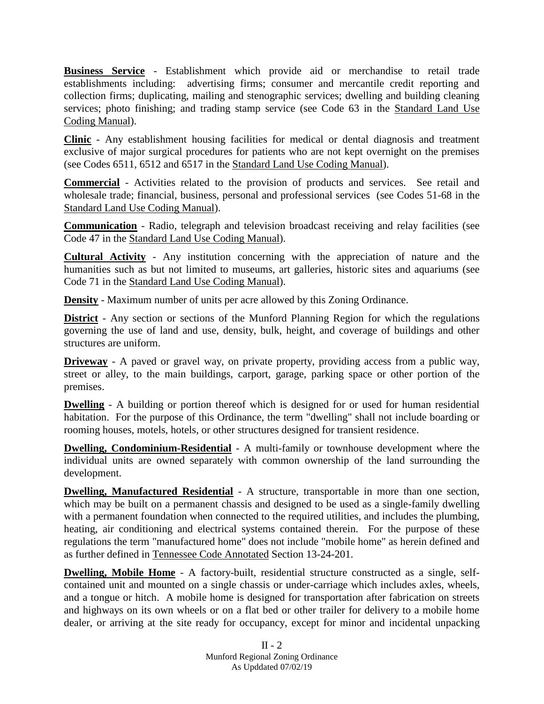**Business Service** - Establishment which provide aid or merchandise to retail trade establishments including: advertising firms; consumer and mercantile credit reporting and collection firms; duplicating, mailing and stenographic services; dwelling and building cleaning services; photo finishing; and trading stamp service (see Code 63 in the Standard Land Use Coding Manual).

**Clinic** - Any establishment housing facilities for medical or dental diagnosis and treatment exclusive of major surgical procedures for patients who are not kept overnight on the premises (see Codes 6511, 6512 and 6517 in the Standard Land Use Coding Manual).

**Commercial** - Activities related to the provision of products and services. See retail and wholesale trade; financial, business, personal and professional services (see Codes 51-68 in the Standard Land Use Coding Manual).

**Communication** - Radio, telegraph and television broadcast receiving and relay facilities (see Code 47 in the Standard Land Use Coding Manual).

**Cultural Activity** - Any institution concerning with the appreciation of nature and the humanities such as but not limited to museums, art galleries, historic sites and aquariums (see Code 71 in the Standard Land Use Coding Manual).

**Density** - Maximum number of units per acre allowed by this Zoning Ordinance.

**District** - Any section or sections of the Munford Planning Region for which the regulations governing the use of land and use, density, bulk, height, and coverage of buildings and other structures are uniform.

**Driveway** - A paved or gravel way, on private property, providing access from a public way, street or alley, to the main buildings, carport, garage, parking space or other portion of the premises.

**Dwelling** - A building or portion thereof which is designed for or used for human residential habitation. For the purpose of this Ordinance, the term "dwelling" shall not include boarding or rooming houses, motels, hotels, or other structures designed for transient residence.

**Dwelling, Condominium-Residential** - A multi-family or townhouse development where the individual units are owned separately with common ownership of the land surrounding the development.

**Dwelling, Manufactured Residential** - A structure, transportable in more than one section, which may be built on a permanent chassis and designed to be used as a single-family dwelling with a permanent foundation when connected to the required utilities, and includes the plumbing, heating, air conditioning and electrical systems contained therein. For the purpose of these regulations the term "manufactured home" does not include "mobile home" as herein defined and as further defined in Tennessee Code Annotated Section 13-24-201.

**Dwelling, Mobile Home** - A factory-built, residential structure constructed as a single, selfcontained unit and mounted on a single chassis or under-carriage which includes axles, wheels, and a tongue or hitch. A mobile home is designed for transportation after fabrication on streets and highways on its own wheels or on a flat bed or other trailer for delivery to a mobile home dealer, or arriving at the site ready for occupancy, except for minor and incidental unpacking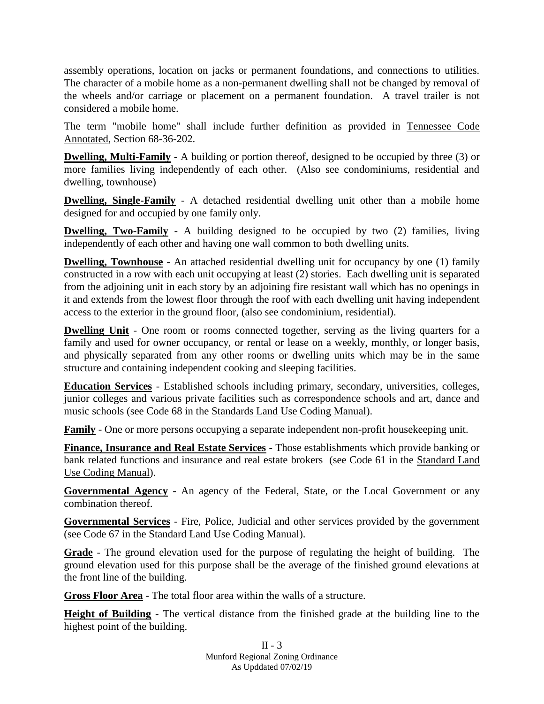assembly operations, location on jacks or permanent foundations, and connections to utilities. The character of a mobile home as a non-permanent dwelling shall not be changed by removal of the wheels and/or carriage or placement on a permanent foundation. A travel trailer is not considered a mobile home.

The term "mobile home" shall include further definition as provided in Tennessee Code Annotated, Section 68-36-202.

**Dwelling, Multi-Family** - A building or portion thereof, designed to be occupied by three (3) or more families living independently of each other. (Also see condominiums, residential and dwelling, townhouse)

**Dwelling, Single-Family** - A detached residential dwelling unit other than a mobile home designed for and occupied by one family only.

**Dwelling, Two-Family** - A building designed to be occupied by two (2) families, living independently of each other and having one wall common to both dwelling units.

**Dwelling, Townhouse** - An attached residential dwelling unit for occupancy by one (1) family constructed in a row with each unit occupying at least (2) stories. Each dwelling unit is separated from the adjoining unit in each story by an adjoining fire resistant wall which has no openings in it and extends from the lowest floor through the roof with each dwelling unit having independent access to the exterior in the ground floor, (also see condominium, residential).

**Dwelling Unit** - One room or rooms connected together, serving as the living quarters for a family and used for owner occupancy, or rental or lease on a weekly, monthly, or longer basis, and physically separated from any other rooms or dwelling units which may be in the same structure and containing independent cooking and sleeping facilities.

**Education Services** - Established schools including primary, secondary, universities, colleges, junior colleges and various private facilities such as correspondence schools and art, dance and music schools (see Code 68 in the Standards Land Use Coding Manual).

**Family** - One or more persons occupying a separate independent non-profit house keeping unit.

**Finance, Insurance and Real Estate Services** - Those establishments which provide banking or bank related functions and insurance and real estate brokers (see Code 61 in the Standard Land Use Coding Manual).

**Governmental Agency** - An agency of the Federal, State, or the Local Government or any combination thereof.

**Governmental Services** - Fire, Police, Judicial and other services provided by the government (see Code 67 in the Standard Land Use Coding Manual).

**Grade** - The ground elevation used for the purpose of regulating the height of building. The ground elevation used for this purpose shall be the average of the finished ground elevations at the front line of the building.

**Gross Floor Area** - The total floor area within the walls of a structure.

**Height of Building** - The vertical distance from the finished grade at the building line to the highest point of the building.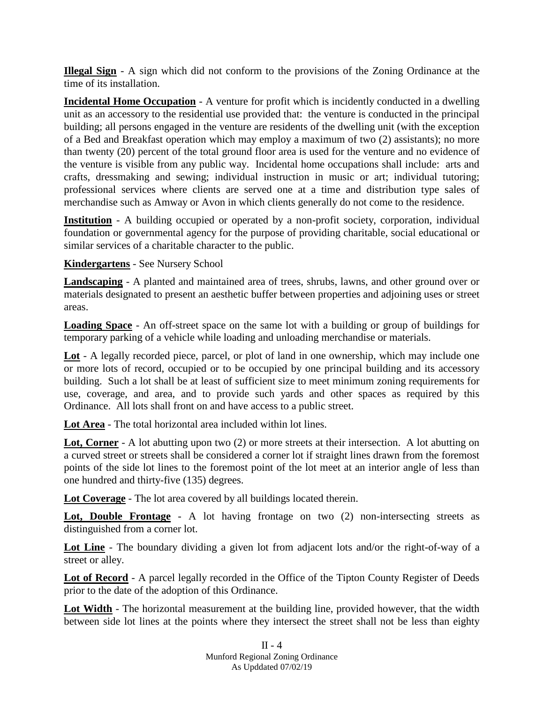**Illegal Sign** - A sign which did not conform to the provisions of the Zoning Ordinance at the time of its installation.

**Incidental Home Occupation** - A venture for profit which is incidently conducted in a dwelling unit as an accessory to the residential use provided that: the venture is conducted in the principal building; all persons engaged in the venture are residents of the dwelling unit (with the exception of a Bed and Breakfast operation which may employ a maximum of two (2) assistants); no more than twenty (20) percent of the total ground floor area is used for the venture and no evidence of the venture is visible from any public way. Incidental home occupations shall include: arts and crafts, dressmaking and sewing; individual instruction in music or art; individual tutoring; professional services where clients are served one at a time and distribution type sales of merchandise such as Amway or Avon in which clients generally do not come to the residence.

**Institution** - A building occupied or operated by a non-profit society, corporation, individual foundation or governmental agency for the purpose of providing charitable, social educational or similar services of a charitable character to the public.

**Kindergartens** - See Nursery School

**Landscaping** - A planted and maintained area of trees, shrubs, lawns, and other ground over or materials designated to present an aesthetic buffer between properties and adjoining uses or street areas.

**Loading Space** - An off-street space on the same lot with a building or group of buildings for temporary parking of a vehicle while loading and unloading merchandise or materials.

**Lot** - A legally recorded piece, parcel, or plot of land in one ownership, which may include one or more lots of record, occupied or to be occupied by one principal building and its accessory building. Such a lot shall be at least of sufficient size to meet minimum zoning requirements for use, coverage, and area, and to provide such yards and other spaces as required by this Ordinance. All lots shall front on and have access to a public street.

**Lot Area** - The total horizontal area included within lot lines.

**Lot, Corner** - A lot abutting upon two (2) or more streets at their intersection. A lot abutting on a curved street or streets shall be considered a corner lot if straight lines drawn from the foremost points of the side lot lines to the foremost point of the lot meet at an interior angle of less than one hundred and thirty-five (135) degrees.

**Lot Coverage** - The lot area covered by all buildings located therein.

**Lot, Double Frontage** - A lot having frontage on two (2) non-intersecting streets as distinguished from a corner lot.

**Lot Line** - The boundary dividing a given lot from adjacent lots and/or the right-of-way of a street or alley.

**Lot of Record** - A parcel legally recorded in the Office of the Tipton County Register of Deeds prior to the date of the adoption of this Ordinance.

**Lot Width** - The horizontal measurement at the building line, provided however, that the width between side lot lines at the points where they intersect the street shall not be less than eighty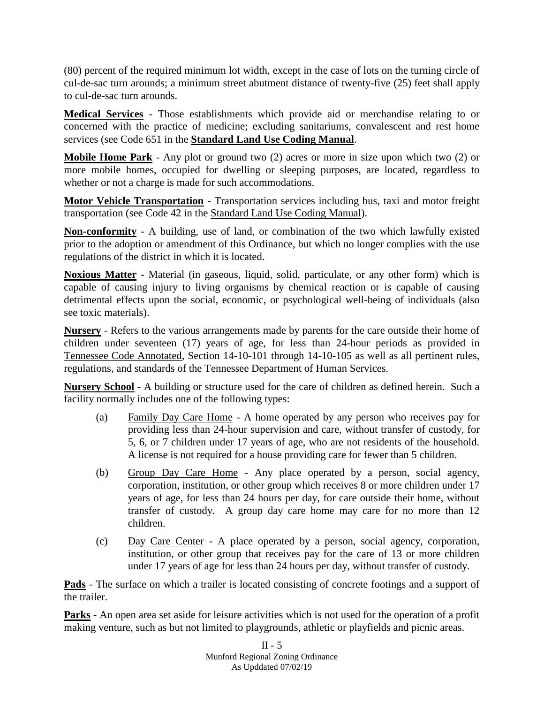(80) percent of the required minimum lot width, except in the case of lots on the turning circle of cul-de-sac turn arounds; a minimum street abutment distance of twenty-five (25) feet shall apply to cul-de-sac turn arounds.

**Medical Services** - Those establishments which provide aid or merchandise relating to or concerned with the practice of medicine; excluding sanitariums, convalescent and rest home services (see Code 651 in the **Standard Land Use Coding Manual**.

**Mobile Home Park** - Any plot or ground two (2) acres or more in size upon which two (2) or more mobile homes, occupied for dwelling or sleeping purposes, are located, regardless to whether or not a charge is made for such accommodations.

**Motor Vehicle Transportation** - Transportation services including bus, taxi and motor freight transportation (see Code 42 in the Standard Land Use Coding Manual).

**Non-conformity** - A building, use of land, or combination of the two which lawfully existed prior to the adoption or amendment of this Ordinance, but which no longer complies with the use regulations of the district in which it is located.

**Noxious Matter** - Material (in gaseous, liquid, solid, particulate, or any other form) which is capable of causing injury to living organisms by chemical reaction or is capable of causing detrimental effects upon the social, economic, or psychological well-being of individuals (also see toxic materials).

**Nursery** - Refers to the various arrangements made by parents for the care outside their home of children under seventeen (17) years of age, for less than 24-hour periods as provided in Tennessee Code Annotated, Section 14-10-101 through 14-10-105 as well as all pertinent rules, regulations, and standards of the Tennessee Department of Human Services.

**Nursery School** - A building or structure used for the care of children as defined herein. Such a facility normally includes one of the following types:

- (a) Family Day Care Home A home operated by any person who receives pay for providing less than 24-hour supervision and care, without transfer of custody, for 5, 6, or 7 children under 17 years of age, who are not residents of the household. A license is not required for a house providing care for fewer than 5 children.
- (b) Group Day Care Home Any place operated by a person, social agency, corporation, institution, or other group which receives 8 or more children under 17 years of age, for less than 24 hours per day, for care outside their home, without transfer of custody. A group day care home may care for no more than 12 children.
- (c) Day Care Center A place operated by a person, social agency, corporation, institution, or other group that receives pay for the care of 13 or more children under 17 years of age for less than 24 hours per day, without transfer of custody.

**Pads** - The surface on which a trailer is located consisting of concrete footings and a support of the trailer.

**Parks** - An open area set aside for leisure activities which is not used for the operation of a profit making venture, such as but not limited to playgrounds, athletic or playfields and picnic areas.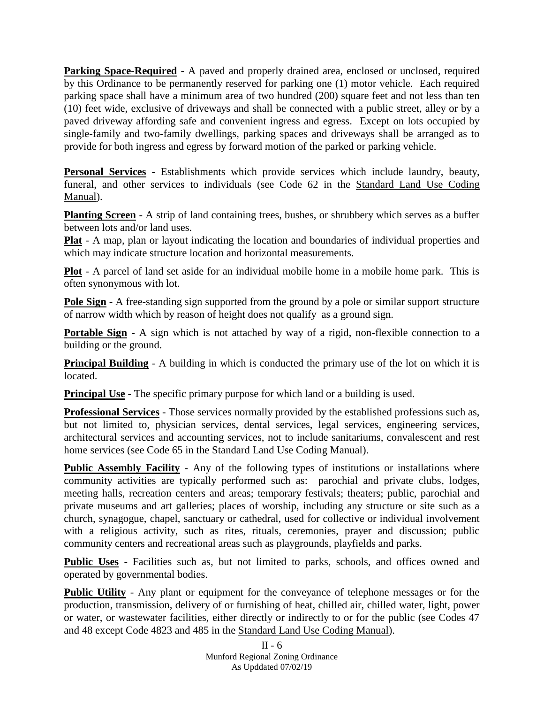**Parking Space-Required** - A paved and properly drained area, enclosed or unclosed, required by this Ordinance to be permanently reserved for parking one (1) motor vehicle. Each required parking space shall have a minimum area of two hundred (200) square feet and not less than ten (10) feet wide, exclusive of driveways and shall be connected with a public street, alley or by a paved driveway affording safe and convenient ingress and egress. Except on lots occupied by single-family and two-family dwellings, parking spaces and driveways shall be arranged as to provide for both ingress and egress by forward motion of the parked or parking vehicle.

**Personal Services** - Establishments which provide services which include laundry, beauty, funeral, and other services to individuals (see Code 62 in the Standard Land Use Coding Manual).

**Planting Screen** - A strip of land containing trees, bushes, or shrubbery which serves as a buffer between lots and/or land uses.

**Plat** - A map, plan or layout indicating the location and boundaries of individual properties and which may indicate structure location and horizontal measurements.

**Plot** - A parcel of land set aside for an individual mobile home in a mobile home park. This is often synonymous with lot.

**Pole Sign** - A free-standing sign supported from the ground by a pole or similar support structure of narrow width which by reason of height does not qualify as a ground sign.

**Portable Sign** - A sign which is not attached by way of a rigid, non-flexible connection to a building or the ground.

**Principal Building** - A building in which is conducted the primary use of the lot on which it is located.

**Principal Use** - The specific primary purpose for which land or a building is used.

**Professional Services** - Those services normally provided by the established professions such as, but not limited to, physician services, dental services, legal services, engineering services, architectural services and accounting services, not to include sanitariums, convalescent and rest home services (see Code 65 in the Standard Land Use Coding Manual).

**Public Assembly Facility** - Any of the following types of institutions or installations where community activities are typically performed such as: parochial and private clubs, lodges, meeting halls, recreation centers and areas; temporary festivals; theaters; public, parochial and private museums and art galleries; places of worship, including any structure or site such as a church, synagogue, chapel, sanctuary or cathedral, used for collective or individual involvement with a religious activity, such as rites, rituals, ceremonies, prayer and discussion; public community centers and recreational areas such as playgrounds, playfields and parks.

**Public Uses** - Facilities such as, but not limited to parks, schools, and offices owned and operated by governmental bodies.

**Public Utility** - Any plant or equipment for the conveyance of telephone messages or for the production, transmission, delivery of or furnishing of heat, chilled air, chilled water, light, power or water, or wastewater facilities, either directly or indirectly to or for the public (see Codes 47 and 48 except Code 4823 and 485 in the Standard Land Use Coding Manual).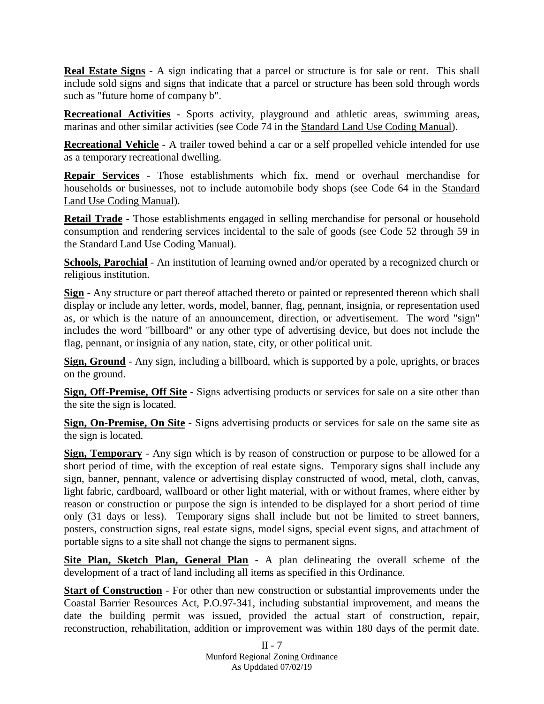**Real Estate Signs** - A sign indicating that a parcel or structure is for sale or rent. This shall include sold signs and signs that indicate that a parcel or structure has been sold through words such as "future home of company b".

**Recreational Activities** - Sports activity, playground and athletic areas, swimming areas, marinas and other similar activities (see Code 74 in the Standard Land Use Coding Manual).

**Recreational Vehicle** - A trailer towed behind a car or a self propelled vehicle intended for use as a temporary recreational dwelling.

**Repair Services** - Those establishments which fix, mend or overhaul merchandise for households or businesses, not to include automobile body shops (see Code 64 in the Standard Land Use Coding Manual).

**Retail Trade** - Those establishments engaged in selling merchandise for personal or household consumption and rendering services incidental to the sale of goods (see Code 52 through 59 in the Standard Land Use Coding Manual).

**Schools, Parochial** - An institution of learning owned and/or operated by a recognized church or religious institution.

**Sign** - Any structure or part thereof attached thereto or painted or represented thereon which shall display or include any letter, words, model, banner, flag, pennant, insignia, or representation used as, or which is the nature of an announcement, direction, or advertisement. The word "sign" includes the word "billboard" or any other type of advertising device, but does not include the flag, pennant, or insignia of any nation, state, city, or other political unit.

**Sign, Ground** - Any sign, including a billboard, which is supported by a pole, uprights, or braces on the ground.

**Sign, Off-Premise, Off Site** - Signs advertising products or services for sale on a site other than the site the sign is located.

**Sign, On-Premise, On Site** - Signs advertising products or services for sale on the same site as the sign is located.

**Sign, Temporary** - Any sign which is by reason of construction or purpose to be allowed for a short period of time, with the exception of real estate signs. Temporary signs shall include any sign, banner, pennant, valence or advertising display constructed of wood, metal, cloth, canvas, light fabric, cardboard, wallboard or other light material, with or without frames, where either by reason or construction or purpose the sign is intended to be displayed for a short period of time only (31 days or less). Temporary signs shall include but not be limited to street banners, posters, construction signs, real estate signs, model signs, special event signs, and attachment of portable signs to a site shall not change the signs to permanent signs.

**Site Plan, Sketch Plan, General Plan** - A plan delineating the overall scheme of the development of a tract of land including all items as specified in this Ordinance.

**Start of Construction** - For other than new construction or substantial improvements under the Coastal Barrier Resources Act, P.O.97-341, including substantial improvement, and means the date the building permit was issued, provided the actual start of construction, repair, reconstruction, rehabilitation, addition or improvement was within 180 days of the permit date.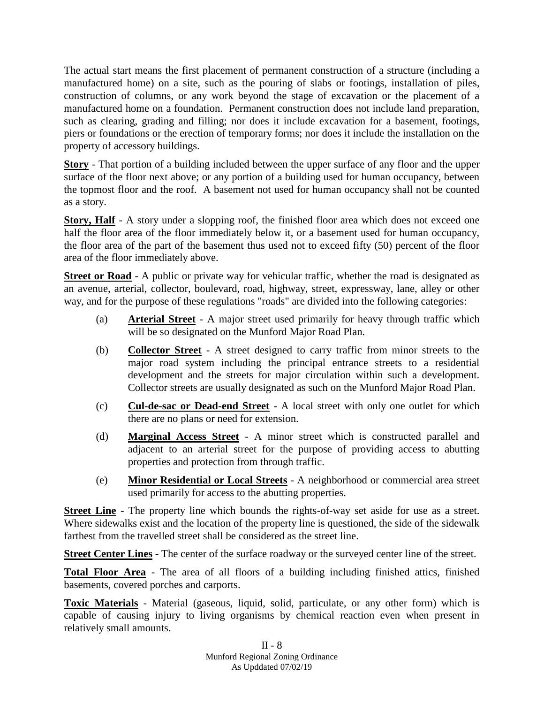The actual start means the first placement of permanent construction of a structure (including a manufactured home) on a site, such as the pouring of slabs or footings, installation of piles, construction of columns, or any work beyond the stage of excavation or the placement of a manufactured home on a foundation. Permanent construction does not include land preparation, such as clearing, grading and filling; nor does it include excavation for a basement, footings, piers or foundations or the erection of temporary forms; nor does it include the installation on the property of accessory buildings.

**Story** - That portion of a building included between the upper surface of any floor and the upper surface of the floor next above; or any portion of a building used for human occupancy, between the topmost floor and the roof. A basement not used for human occupancy shall not be counted as a story.

**Story, Half** - A story under a slopping roof, the finished floor area which does not exceed one half the floor area of the floor immediately below it, or a basement used for human occupancy, the floor area of the part of the basement thus used not to exceed fifty (50) percent of the floor area of the floor immediately above.

**Street or Road** - A public or private way for vehicular traffic, whether the road is designated as an avenue, arterial, collector, boulevard, road, highway, street, expressway, lane, alley or other way, and for the purpose of these regulations "roads" are divided into the following categories:

- (a) **Arterial Street** A major street used primarily for heavy through traffic which will be so designated on the Munford Major Road Plan.
- (b) **Collector Street** A street designed to carry traffic from minor streets to the major road system including the principal entrance streets to a residential development and the streets for major circulation within such a development. Collector streets are usually designated as such on the Munford Major Road Plan.
- (c) **Cul-de-sac or Dead-end Street** A local street with only one outlet for which there are no plans or need for extension.
- (d) **Marginal Access Street** A minor street which is constructed parallel and adjacent to an arterial street for the purpose of providing access to abutting properties and protection from through traffic.
- (e) **Minor Residential or Local Streets** A neighborhood or commercial area street used primarily for access to the abutting properties.

**Street Line** - The property line which bounds the rights-of-way set aside for use as a street. Where sidewalks exist and the location of the property line is questioned, the side of the sidewalk farthest from the travelled street shall be considered as the street line.

**Street Center Lines** - The center of the surface roadway or the surveyed center line of the street.

**Total Floor Area** - The area of all floors of a building including finished attics, finished basements, covered porches and carports.

**Toxic Materials** - Material (gaseous, liquid, solid, particulate, or any other form) which is capable of causing injury to living organisms by chemical reaction even when present in relatively small amounts.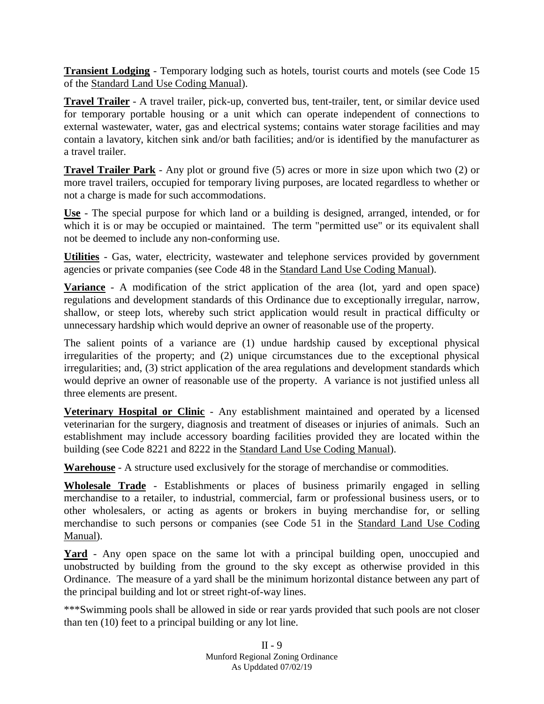**Transient Lodging** - Temporary lodging such as hotels, tourist courts and motels (see Code 15 of the Standard Land Use Coding Manual).

**Travel Trailer** - A travel trailer, pick-up, converted bus, tent-trailer, tent, or similar device used for temporary portable housing or a unit which can operate independent of connections to external wastewater, water, gas and electrical systems; contains water storage facilities and may contain a lavatory, kitchen sink and/or bath facilities; and/or is identified by the manufacturer as a travel trailer.

**Travel Trailer Park** - Any plot or ground five (5) acres or more in size upon which two (2) or more travel trailers, occupied for temporary living purposes, are located regardless to whether or not a charge is made for such accommodations.

**Use** - The special purpose for which land or a building is designed, arranged, intended, or for which it is or may be occupied or maintained. The term "permitted use" or its equivalent shall not be deemed to include any non-conforming use.

**Utilities** - Gas, water, electricity, wastewater and telephone services provided by government agencies or private companies (see Code 48 in the Standard Land Use Coding Manual).

**Variance** - A modification of the strict application of the area (lot, yard and open space) regulations and development standards of this Ordinance due to exceptionally irregular, narrow, shallow, or steep lots, whereby such strict application would result in practical difficulty or unnecessary hardship which would deprive an owner of reasonable use of the property.

The salient points of a variance are (1) undue hardship caused by exceptional physical irregularities of the property; and (2) unique circumstances due to the exceptional physical irregularities; and, (3) strict application of the area regulations and development standards which would deprive an owner of reasonable use of the property. A variance is not justified unless all three elements are present.

**Veterinary Hospital or Clinic** - Any establishment maintained and operated by a licensed veterinarian for the surgery, diagnosis and treatment of diseases or injuries of animals. Such an establishment may include accessory boarding facilities provided they are located within the building (see Code 8221 and 8222 in the Standard Land Use Coding Manual).

**Warehouse** - A structure used exclusively for the storage of merchandise or commodities.

**Wholesale Trade** - Establishments or places of business primarily engaged in selling merchandise to a retailer, to industrial, commercial, farm or professional business users, or to other wholesalers, or acting as agents or brokers in buying merchandise for, or selling merchandise to such persons or companies (see Code 51 in the Standard Land Use Coding Manual).

Yard - Any open space on the same lot with a principal building open, unoccupied and unobstructed by building from the ground to the sky except as otherwise provided in this Ordinance. The measure of a yard shall be the minimum horizontal distance between any part of the principal building and lot or street right-of-way lines.

\*\*\*Swimming pools shall be allowed in side or rear yards provided that such pools are not closer than ten (10) feet to a principal building or any lot line.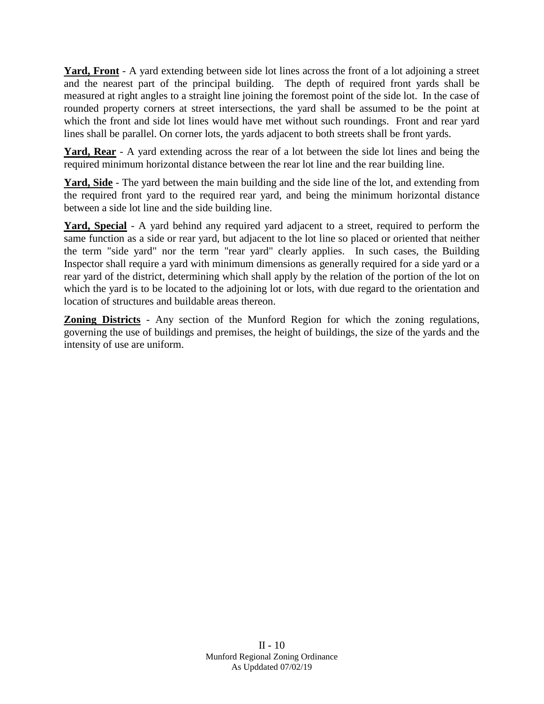**Yard, Front** - A yard extending between side lot lines across the front of a lot adjoining a street and the nearest part of the principal building. The depth of required front yards shall be measured at right angles to a straight line joining the foremost point of the side lot. In the case of rounded property corners at street intersections, the yard shall be assumed to be the point at which the front and side lot lines would have met without such roundings. Front and rear yard lines shall be parallel. On corner lots, the yards adjacent to both streets shall be front yards.

**Yard, Rear** - A yard extending across the rear of a lot between the side lot lines and being the required minimum horizontal distance between the rear lot line and the rear building line.

**Yard, Side** - The yard between the main building and the side line of the lot, and extending from the required front yard to the required rear yard, and being the minimum horizontal distance between a side lot line and the side building line.

**Yard, Special** - A yard behind any required yard adjacent to a street, required to perform the same function as a side or rear yard, but adjacent to the lot line so placed or oriented that neither the term "side yard" nor the term "rear yard" clearly applies. In such cases, the Building Inspector shall require a yard with minimum dimensions as generally required for a side yard or a rear yard of the district, determining which shall apply by the relation of the portion of the lot on which the yard is to be located to the adjoining lot or lots, with due regard to the orientation and location of structures and buildable areas thereon.

**Zoning Districts** - Any section of the Munford Region for which the zoning regulations, governing the use of buildings and premises, the height of buildings, the size of the yards and the intensity of use are uniform.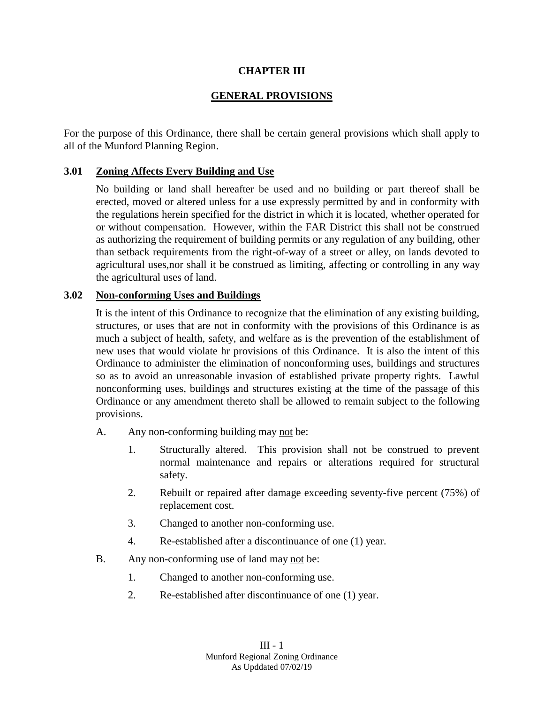### **CHAPTER III**

# **GENERAL PROVISIONS**

For the purpose of this Ordinance, there shall be certain general provisions which shall apply to all of the Munford Planning Region.

### **3.01 Zoning Affects Every Building and Use**

No building or land shall hereafter be used and no building or part thereof shall be erected, moved or altered unless for a use expressly permitted by and in conformity with the regulations herein specified for the district in which it is located, whether operated for or without compensation. However, within the FAR District this shall not be construed as authorizing the requirement of building permits or any regulation of any building, other than setback requirements from the right-of-way of a street or alley, on lands devoted to agricultural uses,nor shall it be construed as limiting, affecting or controlling in any way the agricultural uses of land.

### **3.02 Non-conforming Uses and Buildings**

It is the intent of this Ordinance to recognize that the elimination of any existing building, structures, or uses that are not in conformity with the provisions of this Ordinance is as much a subject of health, safety, and welfare as is the prevention of the establishment of new uses that would violate hr provisions of this Ordinance. It is also the intent of this Ordinance to administer the elimination of nonconforming uses, buildings and structures so as to avoid an unreasonable invasion of established private property rights. Lawful nonconforming uses, buildings and structures existing at the time of the passage of this Ordinance or any amendment thereto shall be allowed to remain subject to the following provisions.

A. Any non-conforming building may not be:

- 1. Structurally altered. This provision shall not be construed to prevent normal maintenance and repairs or alterations required for structural safety.
- 2. Rebuilt or repaired after damage exceeding seventy-five percent (75%) of replacement cost.
- 3. Changed to another non-conforming use.
- 4. Re-established after a discontinuance of one (1) year.
- B. Any non-conforming use of land may not be:
	- 1. Changed to another non-conforming use.
	- 2. Re-established after discontinuance of one (1) year.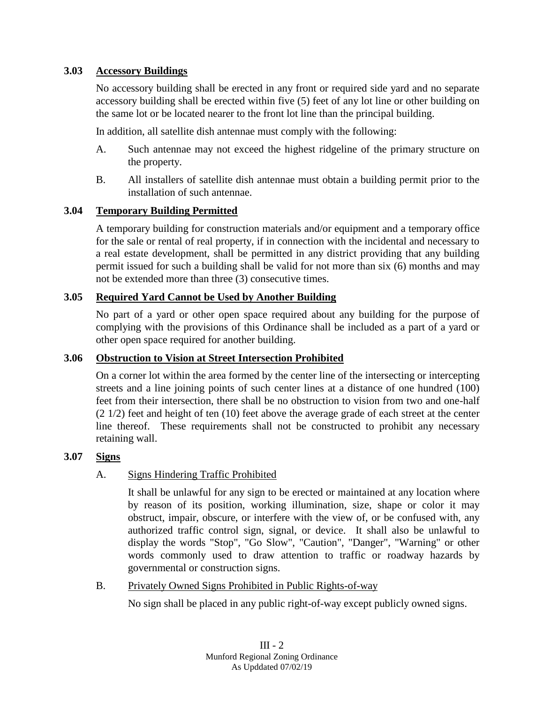# **3.03 Accessory Buildings**

No accessory building shall be erected in any front or required side yard and no separate accessory building shall be erected within five (5) feet of any lot line or other building on the same lot or be located nearer to the front lot line than the principal building.

In addition, all satellite dish antennae must comply with the following:

- A. Such antennae may not exceed the highest ridgeline of the primary structure on the property.
- B. All installers of satellite dish antennae must obtain a building permit prior to the installation of such antennae.

# **3.04 Temporary Building Permitted**

A temporary building for construction materials and/or equipment and a temporary office for the sale or rental of real property, if in connection with the incidental and necessary to a real estate development, shall be permitted in any district providing that any building permit issued for such a building shall be valid for not more than six (6) months and may not be extended more than three (3) consecutive times.

# **3.05 Required Yard Cannot be Used by Another Building**

No part of a yard or other open space required about any building for the purpose of complying with the provisions of this Ordinance shall be included as a part of a yard or other open space required for another building.

# **3.06 Obstruction to Vision at Street Intersection Prohibited**

On a corner lot within the area formed by the center line of the intersecting or intercepting streets and a line joining points of such center lines at a distance of one hundred (100) feet from their intersection, there shall be no obstruction to vision from two and one-half  $(2\ 1/2)$  feet and height of ten  $(10)$  feet above the average grade of each street at the center line thereof. These requirements shall not be constructed to prohibit any necessary retaining wall.

# **3.07 Signs**

# A. Signs Hindering Traffic Prohibited

It shall be unlawful for any sign to be erected or maintained at any location where by reason of its position, working illumination, size, shape or color it may obstruct, impair, obscure, or interfere with the view of, or be confused with, any authorized traffic control sign, signal, or device. It shall also be unlawful to display the words "Stop", "Go Slow", "Caution", "Danger", "Warning" or other words commonly used to draw attention to traffic or roadway hazards by governmental or construction signs.

# B. Privately Owned Signs Prohibited in Public Rights-of-way

No sign shall be placed in any public right-of-way except publicly owned signs.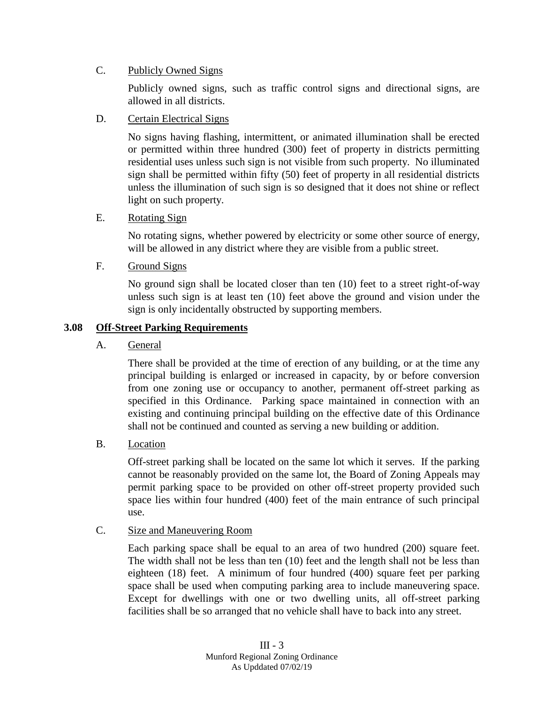# C. Publicly Owned Signs

Publicly owned signs, such as traffic control signs and directional signs, are allowed in all districts.

### D. Certain Electrical Signs

No signs having flashing, intermittent, or animated illumination shall be erected or permitted within three hundred (300) feet of property in districts permitting residential uses unless such sign is not visible from such property. No illuminated sign shall be permitted within fifty (50) feet of property in all residential districts unless the illumination of such sign is so designed that it does not shine or reflect light on such property.

### E. Rotating Sign

No rotating signs, whether powered by electricity or some other source of energy, will be allowed in any district where they are visible from a public street.

### F. Ground Signs

No ground sign shall be located closer than ten (10) feet to a street right-of-way unless such sign is at least ten (10) feet above the ground and vision under the sign is only incidentally obstructed by supporting members.

### **3.08 Off-Street Parking Requirements**

A. General

There shall be provided at the time of erection of any building, or at the time any principal building is enlarged or increased in capacity, by or before conversion from one zoning use or occupancy to another, permanent off-street parking as specified in this Ordinance. Parking space maintained in connection with an existing and continuing principal building on the effective date of this Ordinance shall not be continued and counted as serving a new building or addition.

B. Location

Off-street parking shall be located on the same lot which it serves. If the parking cannot be reasonably provided on the same lot, the Board of Zoning Appeals may permit parking space to be provided on other off-street property provided such space lies within four hundred (400) feet of the main entrance of such principal use.

### C. Size and Maneuvering Room

Each parking space shall be equal to an area of two hundred (200) square feet. The width shall not be less than ten (10) feet and the length shall not be less than eighteen (18) feet. A minimum of four hundred (400) square feet per parking space shall be used when computing parking area to include maneuvering space. Except for dwellings with one or two dwelling units, all off-street parking facilities shall be so arranged that no vehicle shall have to back into any street.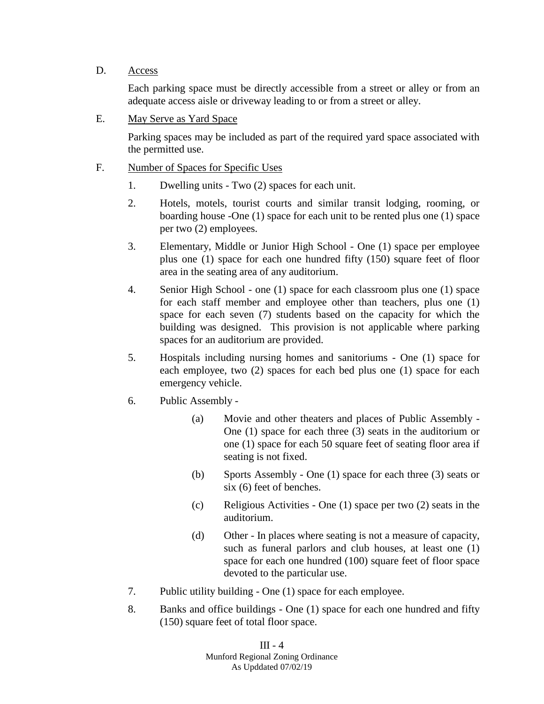### D. Access

Each parking space must be directly accessible from a street or alley or from an adequate access aisle or driveway leading to or from a street or alley.

E. May Serve as Yard Space

Parking spaces may be included as part of the required yard space associated with the permitted use.

- F. Number of Spaces for Specific Uses
	- 1. Dwelling units Two (2) spaces for each unit.
	- 2. Hotels, motels, tourist courts and similar transit lodging, rooming, or boarding house -One (1) space for each unit to be rented plus one (1) space per two (2) employees.
	- 3. Elementary, Middle or Junior High School One (1) space per employee plus one (1) space for each one hundred fifty (150) square feet of floor area in the seating area of any auditorium.
	- 4. Senior High School one (1) space for each classroom plus one (1) space for each staff member and employee other than teachers, plus one (1) space for each seven (7) students based on the capacity for which the building was designed. This provision is not applicable where parking spaces for an auditorium are provided.
	- 5. Hospitals including nursing homes and sanitoriums One (1) space for each employee, two (2) spaces for each bed plus one (1) space for each emergency vehicle.
	- 6. Public Assembly
		- (a) Movie and other theaters and places of Public Assembly One (1) space for each three (3) seats in the auditorium or one (1) space for each 50 square feet of seating floor area if seating is not fixed.
		- (b) Sports Assembly One (1) space for each three (3) seats or six (6) feet of benches.
		- (c) Religious Activities One (1) space per two (2) seats in the auditorium.
		- (d) Other In places where seating is not a measure of capacity, such as funeral parlors and club houses, at least one (1) space for each one hundred (100) square feet of floor space devoted to the particular use.
	- 7. Public utility building One (1) space for each employee.
	- 8. Banks and office buildings One (1) space for each one hundred and fifty (150) square feet of total floor space.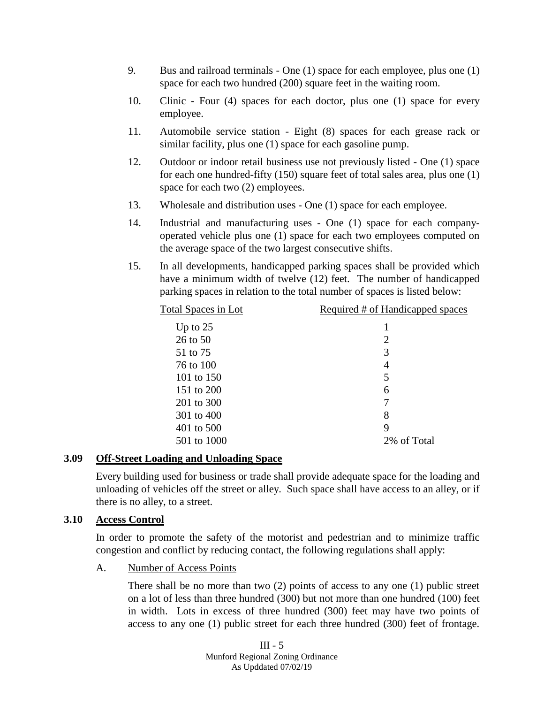- 9. Bus and railroad terminals One (1) space for each employee, plus one (1) space for each two hundred (200) square feet in the waiting room.
- 10. Clinic Four (4) spaces for each doctor, plus one (1) space for every employee.
- 11. Automobile service station Eight (8) spaces for each grease rack or similar facility, plus one (1) space for each gasoline pump.
- 12. Outdoor or indoor retail business use not previously listed One (1) space for each one hundred-fifty (150) square feet of total sales area, plus one (1) space for each two (2) employees.
- 13. Wholesale and distribution uses One (1) space for each employee.
- 14. Industrial and manufacturing uses One (1) space for each companyoperated vehicle plus one (1) space for each two employees computed on the average space of the two largest consecutive shifts.
- 15. In all developments, handicapped parking spaces shall be provided which have a minimum width of twelve (12) feet. The number of handicapped parking spaces in relation to the total number of spaces is listed below:

| Total Spaces in Lot | Required # of Handicapped spaces |
|---------------------|----------------------------------|
| Up to $25$          |                                  |
| 26 to 50            | 2                                |
| 51 to 75            | 3                                |
| 76 to 100           | 4                                |
| 101 to 150          | 5                                |
| 151 to 200          | 6                                |
| 201 to 300          | 7                                |
| 301 to 400          | 8                                |
| 401 to 500          | 9                                |
| 501 to 1000         | 2% of Total                      |
|                     |                                  |

### **3.09 Off-Street Loading and Unloading Space**

Every building used for business or trade shall provide adequate space for the loading and unloading of vehicles off the street or alley. Such space shall have access to an alley, or if there is no alley, to a street.

### **3.10 Access Control**

In order to promote the safety of the motorist and pedestrian and to minimize traffic congestion and conflict by reducing contact, the following regulations shall apply:

A. Number of Access Points

There shall be no more than two (2) points of access to any one (1) public street on a lot of less than three hundred (300) but not more than one hundred (100) feet in width. Lots in excess of three hundred (300) feet may have two points of access to any one (1) public street for each three hundred (300) feet of frontage.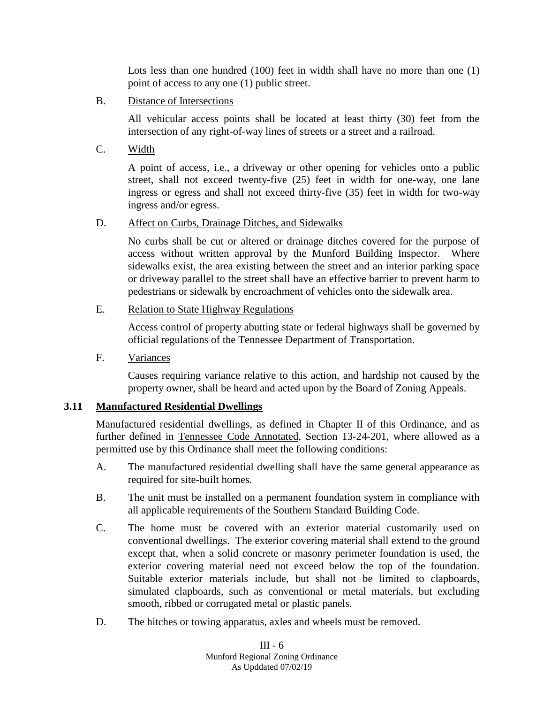Lots less than one hundred (100) feet in width shall have no more than one (1) point of access to any one (1) public street.

B. Distance of Intersections

All vehicular access points shall be located at least thirty (30) feet from the intersection of any right-of-way lines of streets or a street and a railroad.

C. Width

A point of access, i.e., a driveway or other opening for vehicles onto a public street, shall not exceed twenty-five (25) feet in width for one-way, one lane ingress or egress and shall not exceed thirty-five (35) feet in width for two-way ingress and/or egress.

### D. Affect on Curbs, Drainage Ditches, and Sidewalks

No curbs shall be cut or altered or drainage ditches covered for the purpose of access without written approval by the Munford Building Inspector. Where sidewalks exist, the area existing between the street and an interior parking space or driveway parallel to the street shall have an effective barrier to prevent harm to pedestrians or sidewalk by encroachment of vehicles onto the sidewalk area.

E. Relation to State Highway Regulations

Access control of property abutting state or federal highways shall be governed by official regulations of the Tennessee Department of Transportation.

F. Variances

Causes requiring variance relative to this action, and hardship not caused by the property owner, shall be heard and acted upon by the Board of Zoning Appeals.

# **3.11 Manufactured Residential Dwellings**

Manufactured residential dwellings, as defined in Chapter II of this Ordinance, and as further defined in Tennessee Code Annotated, Section 13-24-201, where allowed as a permitted use by this Ordinance shall meet the following conditions:

- A. The manufactured residential dwelling shall have the same general appearance as required for site-built homes.
- B. The unit must be installed on a permanent foundation system in compliance with all applicable requirements of the Southern Standard Building Code.
- C. The home must be covered with an exterior material customarily used on conventional dwellings. The exterior covering material shall extend to the ground except that, when a solid concrete or masonry perimeter foundation is used, the exterior covering material need not exceed below the top of the foundation. Suitable exterior materials include, but shall not be limited to clapboards, simulated clapboards, such as conventional or metal materials, but excluding smooth, ribbed or corrugated metal or plastic panels.
- D. The hitches or towing apparatus, axles and wheels must be removed.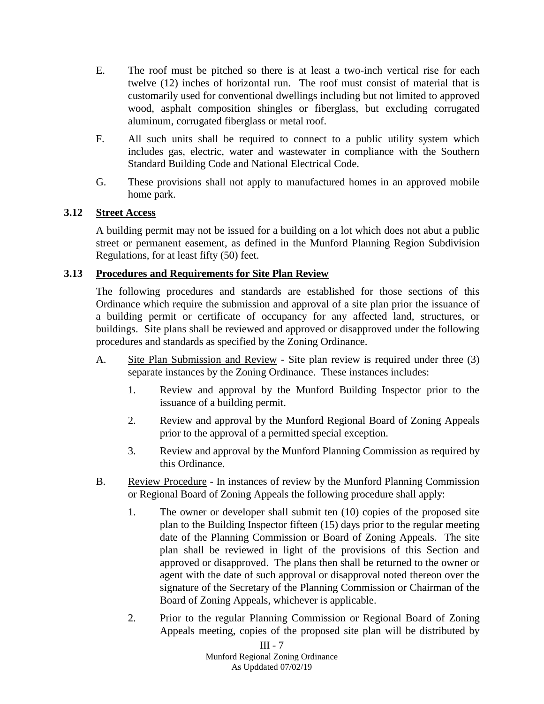- E. The roof must be pitched so there is at least a two-inch vertical rise for each twelve (12) inches of horizontal run. The roof must consist of material that is customarily used for conventional dwellings including but not limited to approved wood, asphalt composition shingles or fiberglass, but excluding corrugated aluminum, corrugated fiberglass or metal roof.
- F. All such units shall be required to connect to a public utility system which includes gas, electric, water and wastewater in compliance with the Southern Standard Building Code and National Electrical Code.
- G. These provisions shall not apply to manufactured homes in an approved mobile home park.

# **3.12 Street Access**

A building permit may not be issued for a building on a lot which does not abut a public street or permanent easement, as defined in the Munford Planning Region Subdivision Regulations, for at least fifty (50) feet.

# **3.13 Procedures and Requirements for Site Plan Review**

The following procedures and standards are established for those sections of this Ordinance which require the submission and approval of a site plan prior the issuance of a building permit or certificate of occupancy for any affected land, structures, or buildings. Site plans shall be reviewed and approved or disapproved under the following procedures and standards as specified by the Zoning Ordinance.

- A. Site Plan Submission and Review Site plan review is required under three (3) separate instances by the Zoning Ordinance. These instances includes:
	- 1. Review and approval by the Munford Building Inspector prior to the issuance of a building permit.
	- 2. Review and approval by the Munford Regional Board of Zoning Appeals prior to the approval of a permitted special exception.
	- 3. Review and approval by the Munford Planning Commission as required by this Ordinance.
- B. Review Procedure In instances of review by the Munford Planning Commission or Regional Board of Zoning Appeals the following procedure shall apply:
	- 1. The owner or developer shall submit ten (10) copies of the proposed site plan to the Building Inspector fifteen (15) days prior to the regular meeting date of the Planning Commission or Board of Zoning Appeals. The site plan shall be reviewed in light of the provisions of this Section and approved or disapproved. The plans then shall be returned to the owner or agent with the date of such approval or disapproval noted thereon over the signature of the Secretary of the Planning Commission or Chairman of the Board of Zoning Appeals, whichever is applicable.
	- 2. Prior to the regular Planning Commission or Regional Board of Zoning Appeals meeting, copies of the proposed site plan will be distributed by

III - 7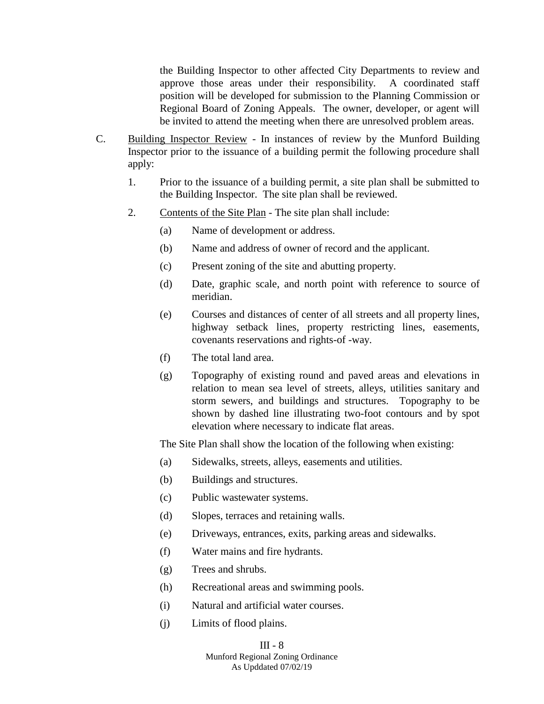the Building Inspector to other affected City Departments to review and approve those areas under their responsibility. A coordinated staff position will be developed for submission to the Planning Commission or Regional Board of Zoning Appeals. The owner, developer, or agent will be invited to attend the meeting when there are unresolved problem areas.

- C. Building Inspector Review In instances of review by the Munford Building Inspector prior to the issuance of a building permit the following procedure shall apply:
	- 1. Prior to the issuance of a building permit, a site plan shall be submitted to the Building Inspector. The site plan shall be reviewed.
	- 2. Contents of the Site Plan The site plan shall include:
		- (a) Name of development or address.
		- (b) Name and address of owner of record and the applicant.
		- (c) Present zoning of the site and abutting property.
		- (d) Date, graphic scale, and north point with reference to source of meridian.
		- (e) Courses and distances of center of all streets and all property lines, highway setback lines, property restricting lines, easements, covenants reservations and rights-of -way.
		- (f) The total land area.
		- (g) Topography of existing round and paved areas and elevations in relation to mean sea level of streets, alleys, utilities sanitary and storm sewers, and buildings and structures. Topography to be shown by dashed line illustrating two-foot contours and by spot elevation where necessary to indicate flat areas.

The Site Plan shall show the location of the following when existing:

- (a) Sidewalks, streets, alleys, easements and utilities.
- (b) Buildings and structures.
- (c) Public wastewater systems.
- (d) Slopes, terraces and retaining walls.
- (e) Driveways, entrances, exits, parking areas and sidewalks.
- (f) Water mains and fire hydrants.
- (g) Trees and shrubs.
- (h) Recreational areas and swimming pools.
- (i) Natural and artificial water courses.
- (j) Limits of flood plains.

#### III - 8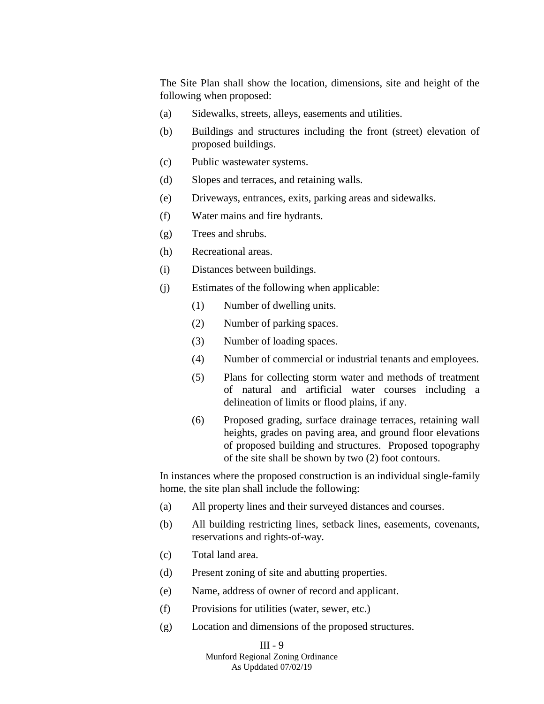The Site Plan shall show the location, dimensions, site and height of the following when proposed:

- (a) Sidewalks, streets, alleys, easements and utilities.
- (b) Buildings and structures including the front (street) elevation of proposed buildings.
- (c) Public wastewater systems.
- (d) Slopes and terraces, and retaining walls.
- (e) Driveways, entrances, exits, parking areas and sidewalks.
- (f) Water mains and fire hydrants.
- (g) Trees and shrubs.
- (h) Recreational areas.
- (i) Distances between buildings.
- (j) Estimates of the following when applicable:
	- (1) Number of dwelling units.
	- (2) Number of parking spaces.
	- (3) Number of loading spaces.
	- (4) Number of commercial or industrial tenants and employees.
	- (5) Plans for collecting storm water and methods of treatment of natural and artificial water courses including a delineation of limits or flood plains, if any.
	- (6) Proposed grading, surface drainage terraces, retaining wall heights, grades on paving area, and ground floor elevations of proposed building and structures. Proposed topography of the site shall be shown by two (2) foot contours.

In instances where the proposed construction is an individual single-family home, the site plan shall include the following:

- (a) All property lines and their surveyed distances and courses.
- (b) All building restricting lines, setback lines, easements, covenants, reservations and rights-of-way.
- (c) Total land area.
- (d) Present zoning of site and abutting properties.
- (e) Name, address of owner of record and applicant.
- (f) Provisions for utilities (water, sewer, etc.)
- (g) Location and dimensions of the proposed structures.

#### III - 9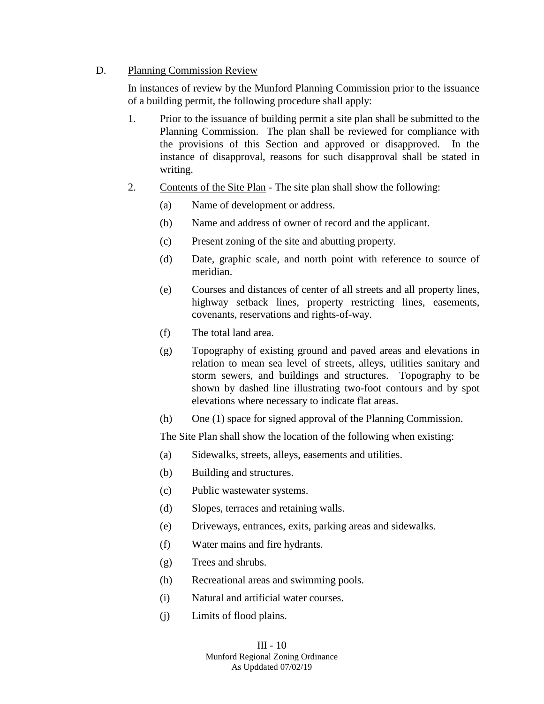### D. Planning Commission Review

In instances of review by the Munford Planning Commission prior to the issuance of a building permit, the following procedure shall apply:

- 1. Prior to the issuance of building permit a site plan shall be submitted to the Planning Commission. The plan shall be reviewed for compliance with the provisions of this Section and approved or disapproved. In the instance of disapproval, reasons for such disapproval shall be stated in writing.
- 2. Contents of the Site Plan The site plan shall show the following:
	- (a) Name of development or address.
	- (b) Name and address of owner of record and the applicant.
	- (c) Present zoning of the site and abutting property.
	- (d) Date, graphic scale, and north point with reference to source of meridian.
	- (e) Courses and distances of center of all streets and all property lines, highway setback lines, property restricting lines, easements, covenants, reservations and rights-of-way.
	- (f) The total land area.
	- (g) Topography of existing ground and paved areas and elevations in relation to mean sea level of streets, alleys, utilities sanitary and storm sewers, and buildings and structures. Topography to be shown by dashed line illustrating two-foot contours and by spot elevations where necessary to indicate flat areas.
	- (h) One (1) space for signed approval of the Planning Commission.

The Site Plan shall show the location of the following when existing:

- (a) Sidewalks, streets, alleys, easements and utilities.
- (b) Building and structures.
- (c) Public wastewater systems.
- (d) Slopes, terraces and retaining walls.
- (e) Driveways, entrances, exits, parking areas and sidewalks.
- (f) Water mains and fire hydrants.
- (g) Trees and shrubs.
- (h) Recreational areas and swimming pools.
- (i) Natural and artificial water courses.
- (j) Limits of flood plains.

# III - 10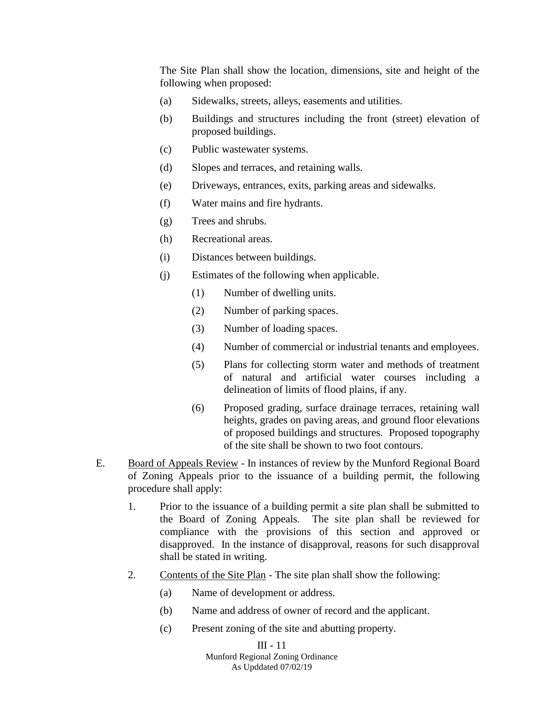The Site Plan shall show the location, dimensions, site and height of the following when proposed:

- (a) Sidewalks, streets, alleys, easements and utilities.
- (b) Buildings and structures including the front (street) elevation of proposed buildings.
- (c) Public wastewater systems.
- (d) Slopes and terraces, and retaining walls.
- (e) Driveways, entrances, exits, parking areas and sidewalks.
- (f) Water mains and fire hydrants.
- (g) Trees and shrubs.
- (h) Recreational areas.
- (i) Distances between buildings.
- (j) Estimates of the following when applicable.
	- (1) Number of dwelling units.
	- (2) Number of parking spaces.
	- (3) Number of loading spaces.
	- (4) Number of commercial or industrial tenants and employees.
	- (5) Plans for collecting storm water and methods of treatment of natural and artificial water courses including a delineation of limits of flood plains, if any.
	- (6) Proposed grading, surface drainage terraces, retaining wall heights, grades on paving areas, and ground floor elevations of proposed buildings and structures. Proposed topography of the site shall be shown to two foot contours.
- E. Board of Appeals Review In instances of review by the Munford Regional Board of Zoning Appeals prior to the issuance of a building permit, the following procedure shall apply:
	- 1. Prior to the issuance of a building permit a site plan shall be submitted to the Board of Zoning Appeals. The site plan shall be reviewed for compliance with the provisions of this section and approved or disapproved. In the instance of disapproval, reasons for such disapproval shall be stated in writing.
	- 2. Contents of the Site Plan The site plan shall show the following:
		- (a) Name of development or address.
		- (b) Name and address of owner of record and the applicant.
		- (c) Present zoning of the site and abutting property.

#### III - 11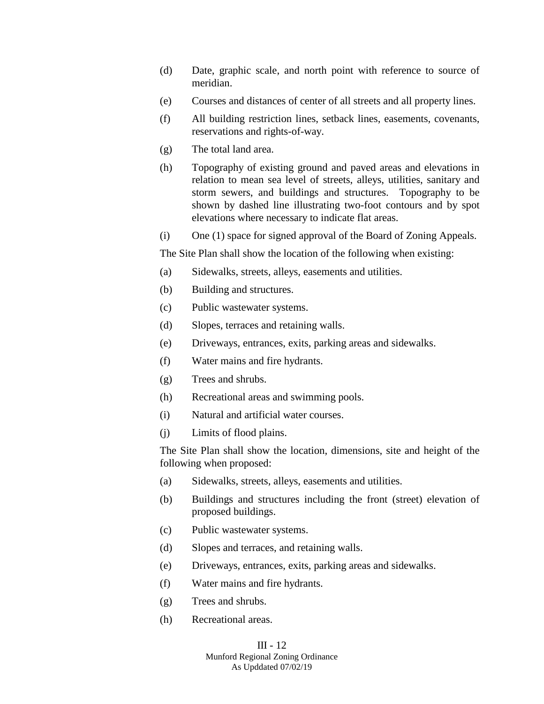- (d) Date, graphic scale, and north point with reference to source of meridian.
- (e) Courses and distances of center of all streets and all property lines.
- (f) All building restriction lines, setback lines, easements, covenants, reservations and rights-of-way.
- (g) The total land area.
- (h) Topography of existing ground and paved areas and elevations in relation to mean sea level of streets, alleys, utilities, sanitary and storm sewers, and buildings and structures. Topography to be shown by dashed line illustrating two-foot contours and by spot elevations where necessary to indicate flat areas.
- (i) One (1) space for signed approval of the Board of Zoning Appeals.

The Site Plan shall show the location of the following when existing:

- (a) Sidewalks, streets, alleys, easements and utilities.
- (b) Building and structures.
- (c) Public wastewater systems.
- (d) Slopes, terraces and retaining walls.
- (e) Driveways, entrances, exits, parking areas and sidewalks.
- (f) Water mains and fire hydrants.
- (g) Trees and shrubs.
- (h) Recreational areas and swimming pools.
- (i) Natural and artificial water courses.
- (j) Limits of flood plains.

The Site Plan shall show the location, dimensions, site and height of the following when proposed:

- (a) Sidewalks, streets, alleys, easements and utilities.
- (b) Buildings and structures including the front (street) elevation of proposed buildings.
- (c) Public wastewater systems.
- (d) Slopes and terraces, and retaining walls.
- (e) Driveways, entrances, exits, parking areas and sidewalks.
- (f) Water mains and fire hydrants.
- (g) Trees and shrubs.
- (h) Recreational areas.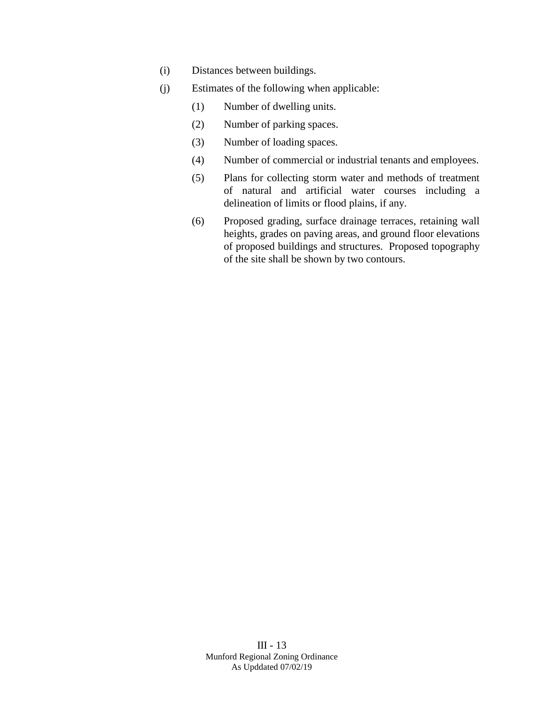- (i) Distances between buildings.
- (j) Estimates of the following when applicable:
	- (1) Number of dwelling units.
	- (2) Number of parking spaces.
	- (3) Number of loading spaces.
	- (4) Number of commercial or industrial tenants and employees.
	- (5) Plans for collecting storm water and methods of treatment of natural and artificial water courses including a delineation of limits or flood plains, if any.
	- (6) Proposed grading, surface drainage terraces, retaining wall heights, grades on paving areas, and ground floor elevations of proposed buildings and structures. Proposed topography of the site shall be shown by two contours.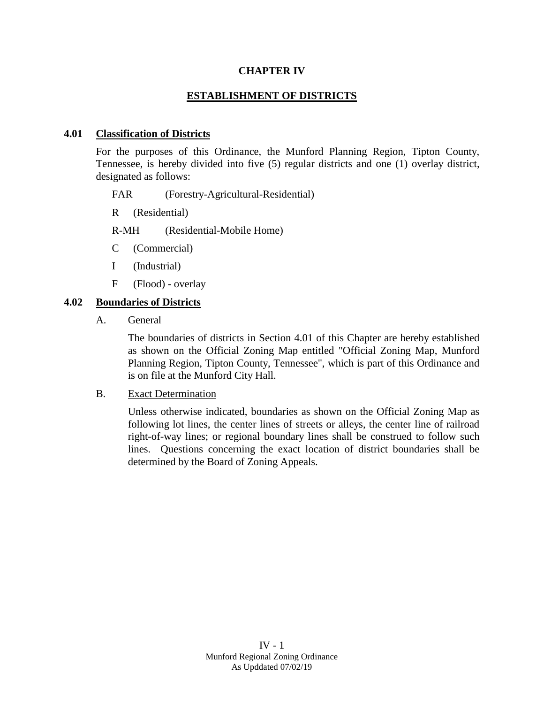### **CHAPTER IV**

### **ESTABLISHMENT OF DISTRICTS**

#### **4.01 Classification of Districts**

For the purposes of this Ordinance, the Munford Planning Region, Tipton County, Tennessee, is hereby divided into five (5) regular districts and one (1) overlay district, designated as follows:

FAR (Forestry-Agricultural-Residential)

R (Residential)

R-MH (Residential-Mobile Home)

- C (Commercial)
- I (Industrial)
- F (Flood) overlay

#### **4.02 Boundaries of Districts**

A. General

The boundaries of districts in Section 4.01 of this Chapter are hereby established as shown on the Official Zoning Map entitled "Official Zoning Map, Munford Planning Region, Tipton County, Tennessee", which is part of this Ordinance and is on file at the Munford City Hall.

B. Exact Determination

Unless otherwise indicated, boundaries as shown on the Official Zoning Map as following lot lines, the center lines of streets or alleys, the center line of railroad right-of-way lines; or regional boundary lines shall be construed to follow such lines. Questions concerning the exact location of district boundaries shall be determined by the Board of Zoning Appeals.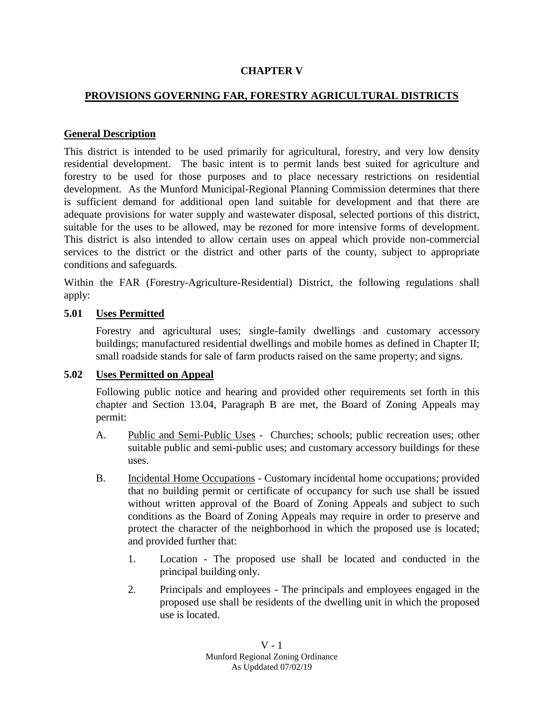# **CHAPTER V**

# **PROVISIONS GOVERNING FAR, FORESTRY AGRICULTURAL DISTRICTS**

### **General Description**

This district is intended to be used primarily for agricultural, forestry, and very low density residential development. The basic intent is to permit lands best suited for agriculture and forestry to be used for those purposes and to place necessary restrictions on residential development. As the Munford Municipal-Regional Planning Commission determines that there is sufficient demand for additional open land suitable for development and that there are adequate provisions for water supply and wastewater disposal, selected portions of this district, suitable for the uses to be allowed, may be rezoned for more intensive forms of development. This district is also intended to allow certain uses on appeal which provide non-commercial services to the district or the district and other parts of the county, subject to appropriate conditions and safeguards.

Within the FAR (Forestry-Agriculture-Residential) District, the following regulations shall apply:

# **5.01 Uses Permitted**

Forestry and agricultural uses; single-family dwellings and customary accessory buildings; manufactured residential dwellings and mobile homes as defined in Chapter II; small roadside stands for sale of farm products raised on the same property; and signs.

### **5.02 Uses Permitted on Appeal**

Following public notice and hearing and provided other requirements set forth in this chapter and Section 13.04, Paragraph B are met, the Board of Zoning Appeals may permit:

- A. Public and Semi-Public Uses Churches; schools; public recreation uses; other suitable public and semi-public uses; and customary accessory buildings for these uses.
- B. Incidental Home Occupations Customary incidental home occupations; provided that no building permit or certificate of occupancy for such use shall be issued without written approval of the Board of Zoning Appeals and subject to such conditions as the Board of Zoning Appeals may require in order to preserve and protect the character of the neighborhood in which the proposed use is located; and provided further that:
	- 1. Location The proposed use shall be located and conducted in the principal building only.
	- 2. Principals and employees The principals and employees engaged in the proposed use shall be residents of the dwelling unit in which the proposed use is located.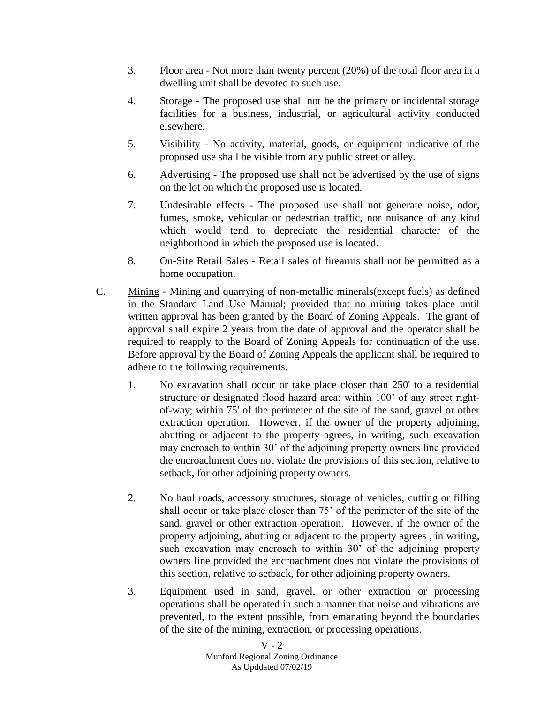- 3. Floor area Not more than twenty percent (20%) of the total floor area in a dwelling unit shall be devoted to such use.
- 4. Storage The proposed use shall not be the primary or incidental storage facilities for a business, industrial, or agricultural activity conducted elsewhere.
- 5. Visibility No activity, material, goods, or equipment indicative of the proposed use shall be visible from any public street or alley.
- 6. Advertising The proposed use shall not be advertised by the use of signs on the lot on which the proposed use is located.
- 7. Undesirable effects The proposed use shall not generate noise, odor, fumes, smoke, vehicular or pedestrian traffic, nor nuisance of any kind which would tend to depreciate the residential character of the neighborhood in which the proposed use is located.
- 8. On-Site Retail Sales Retail sales of firearms shall not be permitted as a home occupation.
- C. Mining Mining and quarrying of non-metallic minerals(except fuels) as defined in the Standard Land Use Manual; provided that no mining takes place until written approval has been granted by the Board of Zoning Appeals. The grant of approval shall expire 2 years from the date of approval and the operator shall be required to reapply to the Board of Zoning Appeals for continuation of the use. Before approval by the Board of Zoning Appeals the applicant shall be required to adhere to the following requirements.
	- 1. No excavation shall occur or take place closer than 250' to a residential structure or designated flood hazard area; within 100' of any street rightof-way; within 75' of the perimeter of the site of the sand, gravel or other extraction operation. However, if the owner of the property adjoining, abutting or adjacent to the property agrees, in writing, such excavation may encroach to within 30' of the adjoining property owners line provided the encroachment does not violate the provisions of this section, relative to setback, for other adjoining property owners.
	- 2. No haul roads, accessory structures, storage of vehicles, cutting or filling shall occur or take place closer than 75' of the perimeter of the site of the sand, gravel or other extraction operation. However, if the owner of the property adjoining, abutting or adjacent to the property agrees , in writing, such excavation may encroach to within 30' of the adjoining property owners line provided the encroachment does not violate the provisions of this section, relative to setback, for other adjoining property owners.
	- 3. Equipment used in sand, gravel, or other extraction or processing operations shall be operated in such a manner that noise and vibrations are prevented, to the extent possible, from emanating beyond the boundaries of the site of the mining, extraction, or processing operations.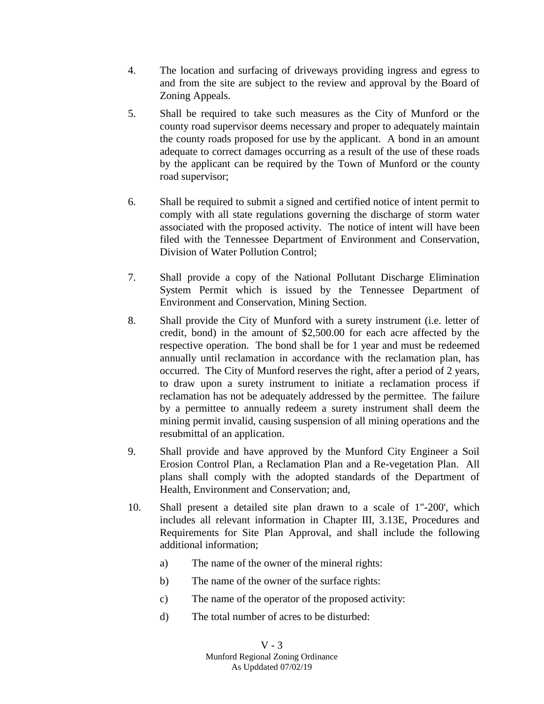- 4. The location and surfacing of driveways providing ingress and egress to and from the site are subject to the review and approval by the Board of Zoning Appeals.
- 5. Shall be required to take such measures as the City of Munford or the county road supervisor deems necessary and proper to adequately maintain the county roads proposed for use by the applicant. A bond in an amount adequate to correct damages occurring as a result of the use of these roads by the applicant can be required by the Town of Munford or the county road supervisor;
- 6. Shall be required to submit a signed and certified notice of intent permit to comply with all state regulations governing the discharge of storm water associated with the proposed activity. The notice of intent will have been filed with the Tennessee Department of Environment and Conservation, Division of Water Pollution Control;
- 7. Shall provide a copy of the National Pollutant Discharge Elimination System Permit which is issued by the Tennessee Department of Environment and Conservation, Mining Section.
- 8. Shall provide the City of Munford with a surety instrument (i.e. letter of credit, bond) in the amount of \$2,500.00 for each acre affected by the respective operation. The bond shall be for 1 year and must be redeemed annually until reclamation in accordance with the reclamation plan, has occurred. The City of Munford reserves the right, after a period of 2 years, to draw upon a surety instrument to initiate a reclamation process if reclamation has not be adequately addressed by the permittee. The failure by a permittee to annually redeem a surety instrument shall deem the mining permit invalid, causing suspension of all mining operations and the resubmittal of an application.
- 9. Shall provide and have approved by the Munford City Engineer a Soil Erosion Control Plan, a Reclamation Plan and a Re-vegetation Plan. All plans shall comply with the adopted standards of the Department of Health, Environment and Conservation; and,
- 10. Shall present a detailed site plan drawn to a scale of 1"-200', which includes all relevant information in Chapter III, 3.13E, Procedures and Requirements for Site Plan Approval, and shall include the following additional information;
	- a) The name of the owner of the mineral rights:
	- b) The name of the owner of the surface rights:
	- c) The name of the operator of the proposed activity:
	- d) The total number of acres to be disturbed: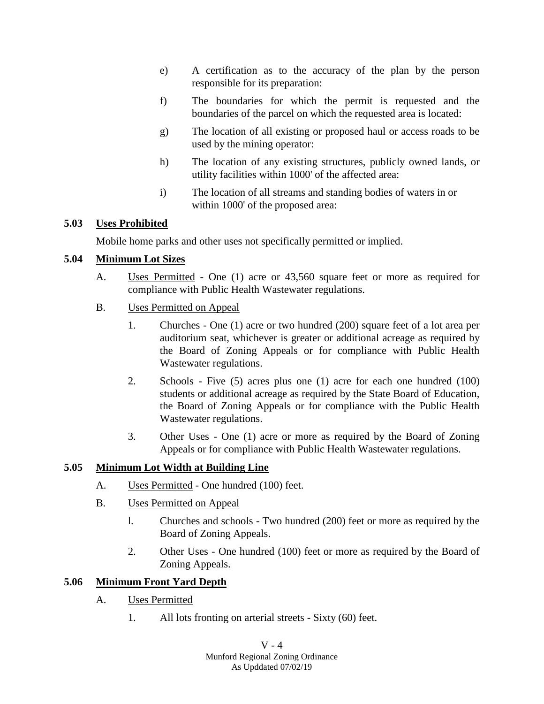- e) A certification as to the accuracy of the plan by the person responsible for its preparation:
- f) The boundaries for which the permit is requested and the boundaries of the parcel on which the requested area is located:
- g) The location of all existing or proposed haul or access roads to be used by the mining operator:
- h) The location of any existing structures, publicly owned lands, or utility facilities within 1000' of the affected area:
- i) The location of all streams and standing bodies of waters in or within 1000' of the proposed area:

# **5.03 Uses Prohibited**

Mobile home parks and other uses not specifically permitted or implied.

# **5.04 Minimum Lot Sizes**

- A. Uses Permitted One (1) acre or 43,560 square feet or more as required for compliance with Public Health Wastewater regulations.
- B. Uses Permitted on Appeal
	- 1. Churches One (1) acre or two hundred (200) square feet of a lot area per auditorium seat, whichever is greater or additional acreage as required by the Board of Zoning Appeals or for compliance with Public Health Wastewater regulations.
	- 2. Schools Five (5) acres plus one (1) acre for each one hundred (100) students or additional acreage as required by the State Board of Education, the Board of Zoning Appeals or for compliance with the Public Health Wastewater regulations.
	- 3. Other Uses One (1) acre or more as required by the Board of Zoning Appeals or for compliance with Public Health Wastewater regulations.

# **5.05 Minimum Lot Width at Building Line**

- A. Uses Permitted One hundred (100) feet.
- B. Uses Permitted on Appeal
	- l. Churches and schools Two hundred (200) feet or more as required by the Board of Zoning Appeals.
	- 2. Other Uses One hundred (100) feet or more as required by the Board of Zoning Appeals.

# **5.06 Minimum Front Yard Depth**

- A. Uses Permitted
	- 1. All lots fronting on arterial streets Sixty (60) feet.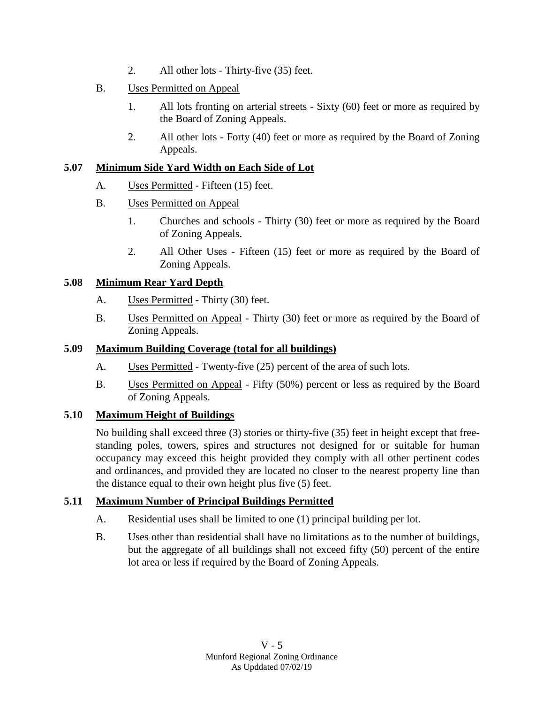- 2. All other lots Thirty-five (35) feet.
- B. Uses Permitted on Appeal
	- 1. All lots fronting on arterial streets Sixty (60) feet or more as required by the Board of Zoning Appeals.
	- 2. All other lots Forty (40) feet or more as required by the Board of Zoning Appeals.

# **5.07 Minimum Side Yard Width on Each Side of Lot**

- A. Uses Permitted Fifteen (15) feet.
- B. Uses Permitted on Appeal
	- 1. Churches and schools Thirty (30) feet or more as required by the Board of Zoning Appeals.
	- 2. All Other Uses Fifteen (15) feet or more as required by the Board of Zoning Appeals.

# **5.08 Minimum Rear Yard Depth**

- A. Uses Permitted Thirty (30) feet.
- B. Uses Permitted on Appeal Thirty (30) feet or more as required by the Board of Zoning Appeals.

# **5.09 Maximum Building Coverage (total for all buildings)**

- A. Uses Permitted Twenty-five (25) percent of the area of such lots.
- B. Uses Permitted on Appeal Fifty (50%) percent or less as required by the Board of Zoning Appeals.

# **5.10 Maximum Height of Buildings**

No building shall exceed three (3) stories or thirty-five (35) feet in height except that freestanding poles, towers, spires and structures not designed for or suitable for human occupancy may exceed this height provided they comply with all other pertinent codes and ordinances, and provided they are located no closer to the nearest property line than the distance equal to their own height plus five (5) feet.

# **5.11 Maximum Number of Principal Buildings Permitted**

- A. Residential uses shall be limited to one (1) principal building per lot.
- B. Uses other than residential shall have no limitations as to the number of buildings, but the aggregate of all buildings shall not exceed fifty (50) percent of the entire lot area or less if required by the Board of Zoning Appeals.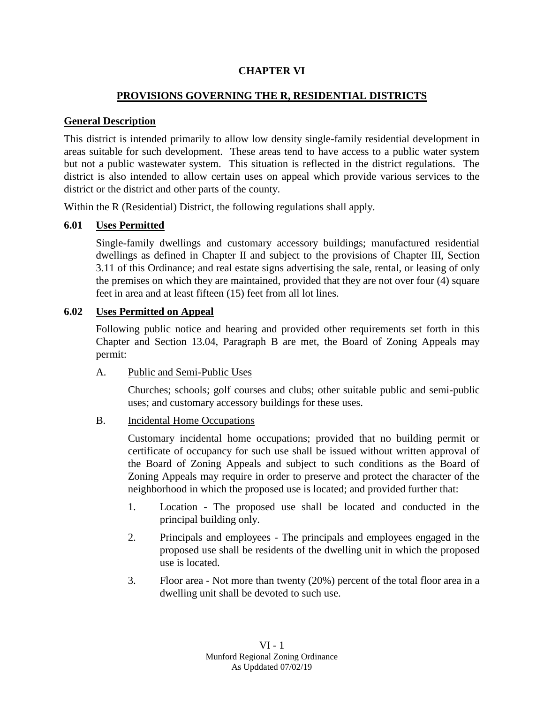### **CHAPTER VI**

# **PROVISIONS GOVERNING THE R, RESIDENTIAL DISTRICTS**

### **General Description**

This district is intended primarily to allow low density single-family residential development in areas suitable for such development. These areas tend to have access to a public water system but not a public wastewater system. This situation is reflected in the district regulations. The district is also intended to allow certain uses on appeal which provide various services to the district or the district and other parts of the county.

Within the R (Residential) District, the following regulations shall apply.

### **6.01 Uses Permitted**

Single-family dwellings and customary accessory buildings; manufactured residential dwellings as defined in Chapter II and subject to the provisions of Chapter III, Section 3.11 of this Ordinance; and real estate signs advertising the sale, rental, or leasing of only the premises on which they are maintained, provided that they are not over four (4) square feet in area and at least fifteen (15) feet from all lot lines.

### **6.02 Uses Permitted on Appeal**

Following public notice and hearing and provided other requirements set forth in this Chapter and Section 13.04, Paragraph B are met, the Board of Zoning Appeals may permit:

### A. Public and Semi-Public Uses

Churches; schools; golf courses and clubs; other suitable public and semi-public uses; and customary accessory buildings for these uses.

# B. Incidental Home Occupations

Customary incidental home occupations; provided that no building permit or certificate of occupancy for such use shall be issued without written approval of the Board of Zoning Appeals and subject to such conditions as the Board of Zoning Appeals may require in order to preserve and protect the character of the neighborhood in which the proposed use is located; and provided further that:

- 1. Location The proposed use shall be located and conducted in the principal building only.
- 2. Principals and employees The principals and employees engaged in the proposed use shall be residents of the dwelling unit in which the proposed use is located.
- 3. Floor area Not more than twenty (20%) percent of the total floor area in a dwelling unit shall be devoted to such use.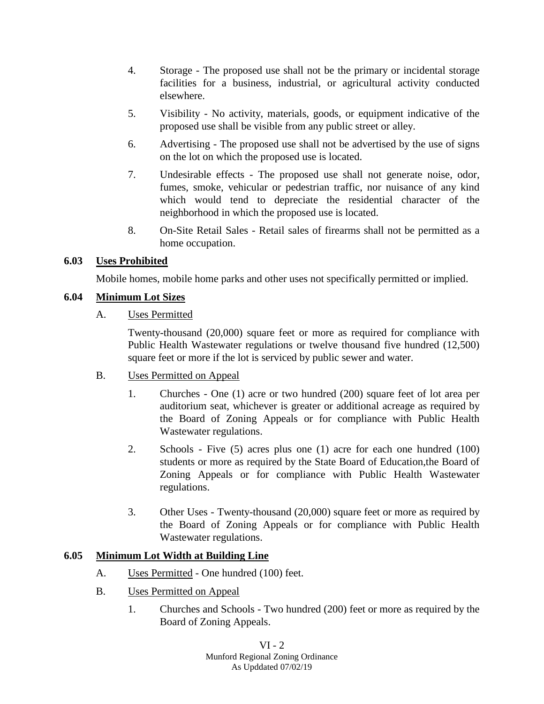- 4. Storage The proposed use shall not be the primary or incidental storage facilities for a business, industrial, or agricultural activity conducted elsewhere.
- 5. Visibility No activity, materials, goods, or equipment indicative of the proposed use shall be visible from any public street or alley.
- 6. Advertising The proposed use shall not be advertised by the use of signs on the lot on which the proposed use is located.
- 7. Undesirable effects The proposed use shall not generate noise, odor, fumes, smoke, vehicular or pedestrian traffic, nor nuisance of any kind which would tend to depreciate the residential character of the neighborhood in which the proposed use is located.
- 8. On-Site Retail Sales Retail sales of firearms shall not be permitted as a home occupation.

# **6.03 Uses Prohibited**

Mobile homes, mobile home parks and other uses not specifically permitted or implied.

# **6.04 Minimum Lot Sizes**

# A. Uses Permitted

Twenty-thousand (20,000) square feet or more as required for compliance with Public Health Wastewater regulations or twelve thousand five hundred (12,500) square feet or more if the lot is serviced by public sewer and water.

- B. Uses Permitted on Appeal
	- 1. Churches One (1) acre or two hundred (200) square feet of lot area per auditorium seat, whichever is greater or additional acreage as required by the Board of Zoning Appeals or for compliance with Public Health Wastewater regulations.
	- 2. Schools Five (5) acres plus one (1) acre for each one hundred (100) students or more as required by the State Board of Education,the Board of Zoning Appeals or for compliance with Public Health Wastewater regulations.
	- 3. Other Uses Twenty-thousand (20,000) square feet or more as required by the Board of Zoning Appeals or for compliance with Public Health Wastewater regulations.

# **6.05 Minimum Lot Width at Building Line**

- A. Uses Permitted One hundred (100) feet.
- B. Uses Permitted on Appeal
	- 1. Churches and Schools Two hundred (200) feet or more as required by the Board of Zoning Appeals.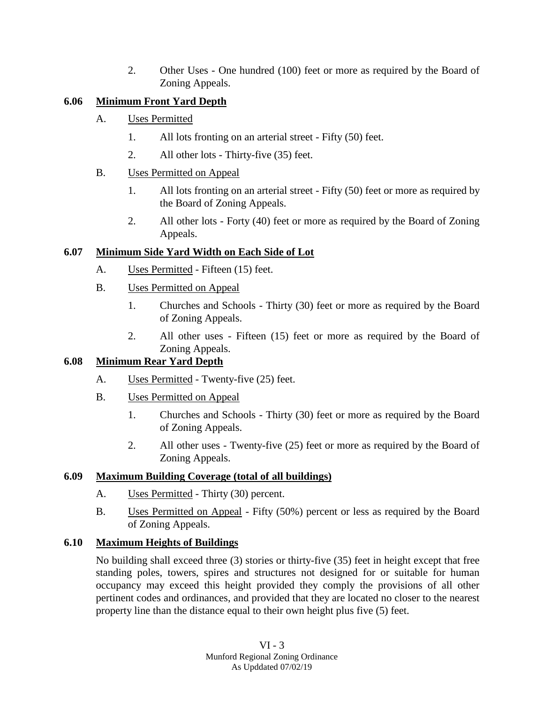2. Other Uses - One hundred (100) feet or more as required by the Board of Zoning Appeals.

# **6.06 Minimum Front Yard Depth**

- A. Uses Permitted
	- 1. All lots fronting on an arterial street Fifty (50) feet.
	- 2. All other lots Thirty-five (35) feet.

# B. Uses Permitted on Appeal

- 1. All lots fronting on an arterial street Fifty (50) feet or more as required by the Board of Zoning Appeals.
- 2. All other lots Forty (40) feet or more as required by the Board of Zoning Appeals.

# **6.07 Minimum Side Yard Width on Each Side of Lot**

- A. Uses Permitted Fifteen (15) feet.
- B. Uses Permitted on Appeal
	- 1. Churches and Schools Thirty (30) feet or more as required by the Board of Zoning Appeals.
	- 2. All other uses Fifteen (15) feet or more as required by the Board of Zoning Appeals.

# **6.08 Minimum Rear Yard Depth**

- A. Uses Permitted Twenty-five (25) feet.
- B. Uses Permitted on Appeal
	- 1. Churches and Schools Thirty (30) feet or more as required by the Board of Zoning Appeals.
	- 2. All other uses Twenty-five (25) feet or more as required by the Board of Zoning Appeals.

# **6.09 Maximum Building Coverage (total of all buildings)**

- A. Uses Permitted Thirty (30) percent.
- B. Uses Permitted on Appeal Fifty (50%) percent or less as required by the Board of Zoning Appeals.

# **6.10 Maximum Heights of Buildings**

No building shall exceed three (3) stories or thirty-five (35) feet in height except that free standing poles, towers, spires and structures not designed for or suitable for human occupancy may exceed this height provided they comply the provisions of all other pertinent codes and ordinances, and provided that they are located no closer to the nearest property line than the distance equal to their own height plus five (5) feet.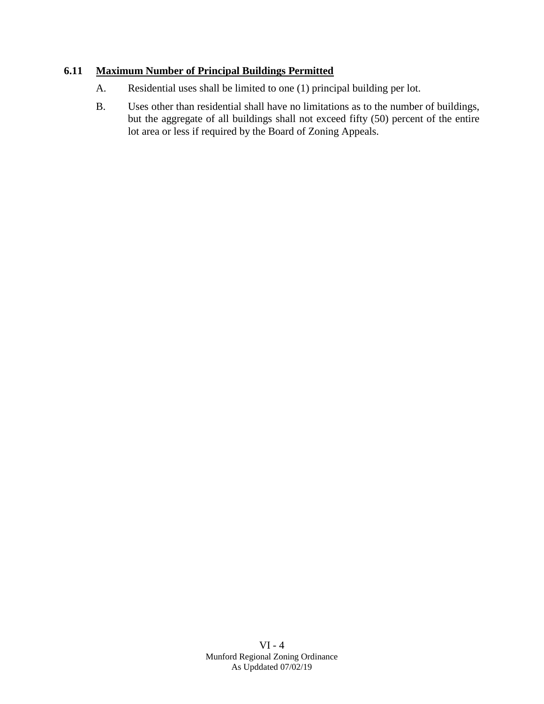# **6.11 Maximum Number of Principal Buildings Permitted**

- A. Residential uses shall be limited to one (1) principal building per lot.
- B. Uses other than residential shall have no limitations as to the number of buildings, but the aggregate of all buildings shall not exceed fifty (50) percent of the entire lot area or less if required by the Board of Zoning Appeals.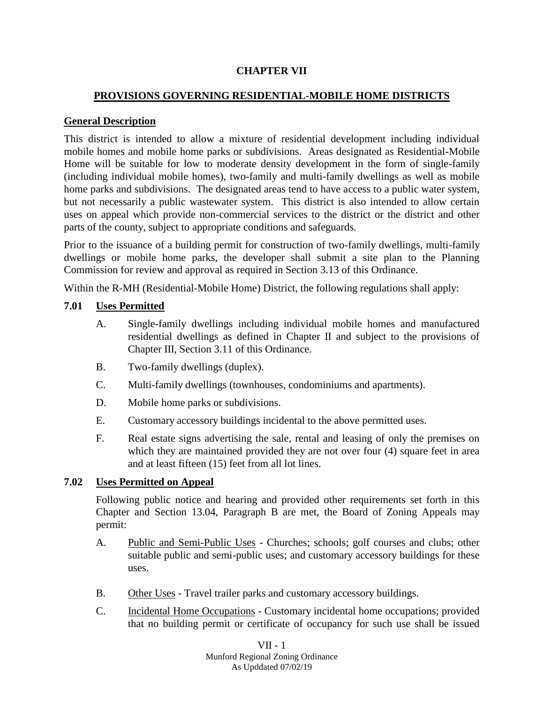# **CHAPTER VII**

# **PROVISIONS GOVERNING RESIDENTIAL-MOBILE HOME DISTRICTS**

### **General Description**

This district is intended to allow a mixture of residential development including individual mobile homes and mobile home parks or subdivisions. Areas designated as Residential-Mobile Home will be suitable for low to moderate density development in the form of single-family (including individual mobile homes), two-family and multi-family dwellings as well as mobile home parks and subdivisions. The designated areas tend to have access to a public water system, but not necessarily a public wastewater system. This district is also intended to allow certain uses on appeal which provide non-commercial services to the district or the district and other parts of the county, subject to appropriate conditions and safeguards.

Prior to the issuance of a building permit for construction of two-family dwellings, multi-family dwellings or mobile home parks, the developer shall submit a site plan to the Planning Commission for review and approval as required in Section 3.13 of this Ordinance.

Within the R-MH (Residential-Mobile Home) District, the following regulations shall apply:

### **7.01 Uses Permitted**

- A. Single-family dwellings including individual mobile homes and manufactured residential dwellings as defined in Chapter II and subject to the provisions of Chapter III, Section 3.11 of this Ordinance.
- B. Two-family dwellings (duplex).
- C. Multi-family dwellings (townhouses, condominiums and apartments).
- D. Mobile home parks or subdivisions.
- E. Customary accessory buildings incidental to the above permitted uses.
- F. Real estate signs advertising the sale, rental and leasing of only the premises on which they are maintained provided they are not over four (4) square feet in area and at least fifteen (15) feet from all lot lines.

# **7.02 Uses Permitted on Appeal**

Following public notice and hearing and provided other requirements set forth in this Chapter and Section 13.04, Paragraph B are met, the Board of Zoning Appeals may permit:

- A. Public and Semi-Public Uses Churches; schools; golf courses and clubs; other suitable public and semi-public uses; and customary accessory buildings for these uses.
- B. Other Uses Travel trailer parks and customary accessory buildings.
- C. Incidental Home Occupations Customary incidental home occupations; provided that no building permit or certificate of occupancy for such use shall be issued

VII - 1 Munford Regional Zoning Ordinance As Upddated 07/02/19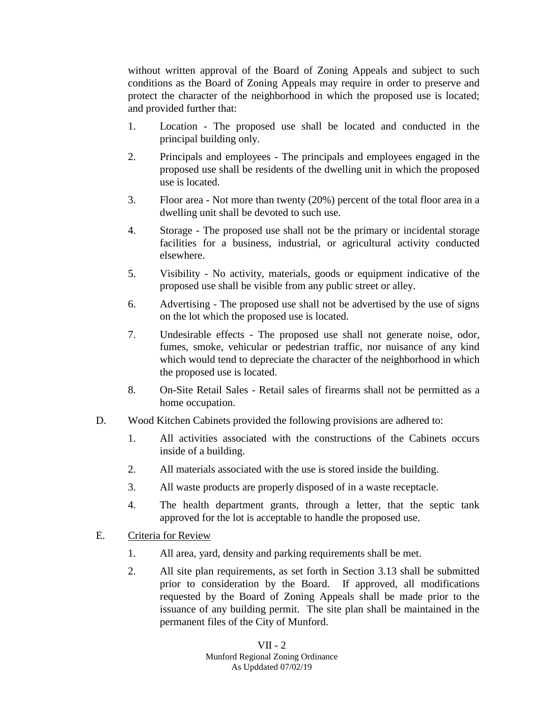without written approval of the Board of Zoning Appeals and subject to such conditions as the Board of Zoning Appeals may require in order to preserve and protect the character of the neighborhood in which the proposed use is located; and provided further that:

- 1. Location The proposed use shall be located and conducted in the principal building only.
- 2. Principals and employees The principals and employees engaged in the proposed use shall be residents of the dwelling unit in which the proposed use is located.
- 3. Floor area Not more than twenty (20%) percent of the total floor area in a dwelling unit shall be devoted to such use.
- 4. Storage The proposed use shall not be the primary or incidental storage facilities for a business, industrial, or agricultural activity conducted elsewhere.
- 5. Visibility No activity, materials, goods or equipment indicative of the proposed use shall be visible from any public street or alley.
- 6. Advertising The proposed use shall not be advertised by the use of signs on the lot which the proposed use is located.
- 7. Undesirable effects The proposed use shall not generate noise, odor, fumes, smoke, vehicular or pedestrian traffic, nor nuisance of any kind which would tend to depreciate the character of the neighborhood in which the proposed use is located.
- 8. On-Site Retail Sales Retail sales of firearms shall not be permitted as a home occupation.
- D. Wood Kitchen Cabinets provided the following provisions are adhered to:
	- 1. All activities associated with the constructions of the Cabinets occurs inside of a building.
	- 2. All materials associated with the use is stored inside the building.
	- 3. All waste products are properly disposed of in a waste receptacle.
	- 4. The health department grants, through a letter, that the septic tank approved for the lot is acceptable to handle the proposed use.
- E. Criteria for Review
	- 1. All area, yard, density and parking requirements shall be met.
	- 2. All site plan requirements, as set forth in Section 3.13 shall be submitted prior to consideration by the Board. If approved, all modifications requested by the Board of Zoning Appeals shall be made prior to the issuance of any building permit. The site plan shall be maintained in the permanent files of the City of Munford.

VII - 2 Munford Regional Zoning Ordinance As Upddated 07/02/19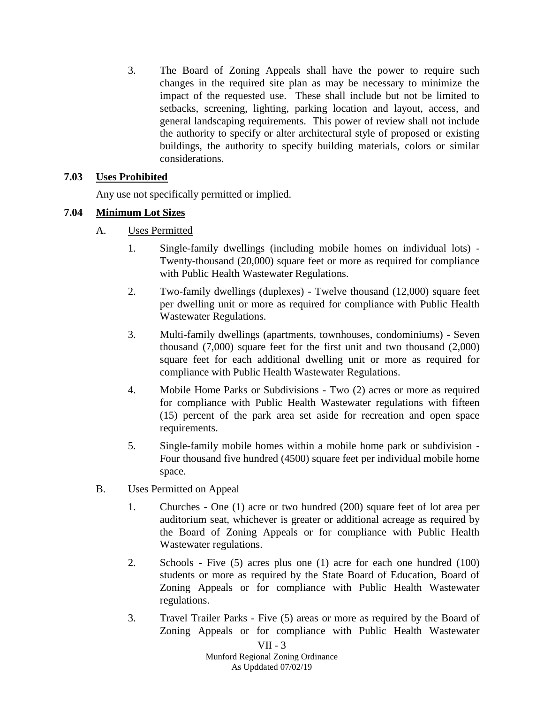3. The Board of Zoning Appeals shall have the power to require such changes in the required site plan as may be necessary to minimize the impact of the requested use. These shall include but not be limited to setbacks, screening, lighting, parking location and layout, access, and general landscaping requirements. This power of review shall not include the authority to specify or alter architectural style of proposed or existing buildings, the authority to specify building materials, colors or similar considerations.

# **7.03 Uses Prohibited**

Any use not specifically permitted or implied.

# **7.04 Minimum Lot Sizes**

- A. Uses Permitted
	- 1. Single-family dwellings (including mobile homes on individual lots) Twenty-thousand (20,000) square feet or more as required for compliance with Public Health Wastewater Regulations.
	- 2. Two-family dwellings (duplexes) Twelve thousand (12,000) square feet per dwelling unit or more as required for compliance with Public Health Wastewater Regulations.
	- 3. Multi-family dwellings (apartments, townhouses, condominiums) Seven thousand (7,000) square feet for the first unit and two thousand (2,000) square feet for each additional dwelling unit or more as required for compliance with Public Health Wastewater Regulations.
	- 4. Mobile Home Parks or Subdivisions Two (2) acres or more as required for compliance with Public Health Wastewater regulations with fifteen (15) percent of the park area set aside for recreation and open space requirements.
	- 5. Single-family mobile homes within a mobile home park or subdivision Four thousand five hundred (4500) square feet per individual mobile home space.
- B. Uses Permitted on Appeal
	- 1. Churches One (1) acre or two hundred (200) square feet of lot area per auditorium seat, whichever is greater or additional acreage as required by the Board of Zoning Appeals or for compliance with Public Health Wastewater regulations.
	- 2. Schools Five (5) acres plus one (1) acre for each one hundred (100) students or more as required by the State Board of Education, Board of Zoning Appeals or for compliance with Public Health Wastewater regulations.
	- 3. Travel Trailer Parks Five (5) areas or more as required by the Board of Zoning Appeals or for compliance with Public Health Wastewater

 $VII - 3$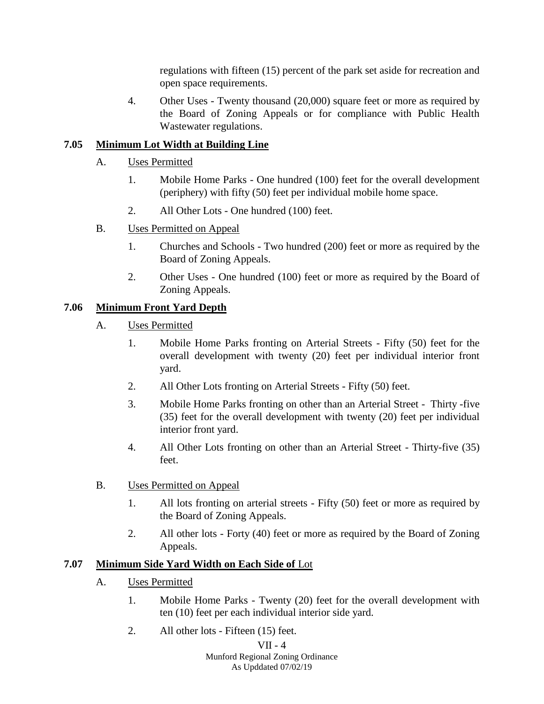regulations with fifteen (15) percent of the park set aside for recreation and open space requirements.

4. Other Uses - Twenty thousand (20,000) square feet or more as required by the Board of Zoning Appeals or for compliance with Public Health Wastewater regulations.

# **7.05 Minimum Lot Width at Building Line**

- A. Uses Permitted
	- 1. Mobile Home Parks One hundred (100) feet for the overall development (periphery) with fifty (50) feet per individual mobile home space.
	- 2. All Other Lots One hundred (100) feet.
- B. Uses Permitted on Appeal
	- 1. Churches and Schools Two hundred (200) feet or more as required by the Board of Zoning Appeals.
	- 2. Other Uses One hundred (100) feet or more as required by the Board of Zoning Appeals.

# **7.06 Minimum Front Yard Depth**

- A. Uses Permitted
	- 1. Mobile Home Parks fronting on Arterial Streets Fifty (50) feet for the overall development with twenty (20) feet per individual interior front yard.
	- 2. All Other Lots fronting on Arterial Streets Fifty (50) feet.
	- 3. Mobile Home Parks fronting on other than an Arterial Street Thirty -five (35) feet for the overall development with twenty (20) feet per individual interior front yard.
	- 4. All Other Lots fronting on other than an Arterial Street Thirty-five (35) feet.
- B. Uses Permitted on Appeal
	- 1. All lots fronting on arterial streets Fifty (50) feet or more as required by the Board of Zoning Appeals.
	- 2. All other lots Forty (40) feet or more as required by the Board of Zoning Appeals.

# **7.07 Minimum Side Yard Width on Each Side of** Lot

- A. Uses Permitted
	- 1. Mobile Home Parks Twenty (20) feet for the overall development with ten (10) feet per each individual interior side yard.
	- 2. All other lots Fifteen (15) feet.

# VII - 4

Munford Regional Zoning Ordinance As Upddated 07/02/19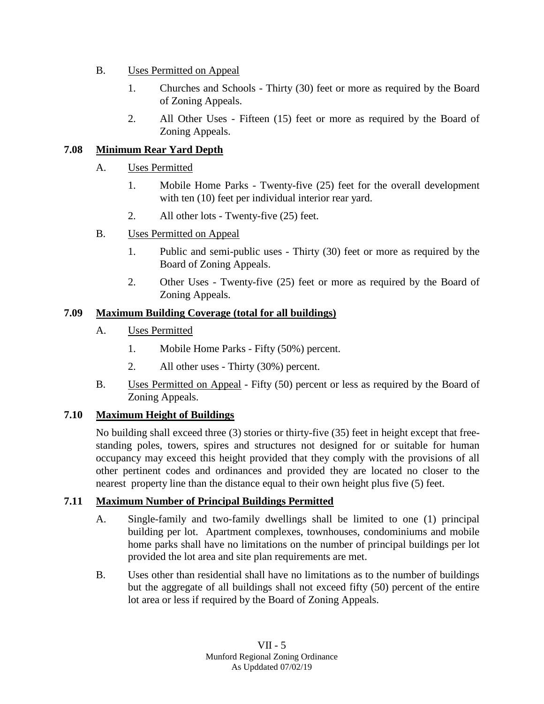- B. Uses Permitted on Appeal
	- 1. Churches and Schools Thirty (30) feet or more as required by the Board of Zoning Appeals.
	- 2. All Other Uses Fifteen (15) feet or more as required by the Board of Zoning Appeals.

# **7.08 Minimum Rear Yard Depth**

- A. Uses Permitted
	- 1. Mobile Home Parks Twenty-five (25) feet for the overall development with ten (10) feet per individual interior rear yard.
	- 2. All other lots Twenty-five (25) feet.
- B. Uses Permitted on Appeal
	- 1. Public and semi-public uses Thirty (30) feet or more as required by the Board of Zoning Appeals.
	- 2. Other Uses Twenty-five (25) feet or more as required by the Board of Zoning Appeals.

# **7.09 Maximum Building Coverage (total for all buildings)**

- A. Uses Permitted
	- 1. Mobile Home Parks Fifty (50%) percent.
	- 2. All other uses Thirty (30%) percent.
- B. Uses Permitted on Appeal Fifty (50) percent or less as required by the Board of Zoning Appeals.

# **7.10 Maximum Height of Buildings**

No building shall exceed three (3) stories or thirty-five (35) feet in height except that freestanding poles, towers, spires and structures not designed for or suitable for human occupancy may exceed this height provided that they comply with the provisions of all other pertinent codes and ordinances and provided they are located no closer to the nearest property line than the distance equal to their own height plus five (5) feet.

# **7.11 Maximum Number of Principal Buildings Permitted**

- A. Single-family and two-family dwellings shall be limited to one (1) principal building per lot. Apartment complexes, townhouses, condominiums and mobile home parks shall have no limitations on the number of principal buildings per lot provided the lot area and site plan requirements are met.
- B. Uses other than residential shall have no limitations as to the number of buildings but the aggregate of all buildings shall not exceed fifty (50) percent of the entire lot area or less if required by the Board of Zoning Appeals.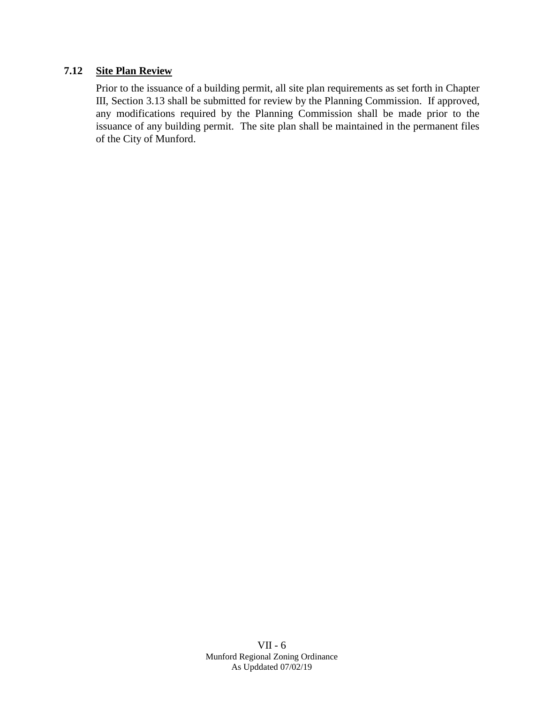# **7.12 Site Plan Review**

Prior to the issuance of a building permit, all site plan requirements as set forth in Chapter III, Section 3.13 shall be submitted for review by the Planning Commission. If approved, any modifications required by the Planning Commission shall be made prior to the issuance of any building permit. The site plan shall be maintained in the permanent files of the City of Munford.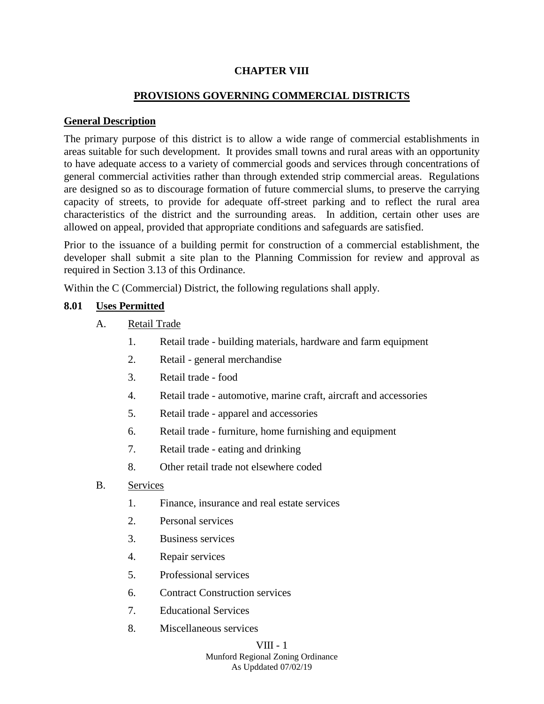### **CHAPTER VIII**

### **PROVISIONS GOVERNING COMMERCIAL DISTRICTS**

#### **General Description**

The primary purpose of this district is to allow a wide range of commercial establishments in areas suitable for such development. It provides small towns and rural areas with an opportunity to have adequate access to a variety of commercial goods and services through concentrations of general commercial activities rather than through extended strip commercial areas. Regulations are designed so as to discourage formation of future commercial slums, to preserve the carrying capacity of streets, to provide for adequate off-street parking and to reflect the rural area characteristics of the district and the surrounding areas. In addition, certain other uses are allowed on appeal, provided that appropriate conditions and safeguards are satisfied.

Prior to the issuance of a building permit for construction of a commercial establishment, the developer shall submit a site plan to the Planning Commission for review and approval as required in Section 3.13 of this Ordinance.

Within the C (Commercial) District, the following regulations shall apply.

#### **8.01 Uses Permitted**

- A. Retail Trade
	- 1. Retail trade building materials, hardware and farm equipment
	- 2. Retail general merchandise
	- 3. Retail trade food
	- 4. Retail trade automotive, marine craft, aircraft and accessories
	- 5. Retail trade apparel and accessories
	- 6. Retail trade furniture, home furnishing and equipment
	- 7. Retail trade eating and drinking
	- 8. Other retail trade not elsewhere coded
- B. Services
	- 1. Finance, insurance and real estate services
	- 2. Personal services
	- 3. Business services
	- 4. Repair services
	- 5. Professional services
	- 6. Contract Construction services
	- 7. Educational Services
	- 8. Miscellaneous services

#### VIII - 1

Munford Regional Zoning Ordinance As Upddated 07/02/19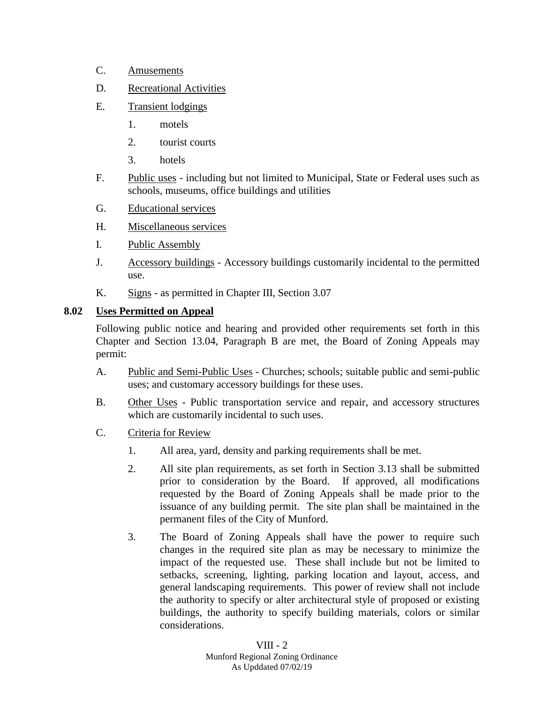- C. Amusements
- D. Recreational Activities
- E. Transient lodgings
	- 1. motels
	- 2. tourist courts
	- 3. hotels
- F. Public uses including but not limited to Municipal, State or Federal uses such as schools, museums, office buildings and utilities
- G. Educational services
- H. Miscellaneous services
- I. Public Assembly
- J. Accessory buildings Accessory buildings customarily incidental to the permitted use.
- K. Signs as permitted in Chapter III, Section 3.07

# **8.02 Uses Permitted on Appeal**

Following public notice and hearing and provided other requirements set forth in this Chapter and Section 13.04, Paragraph B are met, the Board of Zoning Appeals may permit:

- A. Public and Semi-Public Uses Churches; schools; suitable public and semi-public uses; and customary accessory buildings for these uses.
- B. Other Uses Public transportation service and repair, and accessory structures which are customarily incidental to such uses.
- C. Criteria for Review
	- 1. All area, yard, density and parking requirements shall be met.
	- 2. All site plan requirements, as set forth in Section 3.13 shall be submitted prior to consideration by the Board. If approved, all modifications requested by the Board of Zoning Appeals shall be made prior to the issuance of any building permit. The site plan shall be maintained in the permanent files of the City of Munford.
	- 3. The Board of Zoning Appeals shall have the power to require such changes in the required site plan as may be necessary to minimize the impact of the requested use. These shall include but not be limited to setbacks, screening, lighting, parking location and layout, access, and general landscaping requirements. This power of review shall not include the authority to specify or alter architectural style of proposed or existing buildings, the authority to specify building materials, colors or similar considerations.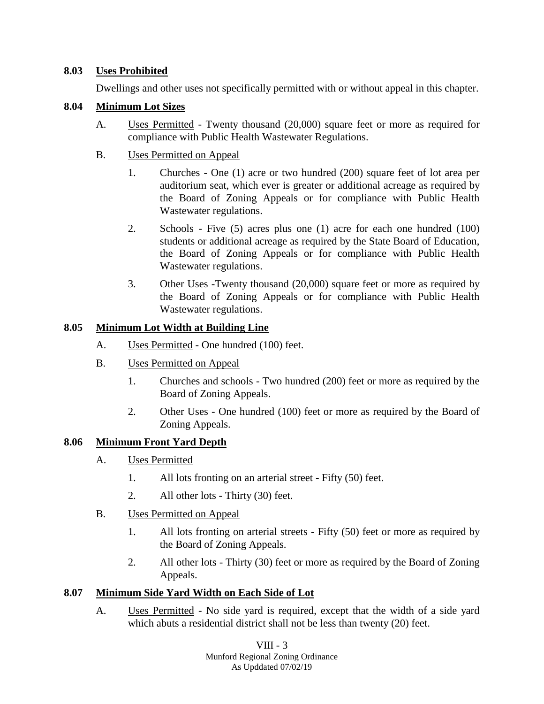# **8.03 Uses Prohibited**

Dwellings and other uses not specifically permitted with or without appeal in this chapter.

### **8.04 Minimum Lot Sizes**

A. Uses Permitted - Twenty thousand (20,000) square feet or more as required for compliance with Public Health Wastewater Regulations.

### B. Uses Permitted on Appeal

- 1. Churches One (1) acre or two hundred (200) square feet of lot area per auditorium seat, which ever is greater or additional acreage as required by the Board of Zoning Appeals or for compliance with Public Health Wastewater regulations.
- 2. Schools Five (5) acres plus one (1) acre for each one hundred (100) students or additional acreage as required by the State Board of Education, the Board of Zoning Appeals or for compliance with Public Health Wastewater regulations.
- 3. Other Uses -Twenty thousand (20,000) square feet or more as required by the Board of Zoning Appeals or for compliance with Public Health Wastewater regulations.

### **8.05 Minimum Lot Width at Building Line**

- A. Uses Permitted One hundred (100) feet.
- B. Uses Permitted on Appeal
	- 1. Churches and schools Two hundred (200) feet or more as required by the Board of Zoning Appeals.
	- 2. Other Uses One hundred (100) feet or more as required by the Board of Zoning Appeals.

# **8.06 Minimum Front Yard Depth**

- A. Uses Permitted
	- 1. All lots fronting on an arterial street Fifty (50) feet.
	- 2. All other lots Thirty (30) feet.
- B. Uses Permitted on Appeal
	- 1. All lots fronting on arterial streets Fifty (50) feet or more as required by the Board of Zoning Appeals.
	- 2. All other lots Thirty (30) feet or more as required by the Board of Zoning Appeals.

# **8.07 Minimum Side Yard Width on Each Side of Lot**

A. Uses Permitted - No side yard is required, except that the width of a side yard which abuts a residential district shall not be less than twenty (20) feet.

> VIII - 3 Munford Regional Zoning Ordinance

As Upddated 07/02/19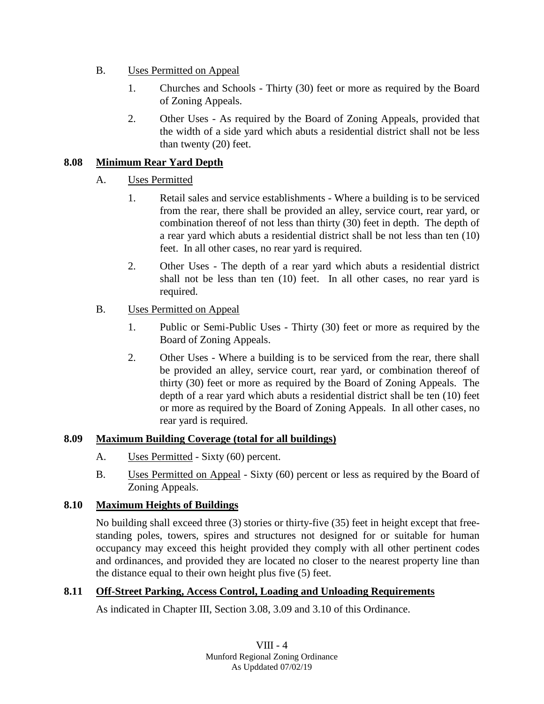- B. Uses Permitted on Appeal
	- 1. Churches and Schools Thirty (30) feet or more as required by the Board of Zoning Appeals.
	- 2. Other Uses As required by the Board of Zoning Appeals, provided that the width of a side yard which abuts a residential district shall not be less than twenty (20) feet.

# **8.08 Minimum Rear Yard Depth**

# A. Uses Permitted

- 1. Retail sales and service establishments Where a building is to be serviced from the rear, there shall be provided an alley, service court, rear yard, or combination thereof of not less than thirty (30) feet in depth. The depth of a rear yard which abuts a residential district shall be not less than ten (10) feet. In all other cases, no rear yard is required.
- 2. Other Uses The depth of a rear yard which abuts a residential district shall not be less than ten (10) feet. In all other cases, no rear yard is required.

# B. Uses Permitted on Appeal

- 1. Public or Semi-Public Uses Thirty (30) feet or more as required by the Board of Zoning Appeals.
- 2. Other Uses Where a building is to be serviced from the rear, there shall be provided an alley, service court, rear yard, or combination thereof of thirty (30) feet or more as required by the Board of Zoning Appeals. The depth of a rear yard which abuts a residential district shall be ten (10) feet or more as required by the Board of Zoning Appeals. In all other cases, no rear yard is required.

# **8.09 Maximum Building Coverage (total for all buildings)**

- A. Uses Permitted Sixty (60) percent.
- B. Uses Permitted on Appeal Sixty (60) percent or less as required by the Board of Zoning Appeals.

# **8.10 Maximum Heights of Buildings**

No building shall exceed three (3) stories or thirty-five (35) feet in height except that freestanding poles, towers, spires and structures not designed for or suitable for human occupancy may exceed this height provided they comply with all other pertinent codes and ordinances, and provided they are located no closer to the nearest property line than the distance equal to their own height plus five (5) feet.

# **8.11 Off-Street Parking, Access Control, Loading and Unloading Requirements**

As indicated in Chapter III, Section 3.08, 3.09 and 3.10 of this Ordinance.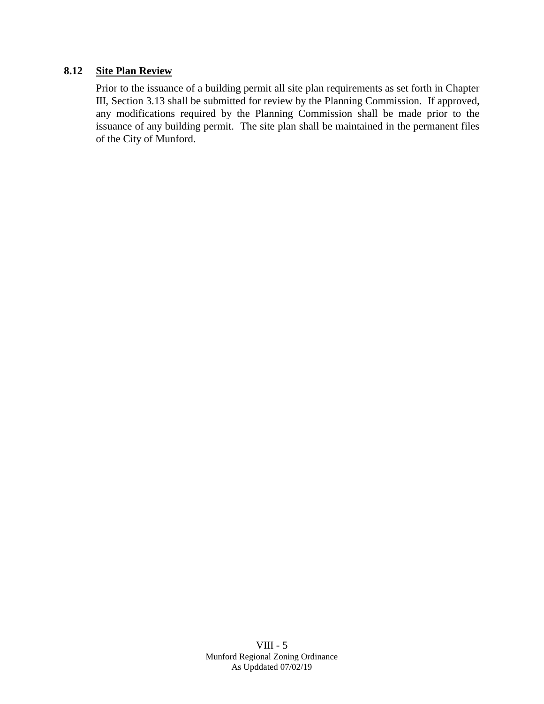# **8.12 Site Plan Review**

Prior to the issuance of a building permit all site plan requirements as set forth in Chapter III, Section 3.13 shall be submitted for review by the Planning Commission. If approved, any modifications required by the Planning Commission shall be made prior to the issuance of any building permit. The site plan shall be maintained in the permanent files of the City of Munford.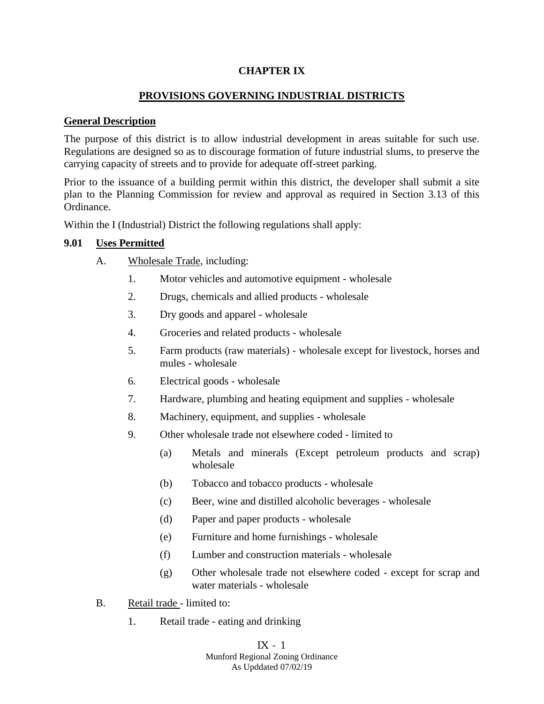### **CHAPTER IX**

# **PROVISIONS GOVERNING INDUSTRIAL DISTRICTS**

#### **General Description**

The purpose of this district is to allow industrial development in areas suitable for such use. Regulations are designed so as to discourage formation of future industrial slums, to preserve the carrying capacity of streets and to provide for adequate off-street parking.

Prior to the issuance of a building permit within this district, the developer shall submit a site plan to the Planning Commission for review and approval as required in Section 3.13 of this Ordinance.

Within the I (Industrial) District the following regulations shall apply:

#### **9.01 Uses Permitted**

- A. Wholesale Trade, including:
	- 1. Motor vehicles and automotive equipment wholesale
	- 2. Drugs, chemicals and allied products wholesale
	- 3. Dry goods and apparel wholesale
	- 4. Groceries and related products wholesale
	- 5. Farm products (raw materials) wholesale except for livestock, horses and mules - wholesale
	- 6. Electrical goods wholesale
	- 7. Hardware, plumbing and heating equipment and supplies wholesale
	- 8. Machinery, equipment, and supplies wholesale
	- 9. Other wholesale trade not elsewhere coded limited to
		- (a) Metals and minerals (Except petroleum products and scrap) wholesale
		- (b) Tobacco and tobacco products wholesale
		- (c) Beer, wine and distilled alcoholic beverages wholesale
		- (d) Paper and paper products wholesale
		- (e) Furniture and home furnishings wholesale
		- (f) Lumber and construction materials wholesale
		- (g) Other wholesale trade not elsewhere coded except for scrap and water materials - wholesale
- B. Retail trade limited to:
	- 1. Retail trade eating and drinking

IX - 1

Munford Regional Zoning Ordinance As Upddated 07/02/19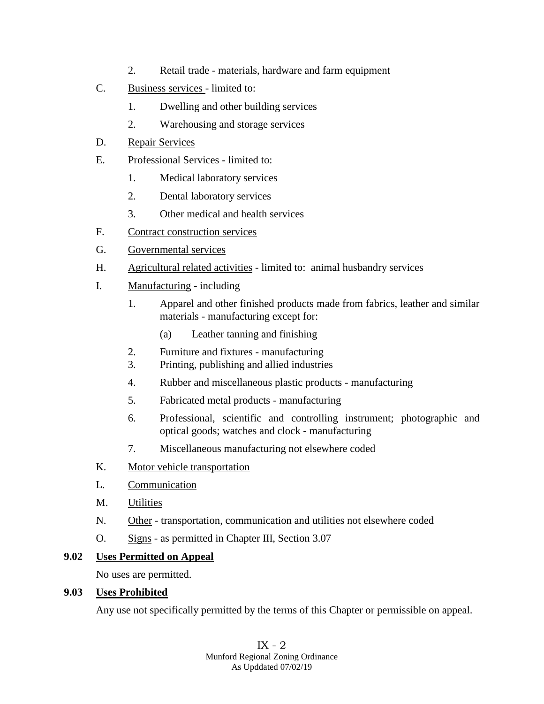- 2. Retail trade materials, hardware and farm equipment
- C. Business services limited to:
	- 1. Dwelling and other building services
	- 2. Warehousing and storage services
- D. Repair Services
- E. Professional Services limited to:
	- 1. Medical laboratory services
	- 2. Dental laboratory services
	- 3. Other medical and health services
- F. Contract construction services
- G. Governmental services
- H. Agricultural related activities limited to: animal husbandry services
- I. Manufacturing including
	- 1. Apparel and other finished products made from fabrics, leather and similar materials - manufacturing except for:
		- (a) Leather tanning and finishing
	- 2. Furniture and fixtures manufacturing
	- 3. Printing, publishing and allied industries
	- 4. Rubber and miscellaneous plastic products manufacturing
	- 5. Fabricated metal products manufacturing
	- 6. Professional, scientific and controlling instrument; photographic and optical goods; watches and clock - manufacturing
	- 7. Miscellaneous manufacturing not elsewhere coded
- K. Motor vehicle transportation
- L. Communication
- M. Utilities
- N. Other transportation, communication and utilities not elsewhere coded
- O. Signs as permitted in Chapter III, Section 3.07

# **9.02 Uses Permitted on Appeal**

No uses are permitted.

# **9.03 Uses Prohibited**

Any use not specifically permitted by the terms of this Chapter or permissible on appeal.

IX - 2 Munford Regional Zoning Ordinance As Upddated 07/02/19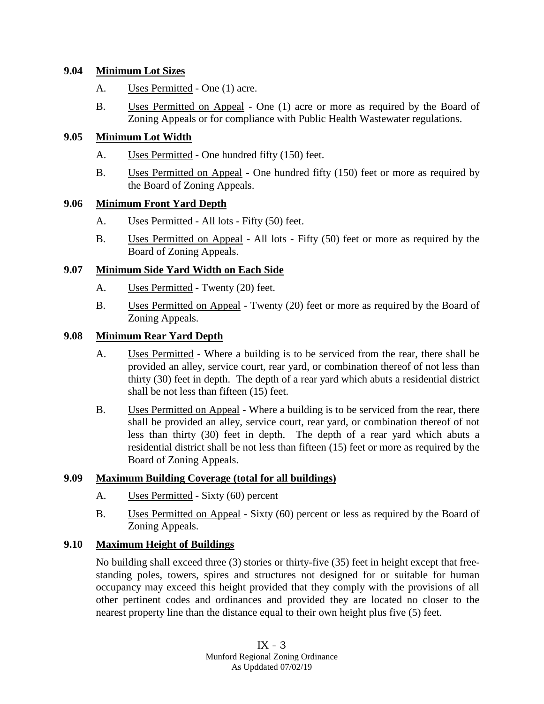### **9.04 Minimum Lot Sizes**

- A. Uses Permitted One (1) acre.
- B. Uses Permitted on Appeal One (1) acre or more as required by the Board of Zoning Appeals or for compliance with Public Health Wastewater regulations.

### **9.05 Minimum Lot Width**

- A. Uses Permitted One hundred fifty (150) feet.
- B. Uses Permitted on Appeal One hundred fifty (150) feet or more as required by the Board of Zoning Appeals.

### **9.06 Minimum Front Yard Depth**

- A. Uses Permitted All lots Fifty (50) feet.
- B. Uses Permitted on Appeal All lots Fifty (50) feet or more as required by the Board of Zoning Appeals.

### **9.07 Minimum Side Yard Width on Each Side**

- A. Uses Permitted Twenty (20) feet.
- B. Uses Permitted on Appeal Twenty (20) feet or more as required by the Board of Zoning Appeals.

### **9.08 Minimum Rear Yard Depth**

- A. Uses Permitted Where a building is to be serviced from the rear, there shall be provided an alley, service court, rear yard, or combination thereof of not less than thirty (30) feet in depth. The depth of a rear yard which abuts a residential district shall be not less than fifteen (15) feet.
- B. Uses Permitted on Appeal Where a building is to be serviced from the rear, there shall be provided an alley, service court, rear yard, or combination thereof of not less than thirty (30) feet in depth. The depth of a rear yard which abuts a residential district shall be not less than fifteen (15) feet or more as required by the Board of Zoning Appeals.

#### **9.09 Maximum Building Coverage (total for all buildings)**

- A. Uses Permitted Sixty (60) percent
- B. Uses Permitted on Appeal Sixty (60) percent or less as required by the Board of Zoning Appeals.

# **9.10 Maximum Height of Buildings**

No building shall exceed three (3) stories or thirty-five (35) feet in height except that freestanding poles, towers, spires and structures not designed for or suitable for human occupancy may exceed this height provided that they comply with the provisions of all other pertinent codes and ordinances and provided they are located no closer to the nearest property line than the distance equal to their own height plus five (5) feet.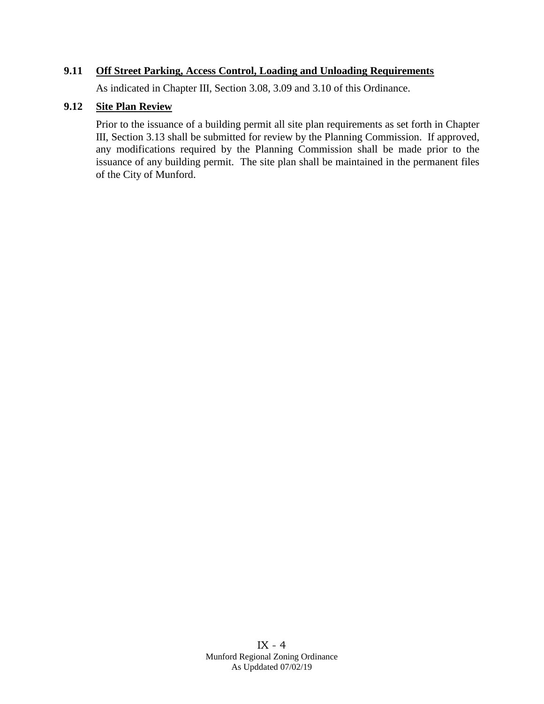### **9.11 Off Street Parking, Access Control, Loading and Unloading Requirements**

As indicated in Chapter III, Section 3.08, 3.09 and 3.10 of this Ordinance.

#### **9.12 Site Plan Review**

Prior to the issuance of a building permit all site plan requirements as set forth in Chapter III, Section 3.13 shall be submitted for review by the Planning Commission. If approved, any modifications required by the Planning Commission shall be made prior to the issuance of any building permit. The site plan shall be maintained in the permanent files of the City of Munford.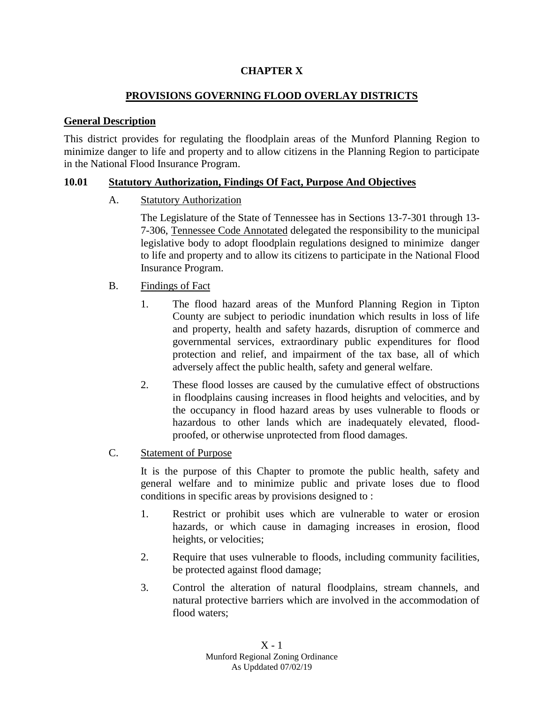# **CHAPTER X**

# **PROVISIONS GOVERNING FLOOD OVERLAY DISTRICTS**

### **General Description**

This district provides for regulating the floodplain areas of the Munford Planning Region to minimize danger to life and property and to allow citizens in the Planning Region to participate in the National Flood Insurance Program.

### **10.01 Statutory Authorization, Findings Of Fact, Purpose And Objectives**

### A. Statutory Authorization

The Legislature of the State of Tennessee has in Sections 13-7-301 through 13- 7-306, Tennessee Code Annotated delegated the responsibility to the municipal legislative body to adopt floodplain regulations designed to minimize danger to life and property and to allow its citizens to participate in the National Flood Insurance Program.

### B. Findings of Fact

- 1. The flood hazard areas of the Munford Planning Region in Tipton County are subject to periodic inundation which results in loss of life and property, health and safety hazards, disruption of commerce and governmental services, extraordinary public expenditures for flood protection and relief, and impairment of the tax base, all of which adversely affect the public health, safety and general welfare.
- 2. These flood losses are caused by the cumulative effect of obstructions in floodplains causing increases in flood heights and velocities, and by the occupancy in flood hazard areas by uses vulnerable to floods or hazardous to other lands which are inadequately elevated, floodproofed, or otherwise unprotected from flood damages.

#### C. Statement of Purpose

It is the purpose of this Chapter to promote the public health, safety and general welfare and to minimize public and private loses due to flood conditions in specific areas by provisions designed to :

- 1. Restrict or prohibit uses which are vulnerable to water or erosion hazards, or which cause in damaging increases in erosion, flood heights, or velocities;
- 2. Require that uses vulnerable to floods, including community facilities, be protected against flood damage;
- 3. Control the alteration of natural floodplains, stream channels, and natural protective barriers which are involved in the accommodation of flood waters;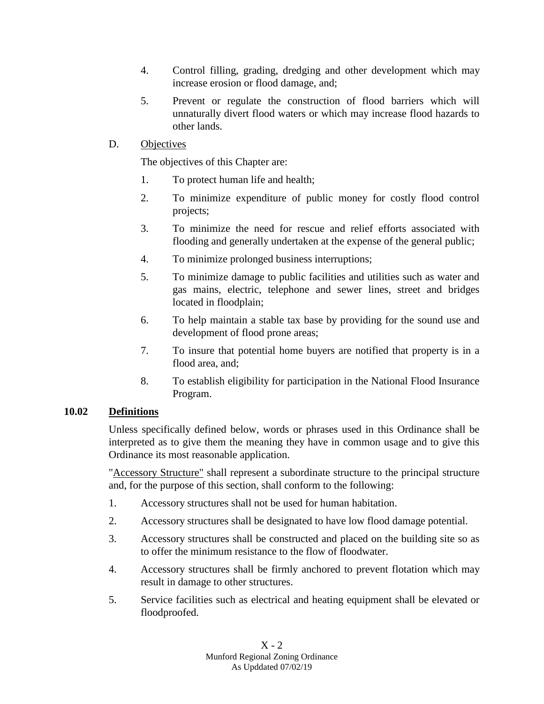- 4. Control filling, grading, dredging and other development which may increase erosion or flood damage, and;
- 5. Prevent or regulate the construction of flood barriers which will unnaturally divert flood waters or which may increase flood hazards to other lands.

# D. Objectives

The objectives of this Chapter are:

- 1. To protect human life and health;
- 2. To minimize expenditure of public money for costly flood control projects;
- 3. To minimize the need for rescue and relief efforts associated with flooding and generally undertaken at the expense of the general public;
- 4. To minimize prolonged business interruptions;
- 5. To minimize damage to public facilities and utilities such as water and gas mains, electric, telephone and sewer lines, street and bridges located in floodplain;
- 6. To help maintain a stable tax base by providing for the sound use and development of flood prone areas;
- 7. To insure that potential home buyers are notified that property is in a flood area, and;
- 8. To establish eligibility for participation in the National Flood Insurance Program.

# **10.02 Definitions**

Unless specifically defined below, words or phrases used in this Ordinance shall be interpreted as to give them the meaning they have in common usage and to give this Ordinance its most reasonable application.

"Accessory Structure" shall represent a subordinate structure to the principal structure and, for the purpose of this section, shall conform to the following:

- 1. Accessory structures shall not be used for human habitation.
- 2. Accessory structures shall be designated to have low flood damage potential.
- 3. Accessory structures shall be constructed and placed on the building site so as to offer the minimum resistance to the flow of floodwater.
- 4. Accessory structures shall be firmly anchored to prevent flotation which may result in damage to other structures.
- 5. Service facilities such as electrical and heating equipment shall be elevated or floodproofed.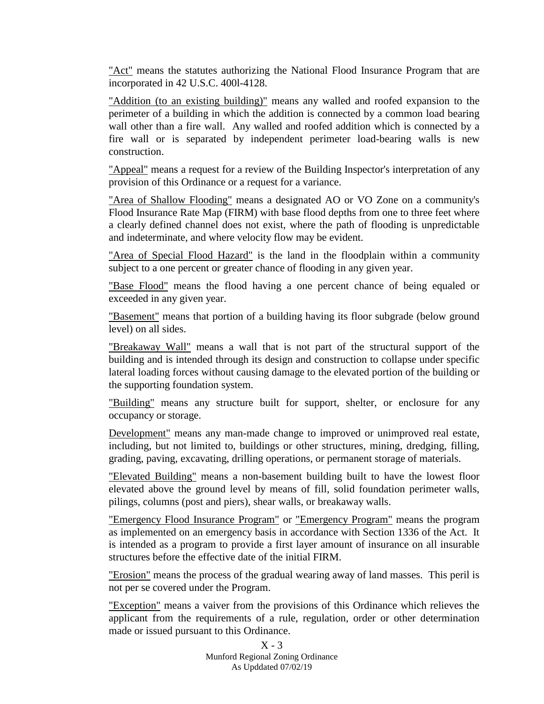"Act" means the statutes authorizing the National Flood Insurance Program that are incorporated in 42 U.S.C. 400l-4128.

"Addition (to an existing building)" means any walled and roofed expansion to the perimeter of a building in which the addition is connected by a common load bearing wall other than a fire wall. Any walled and roofed addition which is connected by a fire wall or is separated by independent perimeter load-bearing walls is new construction.

"Appeal" means a request for a review of the Building Inspector's interpretation of any provision of this Ordinance or a request for a variance.

"Area of Shallow Flooding" means a designated AO or VO Zone on a community's Flood Insurance Rate Map (FIRM) with base flood depths from one to three feet where a clearly defined channel does not exist, where the path of flooding is unpredictable and indeterminate, and where velocity flow may be evident.

"Area of Special Flood Hazard" is the land in the floodplain within a community subject to a one percent or greater chance of flooding in any given year.

"Base Flood" means the flood having a one percent chance of being equaled or exceeded in any given year.

"Basement" means that portion of a building having its floor subgrade (below ground level) on all sides.

"Breakaway Wall" means a wall that is not part of the structural support of the building and is intended through its design and construction to collapse under specific lateral loading forces without causing damage to the elevated portion of the building or the supporting foundation system.

"Building" means any structure built for support, shelter, or enclosure for any occupancy or storage.

Development" means any man-made change to improved or unimproved real estate, including, but not limited to, buildings or other structures, mining, dredging, filling, grading, paving, excavating, drilling operations, or permanent storage of materials.

"Elevated Building" means a non-basement building built to have the lowest floor elevated above the ground level by means of fill, solid foundation perimeter walls, pilings, columns (post and piers), shear walls, or breakaway walls.

"Emergency Flood Insurance Program" or "Emergency Program" means the program as implemented on an emergency basis in accordance with Section 1336 of the Act. It is intended as a program to provide a first layer amount of insurance on all insurable structures before the effective date of the initial FIRM.

"Erosion" means the process of the gradual wearing away of land masses. This peril is not per se covered under the Program.

"Exception" means a vaiver from the provisions of this Ordinance which relieves the applicant from the requirements of a rule, regulation, order or other determination made or issued pursuant to this Ordinance.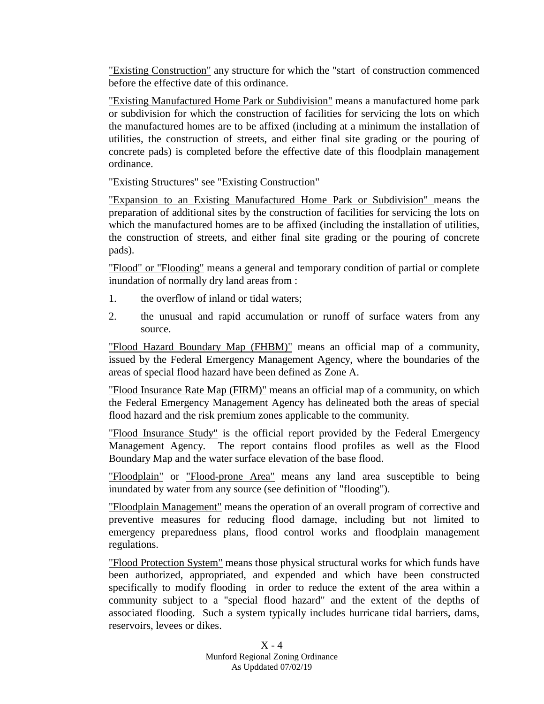"Existing Construction" any structure for which the "start of construction commenced before the effective date of this ordinance.

"Existing Manufactured Home Park or Subdivision" means a manufactured home park or subdivision for which the construction of facilities for servicing the lots on which the manufactured homes are to be affixed (including at a minimum the installation of utilities, the construction of streets, and either final site grading or the pouring of concrete pads) is completed before the effective date of this floodplain management ordinance.

"Existing Structures" see "Existing Construction"

"Expansion to an Existing Manufactured Home Park or Subdivision" means the preparation of additional sites by the construction of facilities for servicing the lots on which the manufactured homes are to be affixed (including the installation of utilities, the construction of streets, and either final site grading or the pouring of concrete pads).

"Flood" or "Flooding" means a general and temporary condition of partial or complete inundation of normally dry land areas from :

- 1. the overflow of inland or tidal waters;
- 2. the unusual and rapid accumulation or runoff of surface waters from any source.

"Flood Hazard Boundary Map (FHBM)" means an official map of a community, issued by the Federal Emergency Management Agency, where the boundaries of the areas of special flood hazard have been defined as Zone A.

"Flood Insurance Rate Map (FIRM)" means an official map of a community, on which the Federal Emergency Management Agency has delineated both the areas of special flood hazard and the risk premium zones applicable to the community.

"Flood Insurance Study" is the official report provided by the Federal Emergency Management Agency. The report contains flood profiles as well as the Flood Boundary Map and the water surface elevation of the base flood.

"Floodplain" or "Flood-prone Area" means any land area susceptible to being inundated by water from any source (see definition of "flooding").

"Floodplain Management" means the operation of an overall program of corrective and preventive measures for reducing flood damage, including but not limited to emergency preparedness plans, flood control works and floodplain management regulations.

"Flood Protection System" means those physical structural works for which funds have been authorized, appropriated, and expended and which have been constructed specifically to modify flooding in order to reduce the extent of the area within a community subject to a "special flood hazard" and the extent of the depths of associated flooding. Such a system typically includes hurricane tidal barriers, dams, reservoirs, levees or dikes.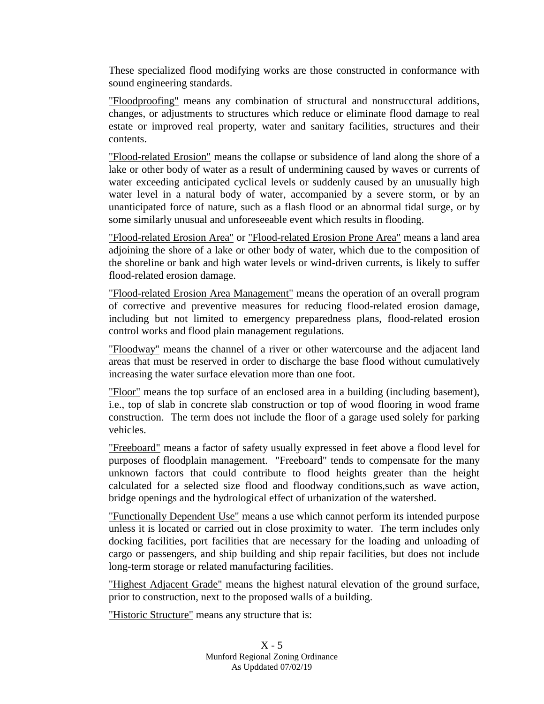These specialized flood modifying works are those constructed in conformance with sound engineering standards.

"Floodproofing" means any combination of structural and nonstrucctural additions, changes, or adjustments to structures which reduce or eliminate flood damage to real estate or improved real property, water and sanitary facilities, structures and their contents.

"Flood-related Erosion" means the collapse or subsidence of land along the shore of a lake or other body of water as a result of undermining caused by waves or currents of water exceeding anticipated cyclical levels or suddenly caused by an unusually high water level in a natural body of water, accompanied by a severe storm, or by an unanticipated force of nature, such as a flash flood or an abnormal tidal surge, or by some similarly unusual and unforeseeable event which results in flooding.

"Flood-related Erosion Area" or "Flood-related Erosion Prone Area" means a land area adjoining the shore of a lake or other body of water, which due to the composition of the shoreline or bank and high water levels or wind-driven currents, is likely to suffer flood-related erosion damage.

"Flood-related Erosion Area Management" means the operation of an overall program of corrective and preventive measures for reducing flood-related erosion damage, including but not limited to emergency preparedness plans, flood-related erosion control works and flood plain management regulations.

"Floodway" means the channel of a river or other watercourse and the adjacent land areas that must be reserved in order to discharge the base flood without cumulatively increasing the water surface elevation more than one foot.

"Floor" means the top surface of an enclosed area in a building (including basement), i.e., top of slab in concrete slab construction or top of wood flooring in wood frame construction. The term does not include the floor of a garage used solely for parking vehicles.

"Freeboard" means a factor of safety usually expressed in feet above a flood level for purposes of floodplain management. "Freeboard" tends to compensate for the many unknown factors that could contribute to flood heights greater than the height calculated for a selected size flood and floodway conditions,such as wave action, bridge openings and the hydrological effect of urbanization of the watershed.

"Functionally Dependent Use" means a use which cannot perform its intended purpose unless it is located or carried out in close proximity to water. The term includes only docking facilities, port facilities that are necessary for the loading and unloading of cargo or passengers, and ship building and ship repair facilities, but does not include long-term storage or related manufacturing facilities.

"Highest Adjacent Grade" means the highest natural elevation of the ground surface, prior to construction, next to the proposed walls of a building.

"Historic Structure" means any structure that is: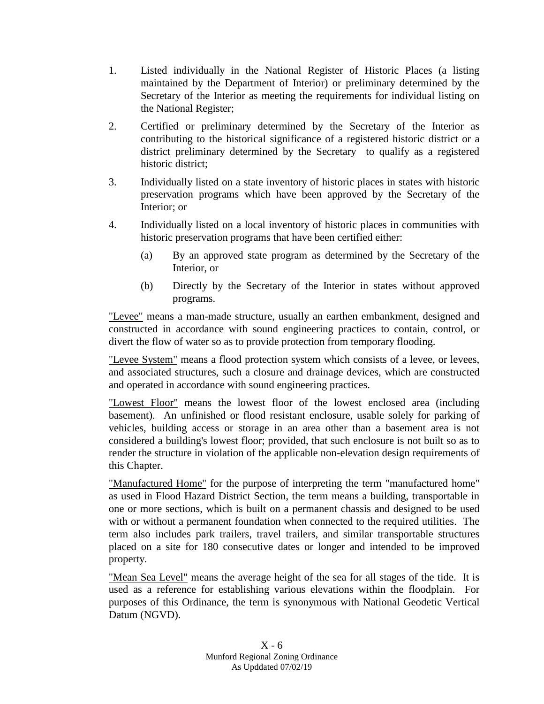- 1. Listed individually in the National Register of Historic Places (a listing maintained by the Department of Interior) or preliminary determined by the Secretary of the Interior as meeting the requirements for individual listing on the National Register;
- 2. Certified or preliminary determined by the Secretary of the Interior as contributing to the historical significance of a registered historic district or a district preliminary determined by the Secretary to qualify as a registered historic district;
- 3. Individually listed on a state inventory of historic places in states with historic preservation programs which have been approved by the Secretary of the Interior; or
- 4. Individually listed on a local inventory of historic places in communities with historic preservation programs that have been certified either:
	- (a) By an approved state program as determined by the Secretary of the Interior, or
	- (b) Directly by the Secretary of the Interior in states without approved programs.

"Levee" means a man-made structure, usually an earthen embankment, designed and constructed in accordance with sound engineering practices to contain, control, or divert the flow of water so as to provide protection from temporary flooding.

"Levee System" means a flood protection system which consists of a levee, or levees, and associated structures, such a closure and drainage devices, which are constructed and operated in accordance with sound engineering practices.

"Lowest Floor" means the lowest floor of the lowest enclosed area (including basement). An unfinished or flood resistant enclosure, usable solely for parking of vehicles, building access or storage in an area other than a basement area is not considered a building's lowest floor; provided, that such enclosure is not built so as to render the structure in violation of the applicable non-elevation design requirements of this Chapter.

"Manufactured Home" for the purpose of interpreting the term "manufactured home" as used in Flood Hazard District Section, the term means a building, transportable in one or more sections, which is built on a permanent chassis and designed to be used with or without a permanent foundation when connected to the required utilities. The term also includes park trailers, travel trailers, and similar transportable structures placed on a site for 180 consecutive dates or longer and intended to be improved property.

"Mean Sea Level" means the average height of the sea for all stages of the tide. It is used as a reference for establishing various elevations within the floodplain. For purposes of this Ordinance, the term is synonymous with National Geodetic Vertical Datum (NGVD).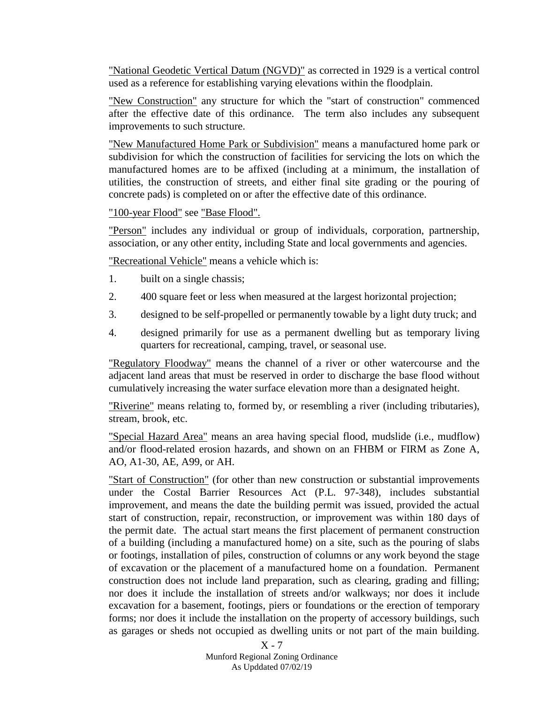"National Geodetic Vertical Datum (NGVD)" as corrected in 1929 is a vertical control used as a reference for establishing varying elevations within the floodplain.

"New Construction" any structure for which the "start of construction" commenced after the effective date of this ordinance. The term also includes any subsequent improvements to such structure.

"New Manufactured Home Park or Subdivision" means a manufactured home park or subdivision for which the construction of facilities for servicing the lots on which the manufactured homes are to be affixed (including at a minimum, the installation of utilities, the construction of streets, and either final site grading or the pouring of concrete pads) is completed on or after the effective date of this ordinance.

"100-year Flood" see "Base Flood".

"Person" includes any individual or group of individuals, corporation, partnership, association, or any other entity, including State and local governments and agencies.

"Recreational Vehicle" means a vehicle which is:

- 1. built on a single chassis;
- 2. 400 square feet or less when measured at the largest horizontal projection;
- 3. designed to be self-propelled or permanently towable by a light duty truck; and
- 4. designed primarily for use as a permanent dwelling but as temporary living quarters for recreational, camping, travel, or seasonal use.

"Regulatory Floodway" means the channel of a river or other watercourse and the adjacent land areas that must be reserved in order to discharge the base flood without cumulatively increasing the water surface elevation more than a designated height.

"Riverine" means relating to, formed by, or resembling a river (including tributaries), stream, brook, etc.

"Special Hazard Area" means an area having special flood, mudslide (i.e., mudflow) and/or flood-related erosion hazards, and shown on an FHBM or FIRM as Zone A, AO, A1-30, AE, A99, or AH.

"Start of Construction" (for other than new construction or substantial improvements under the Costal Barrier Resources Act (P.L. 97-348), includes substantial improvement, and means the date the building permit was issued, provided the actual start of construction, repair, reconstruction, or improvement was within 180 days of the permit date. The actual start means the first placement of permanent construction of a building (including a manufactured home) on a site, such as the pouring of slabs or footings, installation of piles, construction of columns or any work beyond the stage of excavation or the placement of a manufactured home on a foundation. Permanent construction does not include land preparation, such as clearing, grading and filling; nor does it include the installation of streets and/or walkways; nor does it include excavation for a basement, footings, piers or foundations or the erection of temporary forms; nor does it include the installation on the property of accessory buildings, such as garages or sheds not occupied as dwelling units or not part of the main building.

 $X - 7$ Munford Regional Zoning Ordinance As Upddated 07/02/19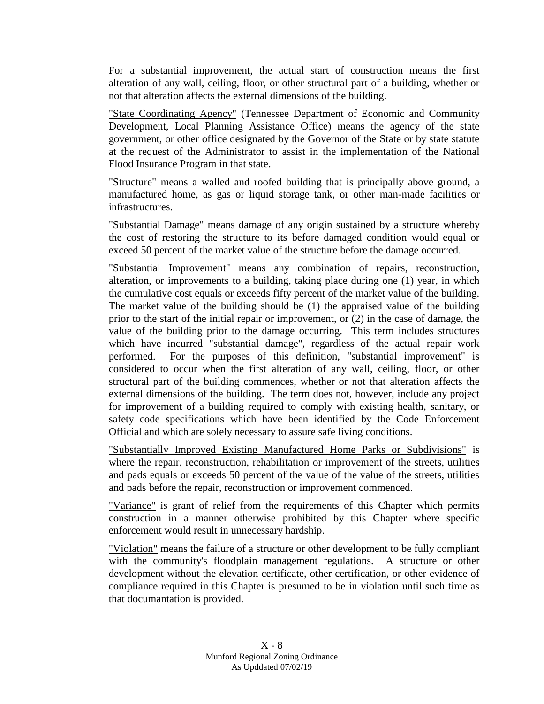For a substantial improvement, the actual start of construction means the first alteration of any wall, ceiling, floor, or other structural part of a building, whether or not that alteration affects the external dimensions of the building.

"State Coordinating Agency" (Tennessee Department of Economic and Community Development, Local Planning Assistance Office) means the agency of the state government, or other office designated by the Governor of the State or by state statute at the request of the Administrator to assist in the implementation of the National Flood Insurance Program in that state.

"Structure" means a walled and roofed building that is principally above ground, a manufactured home, as gas or liquid storage tank, or other man-made facilities or infrastructures.

"Substantial Damage" means damage of any origin sustained by a structure whereby the cost of restoring the structure to its before damaged condition would equal or exceed 50 percent of the market value of the structure before the damage occurred.

"Substantial Improvement" means any combination of repairs, reconstruction, alteration, or improvements to a building, taking place during one (1) year, in which the cumulative cost equals or exceeds fifty percent of the market value of the building. The market value of the building should be (1) the appraised value of the building prior to the start of the initial repair or improvement, or (2) in the case of damage, the value of the building prior to the damage occurring. This term includes structures which have incurred "substantial damage", regardless of the actual repair work performed. For the purposes of this definition, "substantial improvement" is considered to occur when the first alteration of any wall, ceiling, floor, or other structural part of the building commences, whether or not that alteration affects the external dimensions of the building. The term does not, however, include any project for improvement of a building required to comply with existing health, sanitary, or safety code specifications which have been identified by the Code Enforcement Official and which are solely necessary to assure safe living conditions.

"Substantially Improved Existing Manufactured Home Parks or Subdivisions" is where the repair, reconstruction, rehabilitation or improvement of the streets, utilities and pads equals or exceeds 50 percent of the value of the value of the streets, utilities and pads before the repair, reconstruction or improvement commenced.

"Variance" is grant of relief from the requirements of this Chapter which permits construction in a manner otherwise prohibited by this Chapter where specific enforcement would result in unnecessary hardship.

"Violation" means the failure of a structure or other development to be fully compliant with the community's floodplain management regulations. A structure or other development without the elevation certificate, other certification, or other evidence of compliance required in this Chapter is presumed to be in violation until such time as that documantation is provided.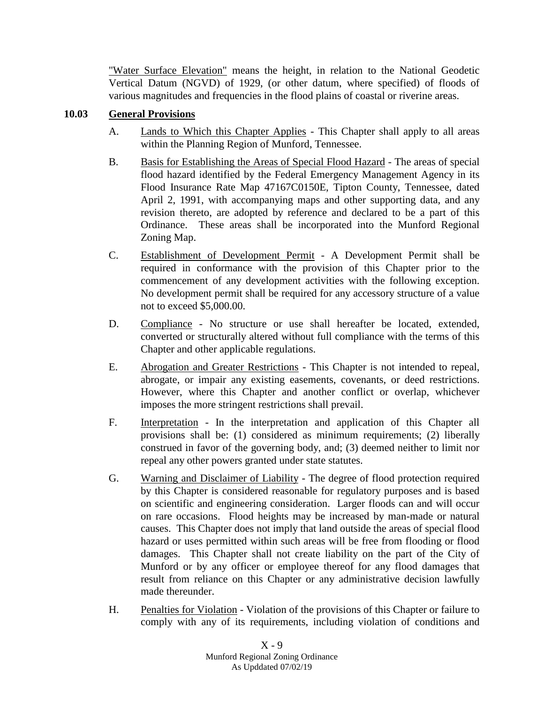"Water Surface Elevation" means the height, in relation to the National Geodetic Vertical Datum (NGVD) of 1929, (or other datum, where specified) of floods of various magnitudes and frequencies in the flood plains of coastal or riverine areas.

### **10.03 General Provisions**

- A. Lands to Which this Chapter Applies This Chapter shall apply to all areas within the Planning Region of Munford, Tennessee.
- B. Basis for Establishing the Areas of Special Flood Hazard The areas of special flood hazard identified by the Federal Emergency Management Agency in its Flood Insurance Rate Map 47167C0150E, Tipton County, Tennessee, dated April 2, 1991, with accompanying maps and other supporting data, and any revision thereto, are adopted by reference and declared to be a part of this Ordinance. These areas shall be incorporated into the Munford Regional Zoning Map.
- C. Establishment of Development Permit A Development Permit shall be required in conformance with the provision of this Chapter prior to the commencement of any development activities with the following exception. No development permit shall be required for any accessory structure of a value not to exceed \$5,000.00.
- D. Compliance No structure or use shall hereafter be located, extended, converted or structurally altered without full compliance with the terms of this Chapter and other applicable regulations.
- E. Abrogation and Greater Restrictions This Chapter is not intended to repeal, abrogate, or impair any existing easements, covenants, or deed restrictions. However, where this Chapter and another conflict or overlap, whichever imposes the more stringent restrictions shall prevail.
- F. Interpretation In the interpretation and application of this Chapter all provisions shall be: (1) considered as minimum requirements; (2) liberally construed in favor of the governing body, and; (3) deemed neither to limit nor repeal any other powers granted under state statutes.
- G. Warning and Disclaimer of Liability The degree of flood protection required by this Chapter is considered reasonable for regulatory purposes and is based on scientific and engineering consideration. Larger floods can and will occur on rare occasions. Flood heights may be increased by man-made or natural causes. This Chapter does not imply that land outside the areas of special flood hazard or uses permitted within such areas will be free from flooding or flood damages. This Chapter shall not create liability on the part of the City of Munford or by any officer or employee thereof for any flood damages that result from reliance on this Chapter or any administrative decision lawfully made thereunder.
- H. Penalties for Violation Violation of the provisions of this Chapter or failure to comply with any of its requirements, including violation of conditions and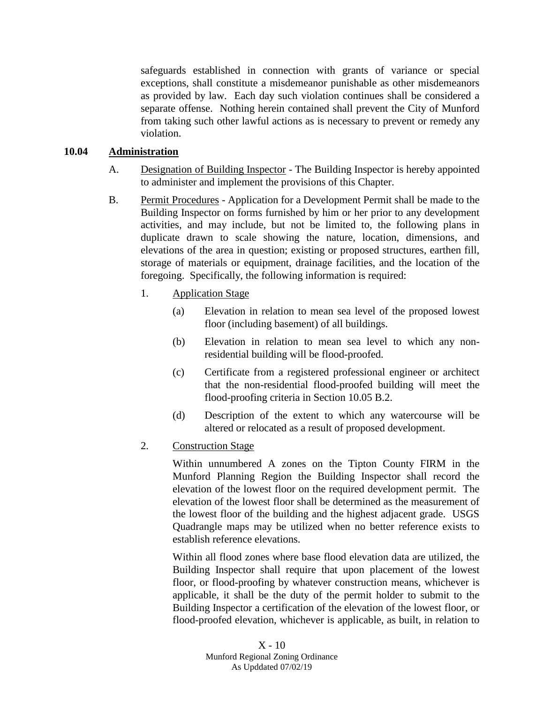safeguards established in connection with grants of variance or special exceptions, shall constitute a misdemeanor punishable as other misdemeanors as provided by law. Each day such violation continues shall be considered a separate offense. Nothing herein contained shall prevent the City of Munford from taking such other lawful actions as is necessary to prevent or remedy any violation.

### **10.04 Administration**

- A. Designation of Building Inspector The Building Inspector is hereby appointed to administer and implement the provisions of this Chapter.
- B. Permit Procedures Application for a Development Permit shall be made to the Building Inspector on forms furnished by him or her prior to any development activities, and may include, but not be limited to, the following plans in duplicate drawn to scale showing the nature, location, dimensions, and elevations of the area in question; existing or proposed structures, earthen fill, storage of materials or equipment, drainage facilities, and the location of the foregoing. Specifically, the following information is required:
	- 1. Application Stage
		- (a) Elevation in relation to mean sea level of the proposed lowest floor (including basement) of all buildings.
		- (b) Elevation in relation to mean sea level to which any nonresidential building will be flood-proofed.
		- (c) Certificate from a registered professional engineer or architect that the non-residential flood-proofed building will meet the flood-proofing criteria in Section 10.05 B.2.
		- (d) Description of the extent to which any watercourse will be altered or relocated as a result of proposed development.
	- 2. Construction Stage

Within unnumbered A zones on the Tipton County FIRM in the Munford Planning Region the Building Inspector shall record the elevation of the lowest floor on the required development permit. The elevation of the lowest floor shall be determined as the measurement of the lowest floor of the building and the highest adjacent grade. USGS Quadrangle maps may be utilized when no better reference exists to establish reference elevations.

Within all flood zones where base flood elevation data are utilized, the Building Inspector shall require that upon placement of the lowest floor, or flood-proofing by whatever construction means, whichever is applicable, it shall be the duty of the permit holder to submit to the Building Inspector a certification of the elevation of the lowest floor, or flood-proofed elevation, whichever is applicable, as built, in relation to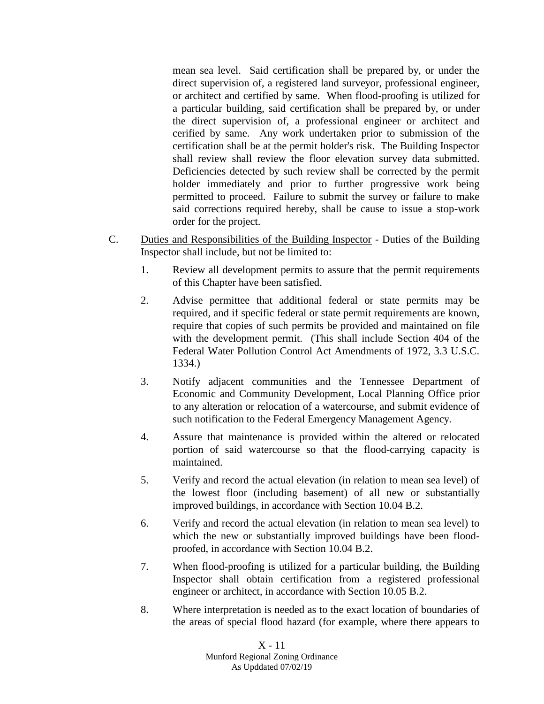mean sea level. Said certification shall be prepared by, or under the direct supervision of, a registered land surveyor, professional engineer, or architect and certified by same. When flood-proofing is utilized for a particular building, said certification shall be prepared by, or under the direct supervision of, a professional engineer or architect and cerified by same. Any work undertaken prior to submission of the certification shall be at the permit holder's risk. The Building Inspector shall review shall review the floor elevation survey data submitted. Deficiencies detected by such review shall be corrected by the permit holder immediately and prior to further progressive work being permitted to proceed. Failure to submit the survey or failure to make said corrections required hereby, shall be cause to issue a stop-work order for the project.

- C. Duties and Responsibilities of the Building Inspector Duties of the Building Inspector shall include, but not be limited to:
	- 1. Review all development permits to assure that the permit requirements of this Chapter have been satisfied.
	- 2. Advise permittee that additional federal or state permits may be required, and if specific federal or state permit requirements are known, require that copies of such permits be provided and maintained on file with the development permit. (This shall include Section 404 of the Federal Water Pollution Control Act Amendments of 1972, 3.3 U.S.C. 1334.)
	- 3. Notify adjacent communities and the Tennessee Department of Economic and Community Development, Local Planning Office prior to any alteration or relocation of a watercourse, and submit evidence of such notification to the Federal Emergency Management Agency.
	- 4. Assure that maintenance is provided within the altered or relocated portion of said watercourse so that the flood-carrying capacity is maintained.
	- 5. Verify and record the actual elevation (in relation to mean sea level) of the lowest floor (including basement) of all new or substantially improved buildings, in accordance with Section 10.04 B.2.
	- 6. Verify and record the actual elevation (in relation to mean sea level) to which the new or substantially improved buildings have been floodproofed, in accordance with Section 10.04 B.2.
	- 7. When flood-proofing is utilized for a particular building, the Building Inspector shall obtain certification from a registered professional engineer or architect, in accordance with Section 10.05 B.2.
	- 8. Where interpretation is needed as to the exact location of boundaries of the areas of special flood hazard (for example, where there appears to

X - 11 Munford Regional Zoning Ordinance As Upddated 07/02/19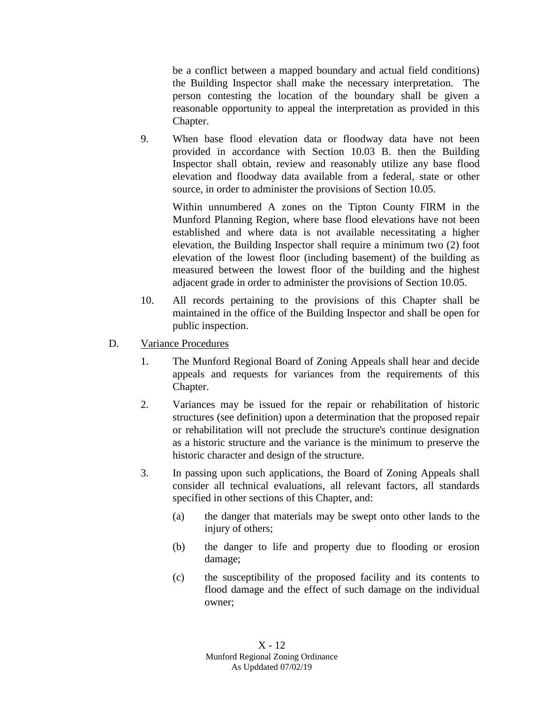be a conflict between a mapped boundary and actual field conditions) the Building Inspector shall make the necessary interpretation. The person contesting the location of the boundary shall be given a reasonable opportunity to appeal the interpretation as provided in this Chapter.

9. When base flood elevation data or floodway data have not been provided in accordance with Section 10.03 B. then the Building Inspector shall obtain, review and reasonably utilize any base flood elevation and floodway data available from a federal, state or other source, in order to administer the provisions of Section 10.05.

Within unnumbered A zones on the Tipton County FIRM in the Munford Planning Region, where base flood elevations have not been established and where data is not available necessitating a higher elevation, the Building Inspector shall require a minimum two (2) foot elevation of the lowest floor (including basement) of the building as measured between the lowest floor of the building and the highest adjacent grade in order to administer the provisions of Section 10.05.

- 10. All records pertaining to the provisions of this Chapter shall be maintained in the office of the Building Inspector and shall be open for public inspection.
- D. Variance Procedures
	- 1. The Munford Regional Board of Zoning Appeals shall hear and decide appeals and requests for variances from the requirements of this Chapter.
	- 2. Variances may be issued for the repair or rehabilitation of historic structures (see definition) upon a determination that the proposed repair or rehabilitation will not preclude the structure's continue designation as a historic structure and the variance is the minimum to preserve the historic character and design of the structure.
	- 3. In passing upon such applications, the Board of Zoning Appeals shall consider all technical evaluations, all relevant factors, all standards specified in other sections of this Chapter, and:
		- (a) the danger that materials may be swept onto other lands to the injury of others;
		- (b) the danger to life and property due to flooding or erosion damage;
		- (c) the susceptibility of the proposed facility and its contents to flood damage and the effect of such damage on the individual owner;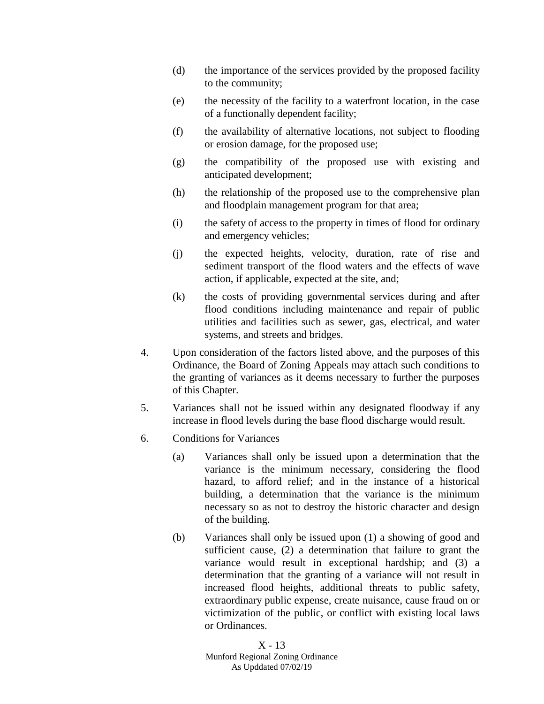- (d) the importance of the services provided by the proposed facility to the community;
- (e) the necessity of the facility to a waterfront location, in the case of a functionally dependent facility;
- (f) the availability of alternative locations, not subject to flooding or erosion damage, for the proposed use;
- (g) the compatibility of the proposed use with existing and anticipated development;
- (h) the relationship of the proposed use to the comprehensive plan and floodplain management program for that area;
- (i) the safety of access to the property in times of flood for ordinary and emergency vehicles;
- (j) the expected heights, velocity, duration, rate of rise and sediment transport of the flood waters and the effects of wave action, if applicable, expected at the site, and;
- (k) the costs of providing governmental services during and after flood conditions including maintenance and repair of public utilities and facilities such as sewer, gas, electrical, and water systems, and streets and bridges.
- 4. Upon consideration of the factors listed above, and the purposes of this Ordinance, the Board of Zoning Appeals may attach such conditions to the granting of variances as it deems necessary to further the purposes of this Chapter.
- 5. Variances shall not be issued within any designated floodway if any increase in flood levels during the base flood discharge would result.
- 6. Conditions for Variances
	- (a) Variances shall only be issued upon a determination that the variance is the minimum necessary, considering the flood hazard, to afford relief; and in the instance of a historical building, a determination that the variance is the minimum necessary so as not to destroy the historic character and design of the building.
	- (b) Variances shall only be issued upon (1) a showing of good and sufficient cause, (2) a determination that failure to grant the variance would result in exceptional hardship; and (3) a determination that the granting of a variance will not result in increased flood heights, additional threats to public safety, extraordinary public expense, create nuisance, cause fraud on or victimization of the public, or conflict with existing local laws or Ordinances.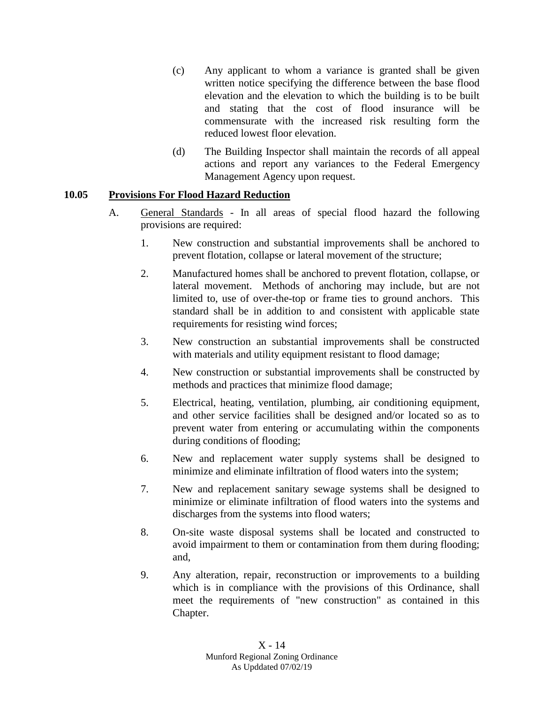- (c) Any applicant to whom a variance is granted shall be given written notice specifying the difference between the base flood elevation and the elevation to which the building is to be built and stating that the cost of flood insurance will be commensurate with the increased risk resulting form the reduced lowest floor elevation.
- (d) The Building Inspector shall maintain the records of all appeal actions and report any variances to the Federal Emergency Management Agency upon request.

# **10.05 Provisions For Flood Hazard Reduction**

- A. General Standards In all areas of special flood hazard the following provisions are required:
	- 1. New construction and substantial improvements shall be anchored to prevent flotation, collapse or lateral movement of the structure;
	- 2. Manufactured homes shall be anchored to prevent flotation, collapse, or lateral movement. Methods of anchoring may include, but are not limited to, use of over-the-top or frame ties to ground anchors. This standard shall be in addition to and consistent with applicable state requirements for resisting wind forces;
	- 3. New construction an substantial improvements shall be constructed with materials and utility equipment resistant to flood damage;
	- 4. New construction or substantial improvements shall be constructed by methods and practices that minimize flood damage;
	- 5. Electrical, heating, ventilation, plumbing, air conditioning equipment, and other service facilities shall be designed and/or located so as to prevent water from entering or accumulating within the components during conditions of flooding;
	- 6. New and replacement water supply systems shall be designed to minimize and eliminate infiltration of flood waters into the system;
	- 7. New and replacement sanitary sewage systems shall be designed to minimize or eliminate infiltration of flood waters into the systems and discharges from the systems into flood waters;
	- 8. On-site waste disposal systems shall be located and constructed to avoid impairment to them or contamination from them during flooding; and,
	- 9. Any alteration, repair, reconstruction or improvements to a building which is in compliance with the provisions of this Ordinance, shall meet the requirements of "new construction" as contained in this Chapter.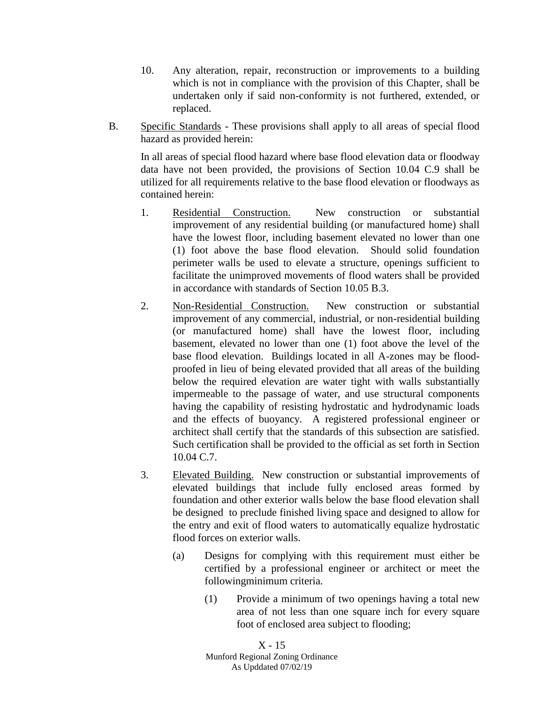- 10. Any alteration, repair, reconstruction or improvements to a building which is not in compliance with the provision of this Chapter, shall be undertaken only if said non-conformity is not furthered, extended, or replaced.
- B. Specific Standards These provisions shall apply to all areas of special flood hazard as provided herein:

In all areas of special flood hazard where base flood elevation data or floodway data have not been provided, the provisions of Section 10.04 C.9 shall be utilized for all requirements relative to the base flood elevation or floodways as contained herein:

- 1. Residential Construction. New construction or substantial improvement of any residential building (or manufactured home) shall have the lowest floor, including basement elevated no lower than one (1) foot above the base flood elevation. Should solid foundation perimeter walls be used to elevate a structure, openings sufficient to facilitate the unimproved movements of flood waters shall be provided in accordance with standards of Section 10.05 B.3.
- 2. Non-Residential Construction. New construction or substantial improvement of any commercial, industrial, or non-residential building (or manufactured home) shall have the lowest floor, including basement, elevated no lower than one (1) foot above the level of the base flood elevation. Buildings located in all A-zones may be floodproofed in lieu of being elevated provided that all areas of the building below the required elevation are water tight with walls substantially impermeable to the passage of water, and use structural components having the capability of resisting hydrostatic and hydrodynamic loads and the effects of buoyancy. A registered professional engineer or architect shall certify that the standards of this subsection are satisfied. Such certification shall be provided to the official as set forth in Section 10.04 C.7.
- 3. Elevated Building. New construction or substantial improvements of elevated buildings that include fully enclosed areas formed by foundation and other exterior walls below the base flood elevation shall be designed to preclude finished living space and designed to allow for the entry and exit of flood waters to automatically equalize hydrostatic flood forces on exterior walls.
	- (a) Designs for complying with this requirement must either be certified by a professional engineer or architect or meet the followingminimum criteria.
		- (1) Provide a minimum of two openings having a total new area of not less than one square inch for every square foot of enclosed area subject to flooding;

X - 15 Munford Regional Zoning Ordinance As Upddated 07/02/19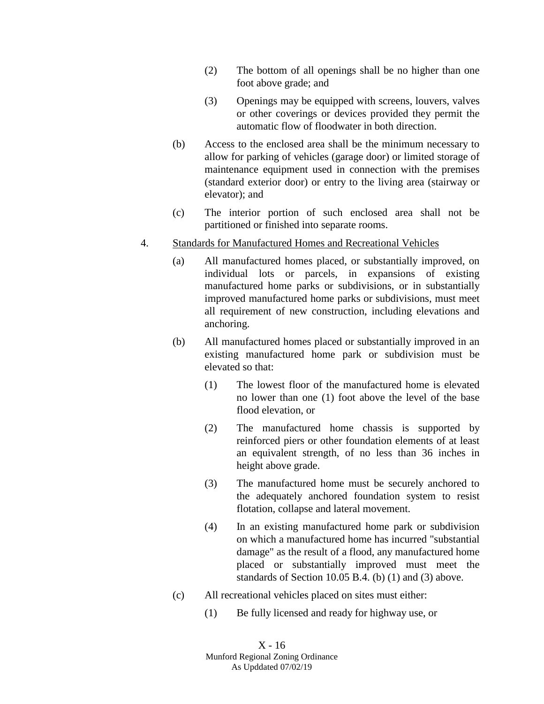- (2) The bottom of all openings shall be no higher than one foot above grade; and
- (3) Openings may be equipped with screens, louvers, valves or other coverings or devices provided they permit the automatic flow of floodwater in both direction.
- (b) Access to the enclosed area shall be the minimum necessary to allow for parking of vehicles (garage door) or limited storage of maintenance equipment used in connection with the premises (standard exterior door) or entry to the living area (stairway or elevator); and
- (c) The interior portion of such enclosed area shall not be partitioned or finished into separate rooms.

### 4. Standards for Manufactured Homes and Recreational Vehicles

- (a) All manufactured homes placed, or substantially improved, on individual lots or parcels, in expansions of existing manufactured home parks or subdivisions, or in substantially improved manufactured home parks or subdivisions, must meet all requirement of new construction, including elevations and anchoring.
- (b) All manufactured homes placed or substantially improved in an existing manufactured home park or subdivision must be elevated so that:
	- (1) The lowest floor of the manufactured home is elevated no lower than one (1) foot above the level of the base flood elevation, or
	- (2) The manufactured home chassis is supported by reinforced piers or other foundation elements of at least an equivalent strength, of no less than 36 inches in height above grade.
	- (3) The manufactured home must be securely anchored to the adequately anchored foundation system to resist flotation, collapse and lateral movement.
	- (4) In an existing manufactured home park or subdivision on which a manufactured home has incurred "substantial damage" as the result of a flood, any manufactured home placed or substantially improved must meet the standards of Section 10.05 B.4. (b) (1) and (3) above.
- (c) All recreational vehicles placed on sites must either:
	- (1) Be fully licensed and ready for highway use, or

X - 16 Munford Regional Zoning Ordinance As Upddated 07/02/19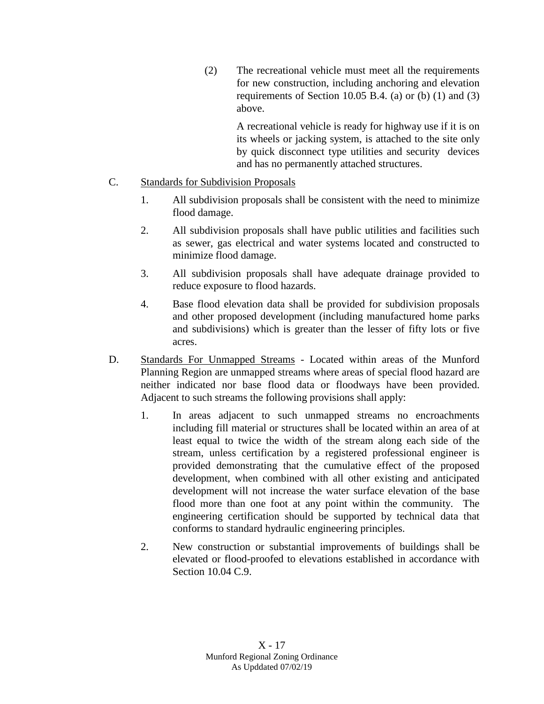(2) The recreational vehicle must meet all the requirements for new construction, including anchoring and elevation requirements of Section 10.05 B.4. (a) or (b)  $(1)$  and  $(3)$ above.

> A recreational vehicle is ready for highway use if it is on its wheels or jacking system, is attached to the site only by quick disconnect type utilities and security devices and has no permanently attached structures.

### C. Standards for Subdivision Proposals

- 1. All subdivision proposals shall be consistent with the need to minimize flood damage.
- 2. All subdivision proposals shall have public utilities and facilities such as sewer, gas electrical and water systems located and constructed to minimize flood damage.
- 3. All subdivision proposals shall have adequate drainage provided to reduce exposure to flood hazards.
- 4. Base flood elevation data shall be provided for subdivision proposals and other proposed development (including manufactured home parks and subdivisions) which is greater than the lesser of fifty lots or five acres.
- D. Standards For Unmapped Streams Located within areas of the Munford Planning Region are unmapped streams where areas of special flood hazard are neither indicated nor base flood data or floodways have been provided. Adjacent to such streams the following provisions shall apply:
	- 1. In areas adjacent to such unmapped streams no encroachments including fill material or structures shall be located within an area of at least equal to twice the width of the stream along each side of the stream, unless certification by a registered professional engineer is provided demonstrating that the cumulative effect of the proposed development, when combined with all other existing and anticipated development will not increase the water surface elevation of the base flood more than one foot at any point within the community. The engineering certification should be supported by technical data that conforms to standard hydraulic engineering principles.
	- 2. New construction or substantial improvements of buildings shall be elevated or flood-proofed to elevations established in accordance with Section 10.04 C.9.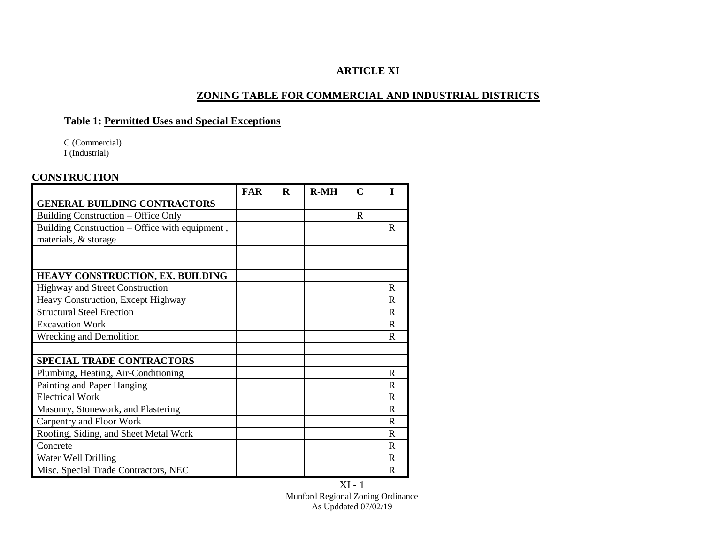# **ARTICLE XI**

### **ZONING TABLE FOR COMMERCIAL AND INDUSTRIAL DISTRICTS**

# **Table 1: Permitted Uses and Special Exceptions**

C (Commercial) I (Industrial)

#### **CONSTRUCTION**

|                                                | <b>FAR</b> | R | $R-MH$ | $\mathbf C$ |              |
|------------------------------------------------|------------|---|--------|-------------|--------------|
| <b>GENERAL BUILDING CONTRACTORS</b>            |            |   |        |             |              |
| Building Construction – Office Only            |            |   |        | R           |              |
| Building Construction – Office with equipment, |            |   |        |             | R            |
| materials, & storage                           |            |   |        |             |              |
|                                                |            |   |        |             |              |
|                                                |            |   |        |             |              |
| <b>HEAVY CONSTRUCTION, EX. BUILDING</b>        |            |   |        |             |              |
| <b>Highway and Street Construction</b>         |            |   |        |             | R            |
| Heavy Construction, Except Highway             |            |   |        |             | R            |
| <b>Structural Steel Erection</b>               |            |   |        |             | R            |
| <b>Excavation Work</b>                         |            |   |        |             | $\mathbf{R}$ |
| Wrecking and Demolition                        |            |   |        |             | R            |
|                                                |            |   |        |             |              |
| <b>SPECIAL TRADE CONTRACTORS</b>               |            |   |        |             |              |
| Plumbing, Heating, Air-Conditioning            |            |   |        |             | R            |
| Painting and Paper Hanging                     |            |   |        |             | R            |
| <b>Electrical Work</b>                         |            |   |        |             | R            |
| Masonry, Stonework, and Plastering             |            |   |        |             | R            |
| Carpentry and Floor Work                       |            |   |        |             | R            |
| Roofing, Siding, and Sheet Metal Work          |            |   |        |             | R            |
| Concrete                                       |            |   |        |             | R            |
| Water Well Drilling                            |            |   |        |             | R            |
| Misc. Special Trade Contractors, NEC           |            |   |        |             | $\mathbf R$  |

XI - 1 Munford Regional Zoning Ordinance As Upddated 07/02/19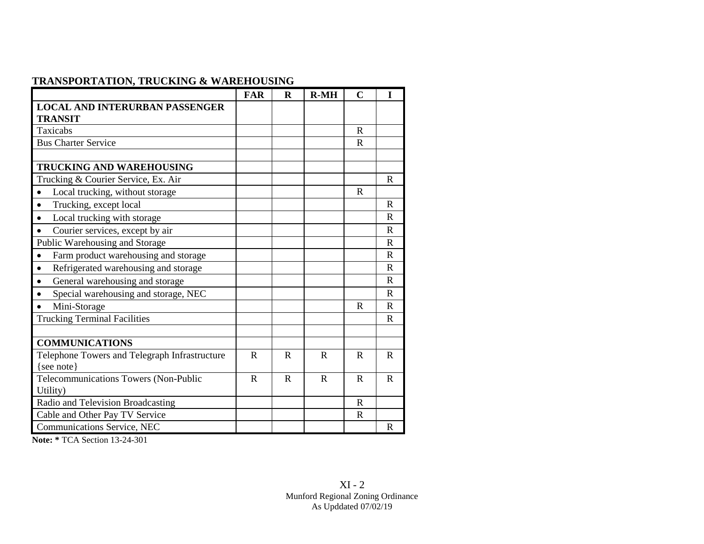# **TRANSPORTATION, TRUCKING & WAREHOUSING**

|                                                   | <b>FAR</b>   | $\bf{R}$     | $R-MH$       | $\mathbf C$  | I            |
|---------------------------------------------------|--------------|--------------|--------------|--------------|--------------|
| <b>LOCAL AND INTERURBAN PASSENGER</b>             |              |              |              |              |              |
| <b>TRANSIT</b>                                    |              |              |              |              |              |
| Taxicabs                                          |              |              |              | $\mathbf R$  |              |
| <b>Bus Charter Service</b>                        |              |              |              | $\mathbf R$  |              |
|                                                   |              |              |              |              |              |
| <b>TRUCKING AND WAREHOUSING</b>                   |              |              |              |              |              |
| Trucking & Courier Service, Ex. Air               |              |              |              |              | R            |
| Local trucking, without storage<br>$\bullet$      |              |              |              | $\mathbb{R}$ |              |
| Trucking, except local                            |              |              |              |              | $\mathbf R$  |
| Local trucking with storage                       |              |              |              |              | $\mathbf R$  |
| Courier services, except by air                   |              |              |              |              | $\mathbf R$  |
| Public Warehousing and Storage                    |              |              |              |              | $\mathbf R$  |
| Farm product warehousing and storage              |              |              |              |              | $\mathbf R$  |
| Refrigerated warehousing and storage<br>$\bullet$ |              |              |              |              | $\mathbf{R}$ |
| General warehousing and storage                   |              |              |              |              | $\mathbf{R}$ |
| Special warehousing and storage, NEC              |              |              |              |              | $\mathbf R$  |
| Mini-Storage                                      |              |              |              | $\mathbf R$  | $\mathbf{R}$ |
| <b>Trucking Terminal Facilities</b>               |              |              |              |              | R            |
|                                                   |              |              |              |              |              |
| <b>COMMUNICATIONS</b>                             |              |              |              |              |              |
| Telephone Towers and Telegraph Infrastructure     | $\mathbb{R}$ | $\mathbf R$  | $\mathbb{R}$ | $\mathbb{R}$ | $\mathbb{R}$ |
| $\{see note\}$                                    |              |              |              |              |              |
| Telecommunications Towers (Non-Public             | $\mathbb{R}$ | $\mathbb{R}$ | R            | $\mathbb{R}$ | $\mathbb{R}$ |
| Utility)                                          |              |              |              |              |              |
| Radio and Television Broadcasting                 |              |              |              | R            |              |
| Cable and Other Pay TV Service                    |              |              |              | $\mathbf R$  |              |
| Communications Service, NEC                       |              |              |              |              | $\mathbf R$  |

**Note: \*** TCA Section 13-24-301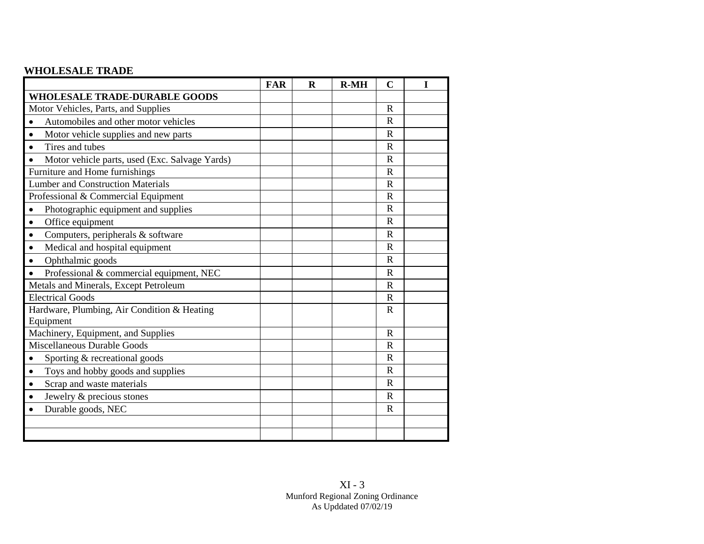## **WHOLESALE TRADE**

|                                                       | <b>FAR</b> | $\mathbf R$ | $R-MH$ | $\mathbf C$  | I |
|-------------------------------------------------------|------------|-------------|--------|--------------|---|
| <b>WHOLESALE TRADE-DURABLE GOODS</b>                  |            |             |        |              |   |
| Motor Vehicles, Parts, and Supplies                   |            |             |        | $\mathbf R$  |   |
| Automobiles and other motor vehicles                  |            |             |        | $\mathbf R$  |   |
| Motor vehicle supplies and new parts<br>$\bullet$     |            |             |        | $\mathbf R$  |   |
| Tires and tubes<br>$\bullet$                          |            |             |        | $\mathbb{R}$ |   |
| Motor vehicle parts, used (Exc. Salvage Yards)        |            |             |        | $\mathbf R$  |   |
| Furniture and Home furnishings                        |            |             |        | $\mathbf R$  |   |
| <b>Lumber and Construction Materials</b>              |            |             |        | $\mathbf R$  |   |
| Professional & Commercial Equipment                   |            |             |        | $\mathbf R$  |   |
| Photographic equipment and supplies                   |            |             |        | $\mathbf R$  |   |
| Office equipment<br>$\bullet$                         |            |             |        | $\mathbf R$  |   |
| Computers, peripherals & software<br>$\bullet$        |            |             |        | $\mathbb{R}$ |   |
| Medical and hospital equipment<br>$\bullet$           |            |             |        | $\mathbf R$  |   |
| Ophthalmic goods<br>$\bullet$                         |            |             |        | $\mathbf R$  |   |
| Professional & commercial equipment, NEC<br>$\bullet$ |            |             |        | $\mathbf R$  |   |
| Metals and Minerals, Except Petroleum                 |            |             |        | $\mathbf R$  |   |
| <b>Electrical Goods</b>                               |            |             |        | $\mathbb{R}$ |   |
| Hardware, Plumbing, Air Condition & Heating           |            |             |        | $\mathbb{R}$ |   |
| Equipment                                             |            |             |        |              |   |
| Machinery, Equipment, and Supplies                    |            |             |        | $\mathbf R$  |   |
| Miscellaneous Durable Goods                           |            |             |        | $\mathbf R$  |   |
| Sporting & recreational goods<br>$\bullet$            |            |             |        | $\mathbf R$  |   |
| Toys and hobby goods and supplies<br>$\bullet$        |            |             |        | $\mathbf R$  |   |
| Scrap and waste materials<br>$\bullet$                |            |             |        | $\mathbf R$  |   |
| Jewelry & precious stones                             |            |             |        | $\mathbb{R}$ |   |
| Durable goods, NEC<br>$\bullet$                       |            |             |        | $\mathbf R$  |   |
|                                                       |            |             |        |              |   |
|                                                       |            |             |        |              |   |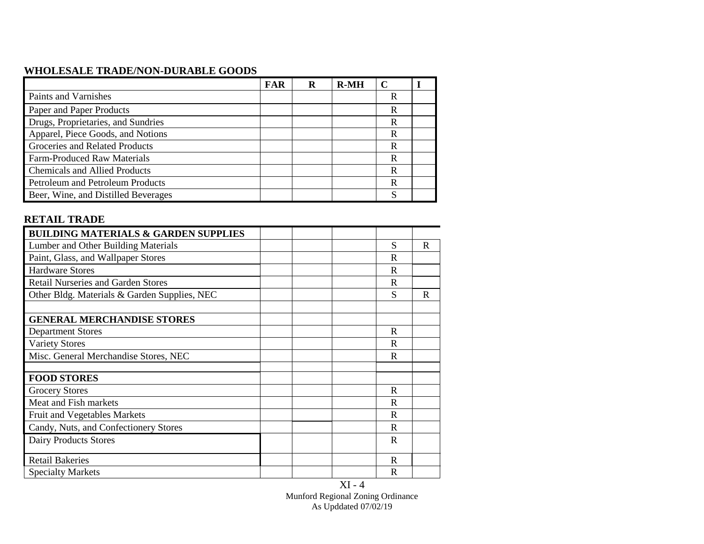## **WHOLESALE TRADE/NON-DURABLE GOODS**

|                                      | <b>FAR</b> | R | $R-MH$ |   |  |
|--------------------------------------|------------|---|--------|---|--|
| Paints and Varnishes                 |            |   |        | R |  |
| Paper and Paper Products             |            |   |        | R |  |
| Drugs, Proprietaries, and Sundries   |            |   |        | R |  |
| Apparel, Piece Goods, and Notions    |            |   |        | R |  |
| Groceries and Related Products       |            |   |        | R |  |
| <b>Farm-Produced Raw Materials</b>   |            |   |        | R |  |
| <b>Chemicals and Allied Products</b> |            |   |        | R |  |
| Petroleum and Petroleum Products     |            |   |        | R |  |
| Beer, Wine, and Distilled Beverages  |            |   |        | c |  |

### **RETAIL TRADE**

| <b>BUILDING MATERIALS &amp; GARDEN SUPPLIES</b> |              |             |
|-------------------------------------------------|--------------|-------------|
| Lumber and Other Building Materials             | S            | $\mathbf R$ |
| Paint, Glass, and Wallpaper Stores              | R            |             |
| <b>Hardware Stores</b>                          | R            |             |
| <b>Retail Nurseries and Garden Stores</b>       | $\mathbf R$  |             |
| Other Bldg. Materials & Garden Supplies, NEC    | S            | R           |
|                                                 |              |             |
| <b>GENERAL MERCHANDISE STORES</b>               |              |             |
| <b>Department Stores</b>                        | R            |             |
| <b>Variety Stores</b>                           | R            |             |
| Misc. General Merchandise Stores, NEC           | R            |             |
|                                                 |              |             |
| <b>FOOD STORES</b>                              |              |             |
| <b>Grocery Stores</b>                           | R            |             |
| Meat and Fish markets                           | R            |             |
| Fruit and Vegetables Markets                    | R            |             |
| Candy, Nuts, and Confectionery Stores           | $\mathbf R$  |             |
| Dairy Products Stores                           | R            |             |
| <b>Retail Bakeries</b>                          | R            |             |
| <b>Specialty Markets</b>                        | $\mathbb{R}$ |             |

XI - 4 Munford Regional Zoning Ordinance As Upddated 07/02/19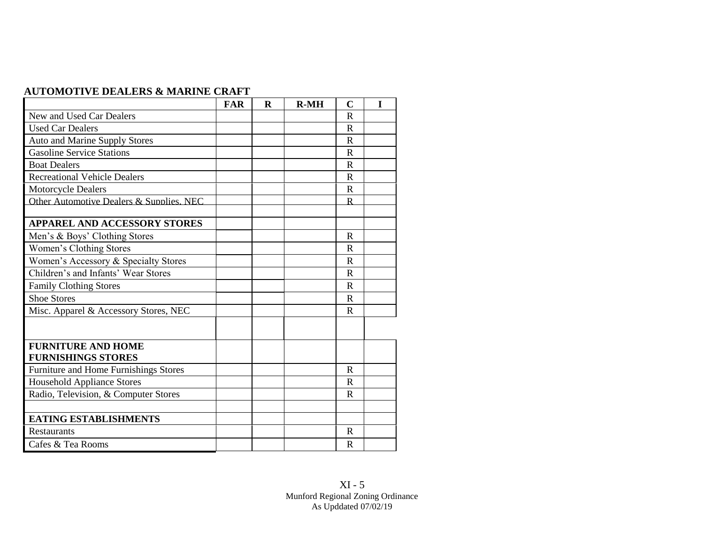| <b>AUTOMOTIVE DEALERS &amp; MARINE CRAFT</b> |  |
|----------------------------------------------|--|
|----------------------------------------------|--|

| <b>FAR</b> | R | $R-MH$ | $\mathbf C$ | I |
|------------|---|--------|-------------|---|
|            |   |        | $\mathbf R$ |   |
|            |   |        | R           |   |
|            |   |        | $\mathbf R$ |   |
|            |   |        | $\mathbf R$ |   |
|            |   |        | $\mathbf R$ |   |
|            |   |        | $\mathbf R$ |   |
|            |   |        | $\mathbf R$ |   |
|            |   |        | $\mathbf R$ |   |
|            |   |        |             |   |
|            |   |        |             |   |
|            |   |        | $\mathbf R$ |   |
|            |   |        | $\mathbf R$ |   |
|            |   |        | $\mathbf R$ |   |
|            |   |        | R           |   |
|            |   |        | $\mathbf R$ |   |
|            |   |        | R           |   |
|            |   |        | $\mathbf R$ |   |
|            |   |        |             |   |
|            |   |        |             |   |
|            |   |        |             |   |
|            |   |        | R           |   |
|            |   |        | $\mathbf R$ |   |
|            |   |        | R           |   |
|            |   |        |             |   |
|            |   |        |             |   |
|            |   |        | $\mathbf R$ |   |
|            |   |        | R           |   |
|            |   |        |             |   |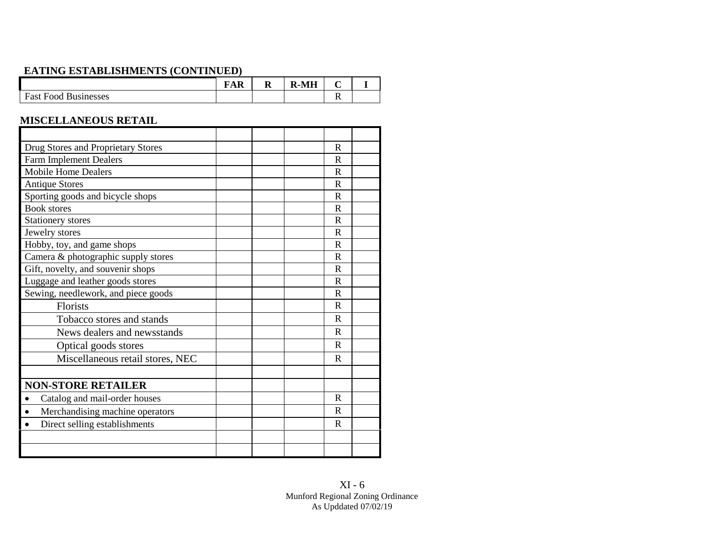# **EATING ESTABLISHMENTS (CONTINUED)**

|                             | $\overline{\phantom{a}}$<br>`AR | - IN | R-MH<br>D |  |
|-----------------------------|---------------------------------|------|-----------|--|
| <b>Fast Food Businesses</b> |                                 |      |           |  |

## **MISCELLANEOUS RETAIL**

| Drug Stores and Proprietary Stores           |  | R           |  |
|----------------------------------------------|--|-------------|--|
| <b>Farm Implement Dealers</b>                |  | R           |  |
| <b>Mobile Home Dealers</b>                   |  | R           |  |
| <b>Antique Stores</b>                        |  | R           |  |
| Sporting goods and bicycle shops             |  | R           |  |
| <b>Book stores</b>                           |  | R           |  |
| Stationery stores                            |  | R           |  |
| Jewelry stores                               |  | R           |  |
| Hobby, toy, and game shops                   |  | $\mathbf R$ |  |
| Camera & photographic supply stores          |  | R           |  |
| Gift, novelty, and souvenir shops            |  | R           |  |
| Luggage and leather goods stores             |  | R           |  |
| Sewing, needlework, and piece goods          |  | R           |  |
| Florists                                     |  | R           |  |
| Tobacco stores and stands                    |  | R           |  |
| News dealers and newsstands                  |  | $\mathbf R$ |  |
| Optical goods stores                         |  | $\mathbf R$ |  |
| Miscellaneous retail stores, NEC             |  | R           |  |
|                                              |  |             |  |
| <b>NON-STORE RETAILER</b>                    |  |             |  |
| Catalog and mail-order houses<br>$\bullet$   |  | $\mathbf R$ |  |
| Merchandising machine operators<br>$\bullet$ |  | R           |  |
| Direct selling establishments<br>$\bullet$   |  | R           |  |
|                                              |  |             |  |
|                                              |  |             |  |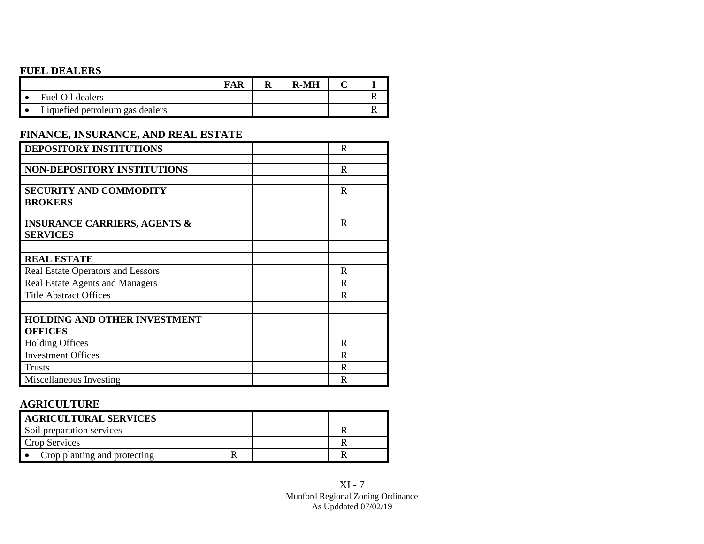## **FUEL DEALERS**

|                                 |  | <b>R-MH</b> |  |
|---------------------------------|--|-------------|--|
| Fuel Oil dealers                |  |             |  |
| Liquefied petroleum gas dealers |  |             |  |

### **FINANCE, INSURANCE, AND REAL ESTATE**

| <b>DEPOSITORY INSTITUTIONS</b>           |  | R           |  |
|------------------------------------------|--|-------------|--|
|                                          |  |             |  |
| <b>NON-DEPOSITORY INSTITUTIONS</b>       |  | R           |  |
|                                          |  |             |  |
| <b>SECURITY AND COMMODITY</b>            |  | $\mathbf R$ |  |
| <b>BROKERS</b>                           |  |             |  |
|                                          |  |             |  |
| <b>INSURANCE CARRIERS, AGENTS &amp;</b>  |  | R           |  |
| <b>SERVICES</b>                          |  |             |  |
|                                          |  |             |  |
| <b>REAL ESTATE</b>                       |  |             |  |
| <b>Real Estate Operators and Lessors</b> |  | R           |  |
| Real Estate Agents and Managers          |  | R.          |  |
| <b>Title Abstract Offices</b>            |  | R           |  |
|                                          |  |             |  |
| <b>HOLDING AND OTHER INVESTMENT</b>      |  |             |  |
| <b>OFFICES</b>                           |  |             |  |
| <b>Holding Offices</b>                   |  | R           |  |
| <b>Investment Offices</b>                |  | R           |  |
| <b>Trusts</b>                            |  | R           |  |
| Miscellaneous Investing                  |  | R           |  |

## **AGRICULTURE**

| <b>AGRICULTURAL SERVICES</b> |  |  |  |
|------------------------------|--|--|--|
| Soil preparation services    |  |  |  |
| Crop Services                |  |  |  |
| Crop planting and protecting |  |  |  |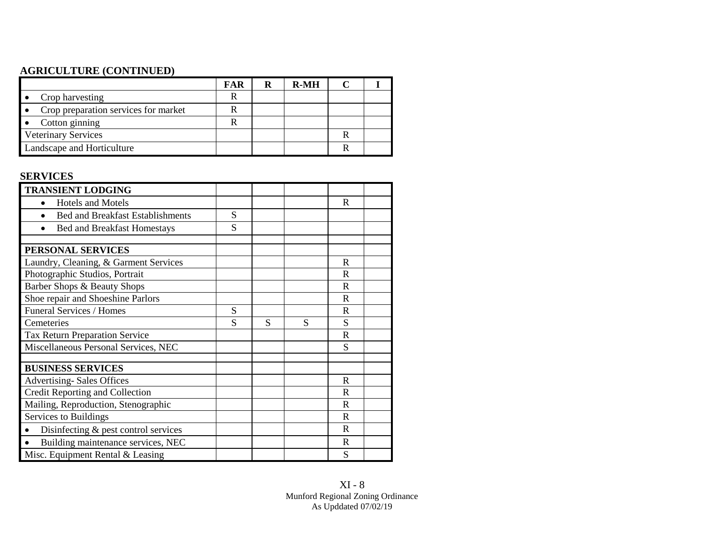## **AGRICULTURE (CONTINUED)**

|                                      | FAR | R | <b>R-MH</b> |  |
|--------------------------------------|-----|---|-------------|--|
| Crop harvesting                      |     |   |             |  |
| Crop preparation services for market |     |   |             |  |
| Cotton ginning                       |     |   |             |  |
| <b>Veterinary Services</b>           |     |   |             |  |
| Landscape and Horticulture           |     |   |             |  |

## **SERVICES**

| <b>TRANSIENT LODGING</b>                            |   |   |   |             |  |
|-----------------------------------------------------|---|---|---|-------------|--|
| <b>Hotels and Motels</b>                            |   |   |   | R           |  |
| <b>Bed and Breakfast Establishments</b>             | S |   |   |             |  |
| <b>Bed and Breakfast Homestays</b>                  | S |   |   |             |  |
|                                                     |   |   |   |             |  |
| PERSONAL SERVICES                                   |   |   |   |             |  |
| Laundry, Cleaning, & Garment Services               |   |   |   | $\mathbf R$ |  |
| Photographic Studios, Portrait                      |   |   |   | R           |  |
| Barber Shops & Beauty Shops                         |   |   |   | R           |  |
| Shoe repair and Shoeshine Parlors                   |   |   |   | R           |  |
| Funeral Services / Homes                            | S |   |   | R           |  |
| Cemeteries                                          | S | S | S | S           |  |
| Tax Return Preparation Service                      |   |   |   | R           |  |
| Miscellaneous Personal Services, NEC                |   |   |   | S           |  |
|                                                     |   |   |   |             |  |
| <b>BUSINESS SERVICES</b>                            |   |   |   |             |  |
| <b>Advertising-Sales Offices</b>                    |   |   |   | $\mathbf R$ |  |
| Credit Reporting and Collection                     |   |   |   | R           |  |
| Mailing, Reproduction, Stenographic                 |   |   |   | R           |  |
| Services to Buildings                               |   |   |   | R           |  |
| Disinfecting $&$ pest control services<br>$\bullet$ |   |   |   | R           |  |
| Building maintenance services, NEC<br>$\bullet$     |   |   |   | $\mathbf R$ |  |
| Misc. Equipment Rental & Leasing                    |   |   |   | S           |  |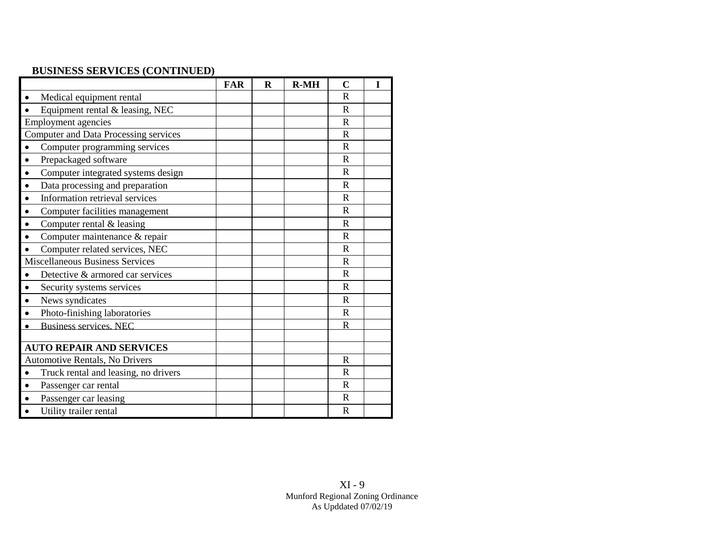## **BUSINESS SERVICES (CONTINUED)**

|                                                 | <b>FAR</b> | $\bf{R}$ | $R-MH$ | $\mathbf C$ | I |
|-------------------------------------------------|------------|----------|--------|-------------|---|
| Medical equipment rental<br>$\bullet$           |            |          |        | R           |   |
| Equipment rental & leasing, NEC                 |            |          |        | $\mathbf R$ |   |
| <b>Employment agencies</b>                      |            |          |        | $\mathbf R$ |   |
| <b>Computer and Data Processing services</b>    |            |          |        | $\mathbf R$ |   |
| Computer programming services<br>$\bullet$      |            |          |        | $\mathbf R$ |   |
| Prepackaged software<br>$\bullet$               |            |          |        | $\mathbf R$ |   |
| Computer integrated systems design<br>$\bullet$ |            |          |        | $\mathbf R$ |   |
| Data processing and preparation<br>$\bullet$    |            |          |        | $\mathbf R$ |   |
| Information retrieval services<br>$\bullet$     |            |          |        | $\mathbf R$ |   |
| Computer facilities management<br>$\bullet$     |            |          |        | R           |   |
| Computer rental & leasing<br>$\bullet$          |            |          |        | $\mathbf R$ |   |
| Computer maintenance & repair                   |            |          |        | $\mathbf R$ |   |
| Computer related services, NEC                  |            |          |        | $\mathbf R$ |   |
| <b>Miscellaneous Business Services</b>          |            |          |        | $\mathbf R$ |   |
| Detective & armored car services<br>$\bullet$   |            |          |        | $\mathbf R$ |   |
| Security systems services                       |            |          |        | $\mathbf R$ |   |
| News syndicates                                 |            |          |        | $\mathbf R$ |   |
| Photo-finishing laboratories                    |            |          |        | $\mathbf R$ |   |
| <b>Business services, NEC</b>                   |            |          |        | $\mathbf R$ |   |
|                                                 |            |          |        |             |   |
| <b>AUTO REPAIR AND SERVICES</b>                 |            |          |        |             |   |
| Automotive Rentals, No Drivers                  |            |          |        | $\mathbf R$ |   |
| Truck rental and leasing, no drivers            |            |          |        | $\mathbf R$ |   |
| Passenger car rental<br>$\bullet$               |            |          |        | $\mathbf R$ |   |
| Passenger car leasing                           |            |          |        | $\mathbf R$ |   |
| Utility trailer rental<br>$\bullet$             |            |          |        | $\mathbf R$ |   |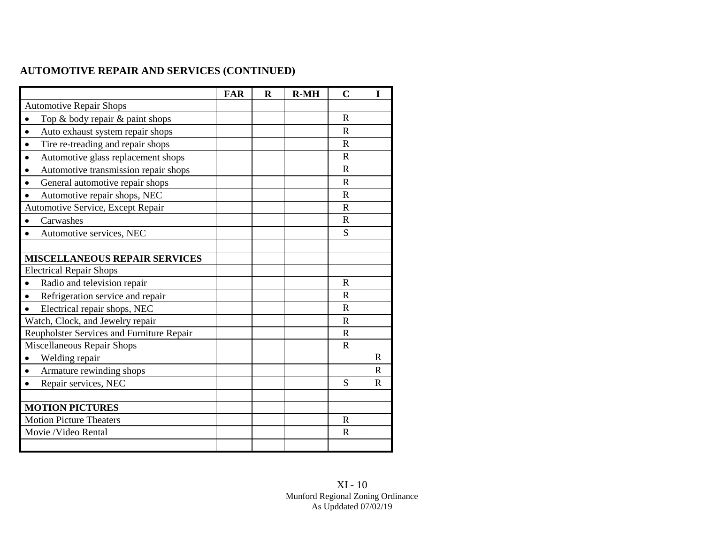## **AUTOMOTIVE REPAIR AND SERVICES (CONTINUED)**

|                                               | <b>FAR</b> | $\bf{R}$ | $R-MH$ | $\mathbf C$ | I            |
|-----------------------------------------------|------------|----------|--------|-------------|--------------|
| <b>Automotive Repair Shops</b>                |            |          |        |             |              |
| Top & body repair & paint shops               |            |          |        | R           |              |
| Auto exhaust system repair shops<br>$\bullet$ |            |          |        | $\mathbf R$ |              |
| Tire re-treading and repair shops             |            |          |        | R           |              |
| Automotive glass replacement shops            |            |          |        | $\mathbf R$ |              |
| Automotive transmission repair shops          |            |          |        | R           |              |
| General automotive repair shops               |            |          |        | $\mathbf R$ |              |
| Automotive repair shops, NEC                  |            |          |        | $\mathbf R$ |              |
| Automotive Service, Except Repair             |            |          |        | $\mathbf R$ |              |
| Carwashes                                     |            |          |        | R           |              |
| Automotive services, NEC                      |            |          |        | S           |              |
|                                               |            |          |        |             |              |
| <b>MISCELLANEOUS REPAIR SERVICES</b>          |            |          |        |             |              |
| <b>Electrical Repair Shops</b>                |            |          |        |             |              |
| Radio and television repair                   |            |          |        | $\mathbf R$ |              |
| Refrigeration service and repair              |            |          |        | $\mathbf R$ |              |
| Electrical repair shops, NEC                  |            |          |        | $\mathbf R$ |              |
| Watch, Clock, and Jewelry repair              |            |          |        | $\mathbf R$ |              |
| Reupholster Services and Furniture Repair     |            |          |        | $\mathbf R$ |              |
| Miscellaneous Repair Shops                    |            |          |        | $\mathbf R$ |              |
| Welding repair                                |            |          |        |             | $\mathbf R$  |
| Armature rewinding shops                      |            |          |        |             | $\mathbb{R}$ |
| Repair services, NEC                          |            |          |        | S           | $\mathbf R$  |
|                                               |            |          |        |             |              |
| <b>MOTION PICTURES</b>                        |            |          |        |             |              |
| <b>Motion Picture Theaters</b>                |            |          |        | $\mathbf R$ |              |
| Movie /Video Rental                           |            |          |        | $\mathbf R$ |              |
|                                               |            |          |        |             |              |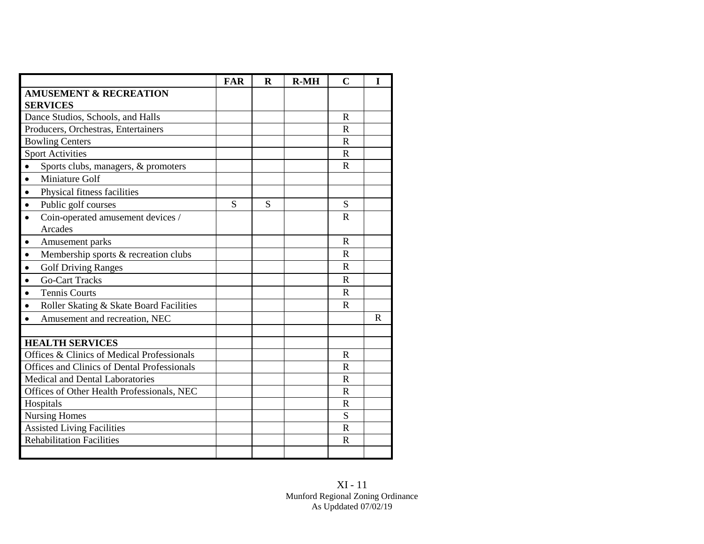|                                                           | <b>FAR</b> | $\mathbf R$ | $R-MH$ | $\mathbf C$  | I |
|-----------------------------------------------------------|------------|-------------|--------|--------------|---|
| <b>AMUSEMENT &amp; RECREATION</b><br><b>SERVICES</b>      |            |             |        |              |   |
| Dance Studios, Schools, and Halls                         |            |             |        | $\mathbf R$  |   |
| Producers, Orchestras, Entertainers                       |            |             |        | $\mathbf R$  |   |
| <b>Bowling Centers</b>                                    |            |             |        | $\mathbf R$  |   |
| <b>Sport Activities</b>                                   |            |             |        | $\mathbf R$  |   |
| Sports clubs, managers, & promoters<br>$\bullet$          |            |             |        | $\mathbf R$  |   |
| Miniature Golf<br>$\bullet$                               |            |             |        |              |   |
| Physical fitness facilities<br>$\bullet$                  |            |             |        |              |   |
| Public golf courses<br>$\bullet$                          | S          | S           |        | S            |   |
| Coin-operated amusement devices /<br>$\bullet$<br>Arcades |            |             |        | $\mathbf R$  |   |
| Amusement parks<br>$\bullet$                              |            |             |        | $\mathbf R$  |   |
| Membership sports & recreation clubs<br>$\bullet$         |            |             |        | R            |   |
| <b>Golf Driving Ranges</b><br>$\bullet$                   |            |             |        | R            |   |
| <b>Go-Cart Tracks</b><br>$\bullet$                        |            |             |        | $\mathbf R$  |   |
| <b>Tennis Courts</b><br>$\bullet$                         |            |             |        | $\mathbf{R}$ |   |
| Roller Skating & Skate Board Facilities<br>$\bullet$      |            |             |        | R            |   |
| Amusement and recreation, NEC<br>$\bullet$                |            |             |        |              | R |
|                                                           |            |             |        |              |   |
| <b>HEALTH SERVICES</b>                                    |            |             |        |              |   |
| Offices & Clinics of Medical Professionals                |            |             |        | $\mathbf R$  |   |
| Offices and Clinics of Dental Professionals               |            |             |        | $\mathbf R$  |   |
| Medical and Dental Laboratories                           |            |             |        | $\mathbf R$  |   |
| Offices of Other Health Professionals, NEC                |            |             |        | $\mathbf R$  |   |
| Hospitals                                                 |            |             |        | $\mathbf R$  |   |
| <b>Nursing Homes</b>                                      |            |             |        | S            |   |
| <b>Assisted Living Facilities</b>                         |            |             |        | $\mathbf R$  |   |
| <b>Rehabilitation Facilities</b>                          |            |             |        | $\mathbf R$  |   |
|                                                           |            |             |        |              |   |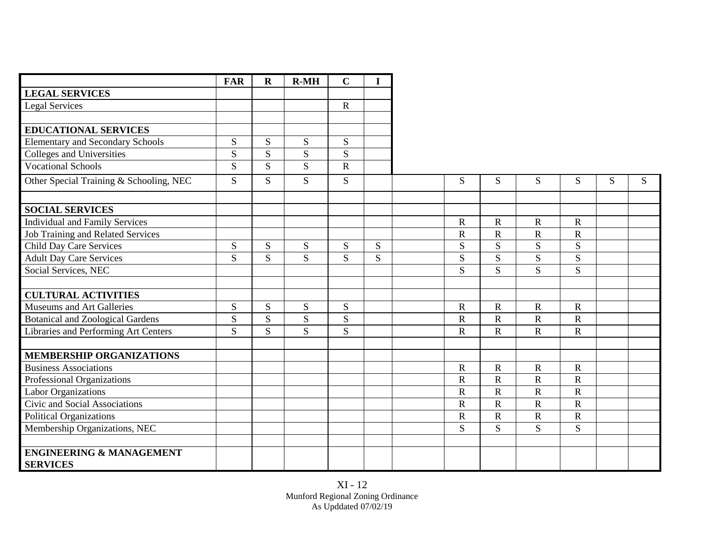|                                          | <b>FAR</b>     | $\mathbf R$    | $R-MH$         | $\mathbf C$    | $\mathbf I$ |                       |                       |                |                |   |   |
|------------------------------------------|----------------|----------------|----------------|----------------|-------------|-----------------------|-----------------------|----------------|----------------|---|---|
| <b>LEGAL SERVICES</b>                    |                |                |                |                |             |                       |                       |                |                |   |   |
| <b>Legal Services</b>                    |                |                |                | $\mathbf R$    |             |                       |                       |                |                |   |   |
|                                          |                |                |                |                |             |                       |                       |                |                |   |   |
| <b>EDUCATIONAL SERVICES</b>              |                |                |                |                |             |                       |                       |                |                |   |   |
| <b>Elementary and Secondary Schools</b>  | S              | S              | S              | S              |             |                       |                       |                |                |   |   |
| <b>Colleges and Universities</b>         | ${\bf S}$      | ${\bf S}$      | ${\bf S}$      | ${\bf S}$      |             |                       |                       |                |                |   |   |
| <b>Vocational Schools</b>                | $\overline{S}$ | $\overline{S}$ | $\overline{S}$ | $\overline{R}$ |             |                       |                       |                |                |   |   |
| Other Special Training & Schooling, NEC  | S              | S              | S              | S              |             | S                     | S                     | S              | S              | S | S |
|                                          |                |                |                |                |             |                       |                       |                |                |   |   |
| <b>SOCIAL SERVICES</b>                   |                |                |                |                |             |                       |                       |                |                |   |   |
| <b>Individual and Family Services</b>    |                |                |                |                |             | $\mathbf R$           | $\mathbf R$           | $\mathbf R$    | $\mathbf R$    |   |   |
| <b>Job Training and Related Services</b> |                |                |                |                |             | $\mathbf R$           | $\mathbf R$           | $\mathbf R$    | $\mathbf R$    |   |   |
| <b>Child Day Care Services</b>           | S              | S              | S              | ${\bf S}$      | S           | S                     | S                     | S              | S              |   |   |
| <b>Adult Day Care Services</b>           | S              | S.             | S              | S.             | S           | S                     | S                     | S              | S              |   |   |
| Social Services, NEC                     |                |                |                |                |             | S                     | S                     | $\overline{S}$ | S              |   |   |
|                                          |                |                |                |                |             |                       |                       |                |                |   |   |
| <b>CULTURAL ACTIVITIES</b>               |                |                |                |                |             |                       |                       |                |                |   |   |
| Museums and Art Galleries                | S              | S              | S              | S              |             | $\mathbf R$           | $\mathbf R$           | $\mathbf R$    | $\mathbf R$    |   |   |
| <b>Botanical and Zoological Gardens</b>  | ${\bf S}$      | S              | S              | S              |             | $\mathbf R$           | $\mathbf R$           | $\mathbf R$    | $\mathbf R$    |   |   |
| Libraries and Performing Art Centers     | $\overline{S}$ | $\overline{S}$ | S              | $\overline{S}$ |             | $\mathbf R$           | $\mathbf R$           | $\mathbf R$    | $\overline{R}$ |   |   |
| <b>MEMBERSHIP ORGANIZATIONS</b>          |                |                |                |                |             |                       |                       |                |                |   |   |
| <b>Business Associations</b>             |                |                |                |                |             | $\mathbf R$           | $\mathbf R$           | $\mathbf R$    | $\mathbf R$    |   |   |
| Professional Organizations               |                |                |                |                |             | $\overline{\text{R}}$ | $\overline{\text{R}}$ | $\mathbf R$    | $\mathbf R$    |   |   |
| <b>Labor Organizations</b>               |                |                |                |                |             | $\mathbf R$           | $\mathbf R$           | $\mathbf R$    | ${\bf R}$      |   |   |
| Civic and Social Associations            |                |                |                |                |             | $\mathbf R$           | $\mathbf R$           | $\mathbf R$    | ${\bf R}$      |   |   |
| <b>Political Organizations</b>           |                |                |                |                |             | ${\bf R}$             | ${\bf R}$             | ${\bf R}$      | ${\bf R}$      |   |   |
| Membership Organizations, NEC            |                |                |                |                |             | S                     | S                     | S              | S              |   |   |
|                                          |                |                |                |                |             |                       |                       |                |                |   |   |
| <b>ENGINEERING &amp; MANAGEMENT</b>      |                |                |                |                |             |                       |                       |                |                |   |   |
| <b>SERVICES</b>                          |                |                |                |                |             |                       |                       |                |                |   |   |

XI - 12 Munford Regional Zoning Ordinance As Upddated 07/02/19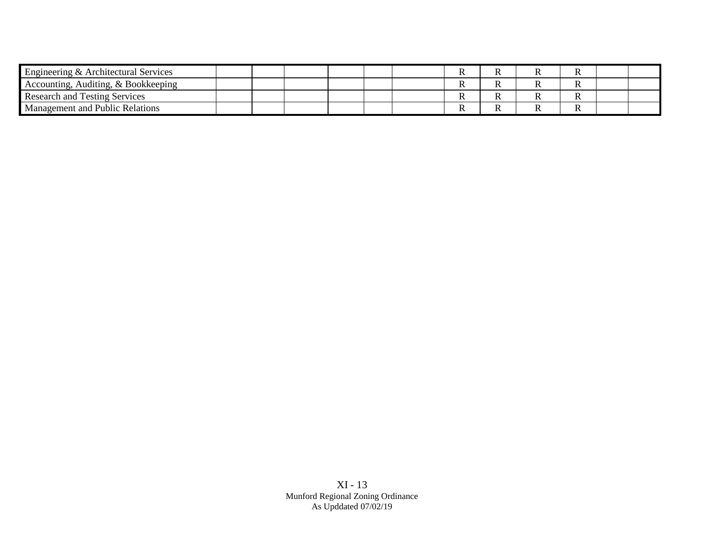| Engineering & Architectural Services |  |  |  |  |   |  |
|--------------------------------------|--|--|--|--|---|--|
| Accounting, Auditing, & Bookkeeping  |  |  |  |  | v |  |
| <b>Research and Testing Services</b> |  |  |  |  |   |  |
| Management and Public Relations      |  |  |  |  | л |  |

XI - 13 Munford Regional Zoning Ordinance As Upddated 07/02/19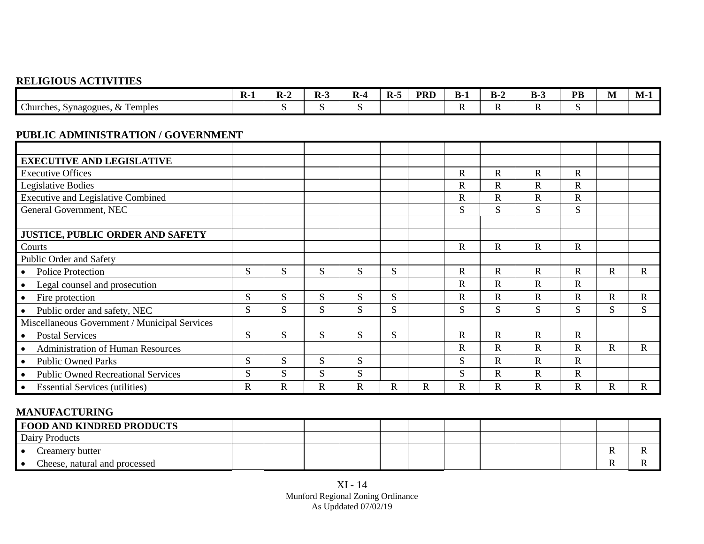## **RELIGIOUS ACTIVITIES**

|                                                                 | $\overline{\phantom{a}}$<br>- II - T | -- | . . | КJ<br>-- | $\mathbf{R}$ | <b>PRI</b> | - n×<br>-<br>- | n.<br>_<br>- | $\sqrt{2}$<br>n.<br>- | <b>DR</b><br>. . | M | . .<br>1VI |
|-----------------------------------------------------------------|--------------------------------------|----|-----|----------|--------------|------------|----------------|--------------|-----------------------|------------------|---|------------|
| $\sim$<br>Temples<br>Churches, S<br>Synagogues,<br>$\mathbf{L}$ |                                      |    |     | . .      |              |            |                | . .          | . .                   |                  |   |            |

### **PUBLIC ADMINISTRATION / GOVERNMENT**

| <b>EXECUTIVE AND LEGISLATIVE</b>              |             |   |              |   |   |              |              |             |             |              |              |             |
|-----------------------------------------------|-------------|---|--------------|---|---|--------------|--------------|-------------|-------------|--------------|--------------|-------------|
| <b>Executive Offices</b>                      |             |   |              |   |   |              | $\mathbf R$  | $\mathbf R$ | $\mathbf R$ | $\mathsf{R}$ |              |             |
| Legislative Bodies                            |             |   |              |   |   |              | $\mathbf R$  | R           | $\mathbf R$ | $\mathbf{R}$ |              |             |
| <b>Executive and Legislative Combined</b>     |             |   |              |   |   |              | $\mathsf{R}$ | $\mathbf R$ | $\mathbf R$ | $\mathbf R$  |              |             |
| General Government, NEC                       |             |   |              |   |   |              | S            | S           | S           | S            |              |             |
|                                               |             |   |              |   |   |              |              |             |             |              |              |             |
| <b>JUSTICE, PUBLIC ORDER AND SAFETY</b>       |             |   |              |   |   |              |              |             |             |              |              |             |
| Courts                                        |             |   |              |   |   |              | $\mathbf R$  | $\mathbf R$ | $\mathbf R$ | $\mathbf R$  |              |             |
| Public Order and Safety                       |             |   |              |   |   |              |              |             |             |              |              |             |
| <b>Police Protection</b>                      | S.          | S | S            | S | S |              | $\mathbf R$  | $\mathbf R$ | $\mathbf R$ | $\mathbf R$  | $\mathbf R$  | $\mathbf R$ |
| Legal counsel and prosecution                 |             |   |              |   |   |              | $\mathbf R$  | $\mathbf R$ | $\mathbf R$ | $\mathbf R$  |              |             |
| Fire protection                               | S           | S | S            | S | S |              | $\mathbf R$  | $\mathbf R$ | $\mathbf R$ | $\mathbf R$  | $\mathbf{R}$ | $\mathbf R$ |
| Public order and safety, NEC                  | S           | S | S            | S | S |              | S            | S           | S           | S            | S            | S           |
| Miscellaneous Government / Municipal Services |             |   |              |   |   |              |              |             |             |              |              |             |
| <b>Postal Services</b>                        | S           | S | S            | S | S |              | $\mathbf R$  | $\mathbf R$ | $\mathbf R$ | $\mathbf R$  |              |             |
| <b>Administration of Human Resources</b>      |             |   |              |   |   |              | $\mathbf R$  | $\mathbf R$ | $\mathbf R$ | $\mathbf R$  | $\mathbf R$  | $\mathbf R$ |
| <b>Public Owned Parks</b>                     | S           | S | S            | S |   |              | S            | $\mathbf R$ | $\mathbf R$ | $\mathbf R$  |              |             |
| <b>Public Owned Recreational Services</b>     | S           | S | <sub>S</sub> | S |   |              | S            | R           | $\mathbf R$ | $\mathbf R$  |              |             |
| <b>Essential Services (utilities)</b>         | $\mathbf R$ | R | R            | R | R | $\mathbb{R}$ | $\mathsf{R}$ | $\mathbf R$ | $\mathbf R$ | R            | R            | $\mathbf R$ |

## **MANUFACTURING**

| <b>FOOD AND KINDRED PRODUCTS</b> |  |  |  |  |  |  |
|----------------------------------|--|--|--|--|--|--|
| Dairy Products                   |  |  |  |  |  |  |
| Creamery butter                  |  |  |  |  |  |  |
| Cheese, natural and processed    |  |  |  |  |  |  |

XI - 14 Munford Regional Zoning Ordinance As Upddated 07/02/19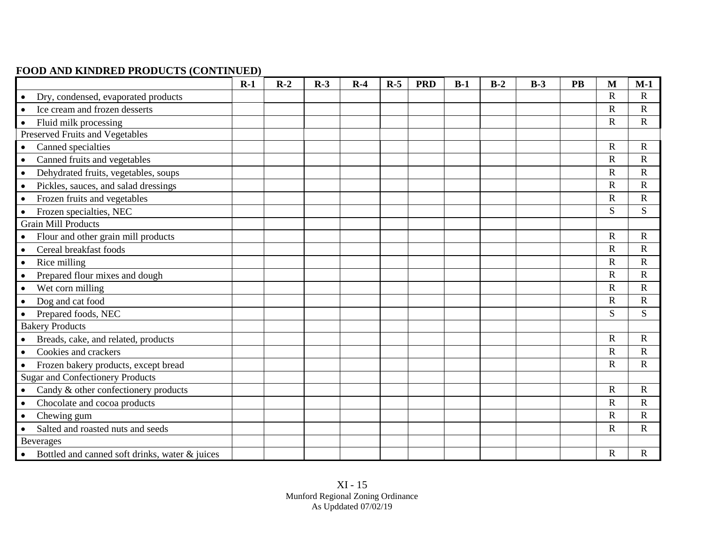## **FOOD AND KINDRED PRODUCTS (CONTINUED)**

|                                                | $R-1$ | $R-2$ | $R-3$ | $R-4$ | $R-5$ | <b>PRD</b> | $B-1$ | $B-2$ | $B-3$ | PB | M                     | $M-1$                 |
|------------------------------------------------|-------|-------|-------|-------|-------|------------|-------|-------|-------|----|-----------------------|-----------------------|
| Dry, condensed, evaporated products            |       |       |       |       |       |            |       |       |       |    | $\mathbf R$           | $\mathbf R$           |
| Ice cream and frozen desserts                  |       |       |       |       |       |            |       |       |       |    | $\mathbf R$           | $\mathbf R$           |
| Fluid milk processing                          |       |       |       |       |       |            |       |       |       |    | $\mathbf R$           | $\mathbf R$           |
| Preserved Fruits and Vegetables                |       |       |       |       |       |            |       |       |       |    |                       |                       |
| Canned specialties                             |       |       |       |       |       |            |       |       |       |    | $\mathbf R$           | $\mathbf R$           |
| Canned fruits and vegetables                   |       |       |       |       |       |            |       |       |       |    | $\mathbf R$           | $\overline{\text{R}}$ |
| Dehydrated fruits, vegetables, soups           |       |       |       |       |       |            |       |       |       |    | $\mathbf R$           | $\mathbf R$           |
| Pickles, sauces, and salad dressings           |       |       |       |       |       |            |       |       |       |    | $\mathsf{R}$          | $\mathbf R$           |
| Frozen fruits and vegetables                   |       |       |       |       |       |            |       |       |       |    | $\mathsf{R}$          | $\mathbf R$           |
| Frozen specialties, NEC                        |       |       |       |       |       |            |       |       |       |    | S                     | S                     |
| <b>Grain Mill Products</b>                     |       |       |       |       |       |            |       |       |       |    |                       |                       |
| Flour and other grain mill products            |       |       |       |       |       |            |       |       |       |    | $\mathbf R$           | $\overline{\text{R}}$ |
| Cereal breakfast foods                         |       |       |       |       |       |            |       |       |       |    | $\mathbf R$           | $\mathbf R$           |
| Rice milling<br>$\bullet$                      |       |       |       |       |       |            |       |       |       |    | $\mathsf{R}$          | $\overline{\text{R}}$ |
| Prepared flour mixes and dough                 |       |       |       |       |       |            |       |       |       |    | $\overline{\text{R}}$ | $\mathbf R$           |
| Wet corn milling                               |       |       |       |       |       |            |       |       |       |    | $\mathbf R$           | $\overline{\text{R}}$ |
| Dog and cat food                               |       |       |       |       |       |            |       |       |       |    | $\mathbf R$           | $\mathbf R$           |
| Prepared foods, NEC                            |       |       |       |       |       |            |       |       |       |    | S                     | S                     |
| <b>Bakery Products</b>                         |       |       |       |       |       |            |       |       |       |    |                       |                       |
| Breads, cake, and related, products            |       |       |       |       |       |            |       |       |       |    | $\mathbf R$           | $\overline{\text{R}}$ |
| Cookies and crackers                           |       |       |       |       |       |            |       |       |       |    | $\overline{\text{R}}$ | $\mathbf R$           |
| Frozen bakery products, except bread           |       |       |       |       |       |            |       |       |       |    | $\mathbf R$           | $\overline{\text{R}}$ |
| <b>Sugar and Confectionery Products</b>        |       |       |       |       |       |            |       |       |       |    |                       |                       |
| Candy & other confectionery products           |       |       |       |       |       |            |       |       |       |    | $\mathbf R$           | $\mathbf R$           |
| Chocolate and cocoa products                   |       |       |       |       |       |            |       |       |       |    | $\mathbf R$           | $\mathbf R$           |
| Chewing gum                                    |       |       |       |       |       |            |       |       |       |    | $\mathsf{R}$          | $\overline{\text{R}}$ |
| Salted and roasted nuts and seeds<br>$\bullet$ |       |       |       |       |       |            |       |       |       |    | $\mathbf R$           | $\overline{\text{R}}$ |
| Beverages                                      |       |       |       |       |       |            |       |       |       |    |                       |                       |
| Bottled and canned soft drinks, water & juices |       |       |       |       |       |            |       |       |       |    | R                     | $\mathbb{R}$          |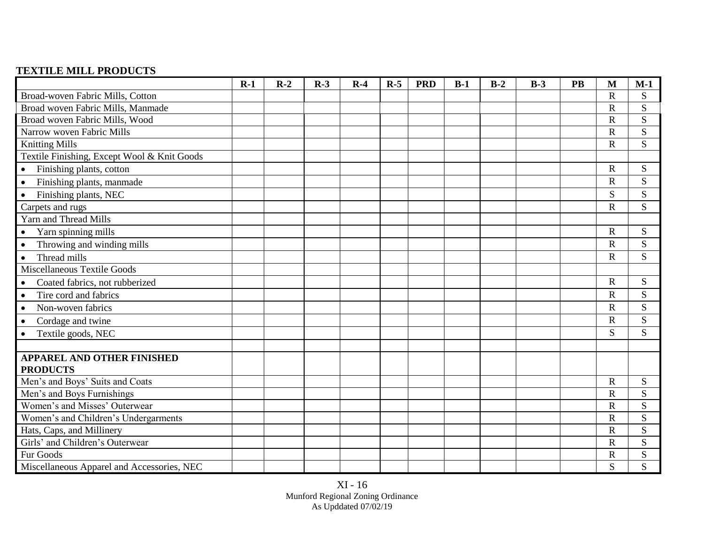## **TEXTILE MILL PRODUCTS**

|                                             | $R-1$ | $R-2$ | $R-3$ | $R-4$ | $R-5$ | <b>PRD</b> | $B-1$ | $B-2$ | $B-3$ | <b>PB</b> | M                     | $M-1$ |
|---------------------------------------------|-------|-------|-------|-------|-------|------------|-------|-------|-------|-----------|-----------------------|-------|
| Broad-woven Fabric Mills, Cotton            |       |       |       |       |       |            |       |       |       |           | $\mathsf{R}$          | S     |
| Broad woven Fabric Mills, Manmade           |       |       |       |       |       |            |       |       |       |           | $\mathbf R$           | S     |
| Broad woven Fabric Mills, Wood              |       |       |       |       |       |            |       |       |       |           | $\overline{\text{R}}$ | S     |
| Narrow woven Fabric Mills                   |       |       |       |       |       |            |       |       |       |           | $\mathsf{R}$          | S     |
| <b>Knitting Mills</b>                       |       |       |       |       |       |            |       |       |       |           | $\mathbf R$           | S     |
| Textile Finishing, Except Wool & Knit Goods |       |       |       |       |       |            |       |       |       |           |                       |       |
| Finishing plants, cotton<br>$\bullet$       |       |       |       |       |       |            |       |       |       |           | $\mathbf R$           | S     |
| Finishing plants, manmade<br>$\bullet$      |       |       |       |       |       |            |       |       |       |           | $\mathbf R$           | S     |
| Finishing plants, NEC<br>$\bullet$          |       |       |       |       |       |            |       |       |       |           | S                     | S     |
| Carpets and rugs                            |       |       |       |       |       |            |       |       |       |           | $\overline{\text{R}}$ | S     |
| Yarn and Thread Mills                       |       |       |       |       |       |            |       |       |       |           |                       |       |
| Yarn spinning mills<br>$\bullet$            |       |       |       |       |       |            |       |       |       |           | R                     | S     |
| Throwing and winding mills<br>$\bullet$     |       |       |       |       |       |            |       |       |       |           | $\mathbf R$           | S     |
| Thread mills<br>$\bullet$                   |       |       |       |       |       |            |       |       |       |           | R                     | S     |
| Miscellaneous Textile Goods                 |       |       |       |       |       |            |       |       |       |           |                       |       |
| Coated fabrics, not rubberized<br>$\bullet$ |       |       |       |       |       |            |       |       |       |           | $\mathbf R$           | S     |
| Tire cord and fabrics<br>$\bullet$          |       |       |       |       |       |            |       |       |       |           | $\mathbf R$           | S     |
| Non-woven fabrics<br>$\bullet$              |       |       |       |       |       |            |       |       |       |           | R                     | S     |
| Cordage and twine<br>$\bullet$              |       |       |       |       |       |            |       |       |       |           | $\mathbf R$           | S     |
| Textile goods, NEC<br>$\bullet$             |       |       |       |       |       |            |       |       |       |           | S                     | S     |
|                                             |       |       |       |       |       |            |       |       |       |           |                       |       |
| <b>APPAREL AND OTHER FINISHED</b>           |       |       |       |       |       |            |       |       |       |           |                       |       |
| <b>PRODUCTS</b>                             |       |       |       |       |       |            |       |       |       |           |                       |       |
| Men's and Boys' Suits and Coats             |       |       |       |       |       |            |       |       |       |           | $\mathbf R$           | S     |
| Men's and Boys Furnishings                  |       |       |       |       |       |            |       |       |       |           | $\mathbf R$           | S     |
| Women's and Misses' Outerwear               |       |       |       |       |       |            |       |       |       |           | $\overline{\text{R}}$ | S     |
| Women's and Children's Undergarments        |       |       |       |       |       |            |       |       |       |           | $\mathbf R$           | S     |
| Hats, Caps, and Millinery                   |       |       |       |       |       |            |       |       |       |           | $\mathbf R$           | S     |
| Girls' and Children's Outerwear             |       |       |       |       |       |            |       |       |       |           | $\mathsf{R}$          | S     |
| Fur Goods                                   |       |       |       |       |       |            |       |       |       |           | R                     | S     |
| Miscellaneous Apparel and Accessories, NEC  |       |       |       |       |       |            |       |       |       |           | S                     | S     |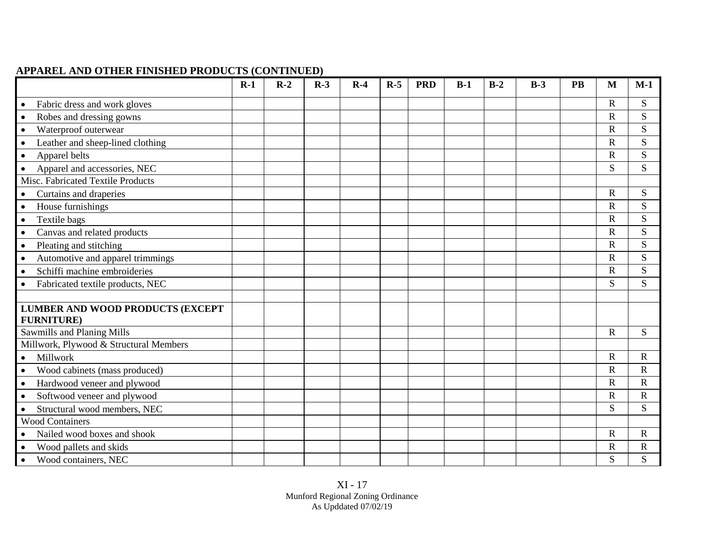### **APPAREL AND OTHER FINISHED PRODUCTS (CONTINUED)**

|                                                              | $R-1$ | $R-2$ | $R-3$ | $R-4$ | $R-5$ | <b>PRD</b> | $B-1$ | $B-2$ | $B-3$ | <b>PB</b> | M            | $M-1$                 |
|--------------------------------------------------------------|-------|-------|-------|-------|-------|------------|-------|-------|-------|-----------|--------------|-----------------------|
| Fabric dress and work gloves                                 |       |       |       |       |       |            |       |       |       |           | R.           | ${\bf S}$             |
| Robes and dressing gowns                                     |       |       |       |       |       |            |       |       |       |           | $\mathbf R$  | S                     |
| Waterproof outerwear<br>$\bullet$                            |       |       |       |       |       |            |       |       |       |           | $\mathbf R$  | S                     |
| Leather and sheep-lined clothing<br>$\bullet$                |       |       |       |       |       |            |       |       |       |           | $\mathbf R$  | S                     |
| Apparel belts<br>$\bullet$                                   |       |       |       |       |       |            |       |       |       |           | $\mathbf R$  | S                     |
| Apparel and accessories, NEC                                 |       |       |       |       |       |            |       |       |       |           | S            | S                     |
| Misc. Fabricated Textile Products                            |       |       |       |       |       |            |       |       |       |           |              |                       |
| Curtains and draperies<br>$\bullet$                          |       |       |       |       |       |            |       |       |       |           | $\mathbf R$  | S                     |
| House furnishings<br>$\bullet$                               |       |       |       |       |       |            |       |       |       |           | $\mathbf R$  | S                     |
| Textile bags<br>$\bullet$                                    |       |       |       |       |       |            |       |       |       |           | $\mathbf R$  | ${\bf S}$             |
| Canvas and related products                                  |       |       |       |       |       |            |       |       |       |           | $\mathbf R$  | ${\bf S}$             |
| Pleating and stitching<br>$\bullet$                          |       |       |       |       |       |            |       |       |       |           | $\mathbf R$  | ${\bf S}$             |
| Automotive and apparel trimmings<br>$\bullet$                |       |       |       |       |       |            |       |       |       |           | $\mathbf R$  | ${\bf S}$             |
| Schiffi machine embroideries<br>$\bullet$                    |       |       |       |       |       |            |       |       |       |           | $\mathbf R$  | S                     |
| Fabricated textile products, NEC<br>$\bullet$                |       |       |       |       |       |            |       |       |       |           | S            | S                     |
|                                                              |       |       |       |       |       |            |       |       |       |           |              |                       |
| <b>LUMBER AND WOOD PRODUCTS (EXCEPT</b><br><b>FURNITURE)</b> |       |       |       |       |       |            |       |       |       |           |              |                       |
| Sawmills and Planing Mills                                   |       |       |       |       |       |            |       |       |       |           | $\mathbf R$  | ${\bf S}$             |
| Millwork, Plywood & Structural Members                       |       |       |       |       |       |            |       |       |       |           |              |                       |
| Millwork<br>$\bullet$                                        |       |       |       |       |       |            |       |       |       |           | $\mathbf R$  | $\mathbf R$           |
| Wood cabinets (mass produced)<br>$\bullet$                   |       |       |       |       |       |            |       |       |       |           | $\mathbf R$  | $\mathbf R$           |
| Hardwood veneer and plywood<br>$\bullet$                     |       |       |       |       |       |            |       |       |       |           | $\mathbf R$  | $\mathbf R$           |
| Softwood veneer and plywood<br>$\bullet$                     |       |       |       |       |       |            |       |       |       |           | R            | $\mathbf R$           |
| Structural wood members, NEC<br>$\bullet$                    |       |       |       |       |       |            |       |       |       |           | S            | S                     |
| <b>Wood Containers</b>                                       |       |       |       |       |       |            |       |       |       |           |              |                       |
| Nailed wood boxes and shook                                  |       |       |       |       |       |            |       |       |       |           | $\mathbf R$  | $\mathbf R$           |
| Wood pallets and skids<br>$\bullet$                          |       |       |       |       |       |            |       |       |       |           | $\mathbb{R}$ | $\overline{\text{R}}$ |
| Wood containers, NEC<br>$\bullet$                            |       |       |       |       |       |            |       |       |       |           | S            | S                     |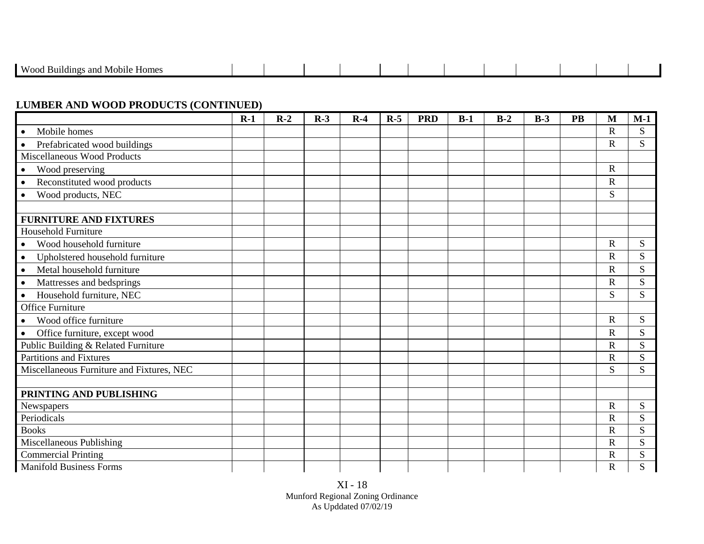| . and<br>Mob <sub>1</sub> <sup>6</sup><br>Homes |  |
|-------------------------------------------------|--|
|                                                 |  |

### **LUMBER AND WOOD PRODUCTS (CONTINUED)**

|                                              | $R-1$ | $R-2$ | $R-3$ | $R-4$ | $R-5$ | <b>PRD</b> | $B-1$ | $B-2$ | $B-3$ | <b>PB</b> | M                     | $M-1$ |
|----------------------------------------------|-------|-------|-------|-------|-------|------------|-------|-------|-------|-----------|-----------------------|-------|
| Mobile homes<br>$\bullet$                    |       |       |       |       |       |            |       |       |       |           | $\overline{R}$        | S     |
| Prefabricated wood buildings<br>$\bullet$    |       |       |       |       |       |            |       |       |       |           | $\overline{\text{R}}$ | S.    |
| Miscellaneous Wood Products                  |       |       |       |       |       |            |       |       |       |           |                       |       |
| Wood preserving<br>$\bullet$                 |       |       |       |       |       |            |       |       |       |           | $\mathbf R$           |       |
| Reconstituted wood products<br>$\bullet$     |       |       |       |       |       |            |       |       |       |           | $\mathbf R$           |       |
| Wood products, NEC<br>$\bullet$              |       |       |       |       |       |            |       |       |       |           | S                     |       |
|                                              |       |       |       |       |       |            |       |       |       |           |                       |       |
| <b>FURNITURE AND FIXTURES</b>                |       |       |       |       |       |            |       |       |       |           |                       |       |
| Household Furniture                          |       |       |       |       |       |            |       |       |       |           |                       |       |
| Wood household furniture<br>$\bullet$        |       |       |       |       |       |            |       |       |       |           | $\overline{\text{R}}$ | S     |
| Upholstered household furniture<br>$\bullet$ |       |       |       |       |       |            |       |       |       |           | $\mathsf{R}$          | S     |
| Metal household furniture<br>$\bullet$       |       |       |       |       |       |            |       |       |       |           | $\overline{\text{R}}$ | S     |
| Mattresses and bedsprings<br>$\bullet$       |       |       |       |       |       |            |       |       |       |           | $\overline{\text{R}}$ | S     |
| Household furniture, NEC<br>$\bullet$        |       |       |       |       |       |            |       |       |       |           | S                     | S     |
| Office Furniture                             |       |       |       |       |       |            |       |       |       |           |                       |       |
| Wood office furniture<br>$\bullet$           |       |       |       |       |       |            |       |       |       |           | $\mathbf R$           | S     |
| Office furniture, except wood<br>$\bullet$   |       |       |       |       |       |            |       |       |       |           | $\overline{\text{R}}$ | S     |
| Public Building & Related Furniture          |       |       |       |       |       |            |       |       |       |           | $\mathsf{R}$          | S     |
| <b>Partitions and Fixtures</b>               |       |       |       |       |       |            |       |       |       |           | $\overline{\text{R}}$ | S     |
| Miscellaneous Furniture and Fixtures, NEC    |       |       |       |       |       |            |       |       |       |           | S                     | S     |
|                                              |       |       |       |       |       |            |       |       |       |           |                       |       |
| PRINTING AND PUBLISHING                      |       |       |       |       |       |            |       |       |       |           |                       |       |
| Newspapers                                   |       |       |       |       |       |            |       |       |       |           | $\mathbf R$           | S     |
| Periodicals                                  |       |       |       |       |       |            |       |       |       |           | $\overline{\text{R}}$ | S     |
| <b>Books</b>                                 |       |       |       |       |       |            |       |       |       |           | $\overline{\text{R}}$ | S     |
| Miscellaneous Publishing                     |       |       |       |       |       |            |       |       |       |           | $\mathsf{R}$          | S     |
| <b>Commercial Printing</b>                   |       |       |       |       |       |            |       |       |       |           | $\mathsf{R}$          | S     |
| <b>Manifold Business Forms</b>               |       |       |       |       |       |            |       |       |       |           | R                     | S     |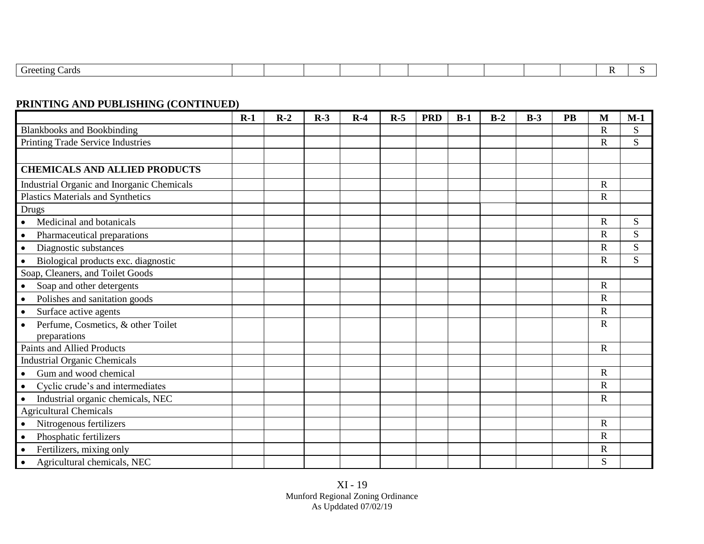| aeting ∪…<br>Cards |  |  |  |  |  |  |
|--------------------|--|--|--|--|--|--|

### **PRINTING AND PUBLISHING (CONTINUED)**

|                                                    | $R-1$ | $R-2$ | $R-3$ | $R-4$ | $R-5$ | <b>PRD</b> | $B-1$ | $B-2$ | $B-3$ | <b>PB</b> | M            | $M-1$ |
|----------------------------------------------------|-------|-------|-------|-------|-------|------------|-------|-------|-------|-----------|--------------|-------|
| <b>Blankbooks and Bookbinding</b>                  |       |       |       |       |       |            |       |       |       |           | $\mathbf R$  | S     |
| Printing Trade Service Industries                  |       |       |       |       |       |            |       |       |       |           | $\mathbf R$  | S     |
|                                                    |       |       |       |       |       |            |       |       |       |           |              |       |
| <b>CHEMICALS AND ALLIED PRODUCTS</b>               |       |       |       |       |       |            |       |       |       |           |              |       |
| <b>Industrial Organic and Inorganic Chemicals</b>  |       |       |       |       |       |            |       |       |       |           | $\mathbf R$  |       |
| Plastics Materials and Synthetics                  |       |       |       |       |       |            |       |       |       |           | $\mathbf R$  |       |
| <b>Drugs</b>                                       |       |       |       |       |       |            |       |       |       |           |              |       |
| Medicinal and botanicals<br>$\bullet$              |       |       |       |       |       |            |       |       |       |           | $\mathbf R$  | S     |
| Pharmaceutical preparations<br>$\bullet$           |       |       |       |       |       |            |       |       |       |           | $\mathbb{R}$ | S     |
| Diagnostic substances<br>$\bullet$                 |       |       |       |       |       |            |       |       |       |           | $\mathbf R$  | S     |
| Biological products exc. diagnostic<br>$\bullet$   |       |       |       |       |       |            |       |       |       |           | $\mathbf R$  | S     |
| Soap, Cleaners, and Toilet Goods                   |       |       |       |       |       |            |       |       |       |           |              |       |
| Soap and other detergents<br>$\bullet$             |       |       |       |       |       |            |       |       |       |           | $\mathbf R$  |       |
| Polishes and sanitation goods<br>$\bullet$         |       |       |       |       |       |            |       |       |       |           | $\mathbf R$  |       |
| Surface active agents<br>$\bullet$                 |       |       |       |       |       |            |       |       |       |           | $\mathbb{R}$ |       |
| Perfume, Cosmetics, & other Toilet<br>preparations |       |       |       |       |       |            |       |       |       |           | $\mathbf R$  |       |
| <b>Paints and Allied Products</b>                  |       |       |       |       |       |            |       |       |       |           | $\mathbf R$  |       |
| <b>Industrial Organic Chemicals</b>                |       |       |       |       |       |            |       |       |       |           |              |       |
| Gum and wood chemical                              |       |       |       |       |       |            |       |       |       |           | $\mathbf R$  |       |
| Cyclic crude's and intermediates<br>$\bullet$      |       |       |       |       |       |            |       |       |       |           | $\mathbf R$  |       |
| Industrial organic chemicals, NEC                  |       |       |       |       |       |            |       |       |       |           | $\mathbf R$  |       |
| <b>Agricultural Chemicals</b>                      |       |       |       |       |       |            |       |       |       |           |              |       |
| Nitrogenous fertilizers                            |       |       |       |       |       |            |       |       |       |           | $\mathbf R$  |       |
| Phosphatic fertilizers<br>$\bullet$                |       |       |       |       |       |            |       |       |       |           | $\mathbf R$  |       |
| Fertilizers, mixing only<br>$\bullet$              |       |       |       |       |       |            |       |       |       |           | $\mathbf R$  |       |
| Agricultural chemicals, NEC                        |       |       |       |       |       |            |       |       |       |           | S            |       |

XI - 19 Munford Regional Zoning Ordinance As Upddated 07/02/19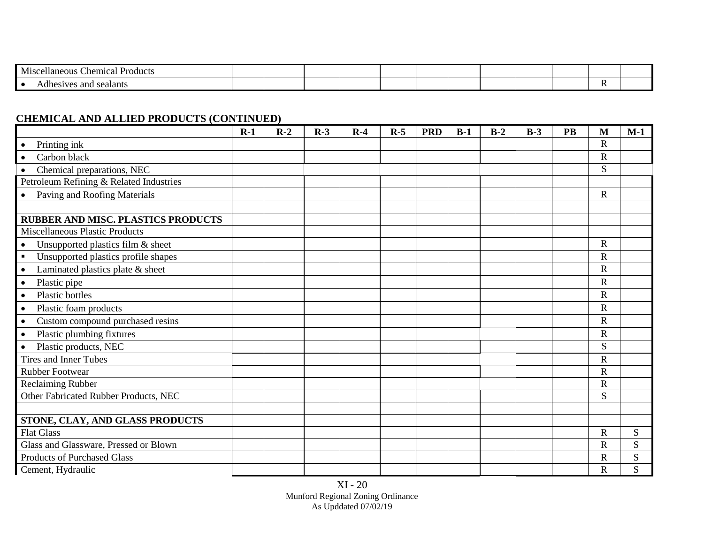| <b>Mis</b><br>hemical<br>Taneous<br>Products |  |  |  |  |  |  |
|----------------------------------------------|--|--|--|--|--|--|
| l e<br>ealants<br>٦ΛΩ<br>an/<br>-surr        |  |  |  |  |  |  |

## **CHEMICAL AND ALLIED PRODUCTS (CONTINUED)**

|                                                       | $R-1$ | $R-2$ | $R-3$ | $R-4$ | $R-5$ | <b>PRD</b> | $B-1$ | $B-2$ | $B-3$ | <b>PB</b> | M            | $M-1$     |
|-------------------------------------------------------|-------|-------|-------|-------|-------|------------|-------|-------|-------|-----------|--------------|-----------|
| Printing ink<br>$\bullet$                             |       |       |       |       |       |            |       |       |       |           | $\mathbf R$  |           |
| Carbon black                                          |       |       |       |       |       |            |       |       |       |           | $\mathbf R$  |           |
| Chemical preparations, NEC                            |       |       |       |       |       |            |       |       |       |           | S            |           |
| Petroleum Refining & Related Industries               |       |       |       |       |       |            |       |       |       |           |              |           |
| Paving and Roofing Materials<br>$\bullet$             |       |       |       |       |       |            |       |       |       |           | $\mathbf R$  |           |
|                                                       |       |       |       |       |       |            |       |       |       |           |              |           |
| <b>RUBBER AND MISC. PLASTICS PRODUCTS</b>             |       |       |       |       |       |            |       |       |       |           |              |           |
| <b>Miscellaneous Plastic Products</b>                 |       |       |       |       |       |            |       |       |       |           |              |           |
| Unsupported plastics film & sheet<br>$\bullet$        |       |       |       |       |       |            |       |       |       |           | $\mathbf R$  |           |
| Unsupported plastics profile shapes<br>$\blacksquare$ |       |       |       |       |       |            |       |       |       |           | $\mathbf R$  |           |
| Laminated plastics plate & sheet<br>$\bullet$         |       |       |       |       |       |            |       |       |       |           | $\mathbf R$  |           |
| Plastic pipe<br>$\bullet$                             |       |       |       |       |       |            |       |       |       |           | $\mathbf R$  |           |
| <b>Plastic bottles</b><br>$\bullet$                   |       |       |       |       |       |            |       |       |       |           | $\mathbf R$  |           |
| Plastic foam products<br>$\bullet$                    |       |       |       |       |       |            |       |       |       |           | $\mathbf R$  |           |
| Custom compound purchased resins<br>$\bullet$         |       |       |       |       |       |            |       |       |       |           | $\mathbf R$  |           |
| Plastic plumbing fixtures<br>$\bullet$                |       |       |       |       |       |            |       |       |       |           | $\mathbf R$  |           |
| Plastic products, NEC<br>$\bullet$                    |       |       |       |       |       |            |       |       |       |           | S            |           |
| <b>Tires and Inner Tubes</b>                          |       |       |       |       |       |            |       |       |       |           | $\mathbf R$  |           |
| <b>Rubber Footwear</b>                                |       |       |       |       |       |            |       |       |       |           | $\mathbf R$  |           |
| Reclaiming Rubber                                     |       |       |       |       |       |            |       |       |       |           | $\mathbf R$  |           |
| Other Fabricated Rubber Products, NEC                 |       |       |       |       |       |            |       |       |       |           | S            |           |
|                                                       |       |       |       |       |       |            |       |       |       |           |              |           |
| STONE, CLAY, AND GLASS PRODUCTS                       |       |       |       |       |       |            |       |       |       |           |              |           |
| <b>Flat Glass</b>                                     |       |       |       |       |       |            |       |       |       |           | $\mathbf R$  | S         |
| Glass and Glassware, Pressed or Blown                 |       |       |       |       |       |            |       |       |       |           | $\mathbf R$  | S         |
| <b>Products of Purchased Glass</b>                    |       |       |       |       |       |            |       |       |       |           | $\mathbb{R}$ | S         |
| Cement, Hydraulic                                     |       |       |       |       |       |            |       |       |       |           | $\mathbf R$  | ${\bf S}$ |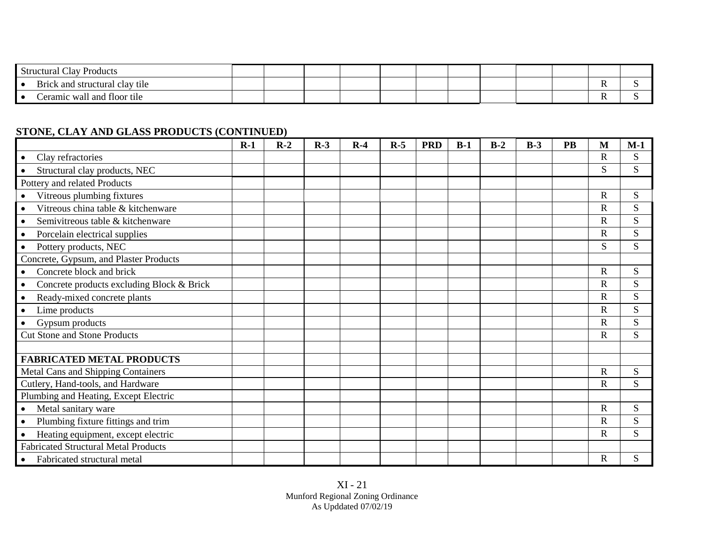|     | Structural C<br>$\sqrt{ }$<br>Clay Products |  |  |  |  |  |  |
|-----|---------------------------------------------|--|--|--|--|--|--|
| . . | Brick and structural clay tile              |  |  |  |  |  |  |
| ∣∙  | Ceramic wall and floor tile                 |  |  |  |  |  |  |

### **STONE, CLAY AND GLASS PRODUCTS (CONTINUED)**

|                                                 | $R-1$ | $R-2$ | $R-3$ | $R-4$ | $R-5$ | <b>PRD</b> | $B-1$ | $B-2$ | $B-3$ | <b>PB</b> | M            | $M-1$ |
|-------------------------------------------------|-------|-------|-------|-------|-------|------------|-------|-------|-------|-----------|--------------|-------|
| Clay refractories                               |       |       |       |       |       |            |       |       |       |           | $\mathbf R$  | S     |
| Structural clay products, NEC                   |       |       |       |       |       |            |       |       |       |           | S            | S     |
| Pottery and related Products                    |       |       |       |       |       |            |       |       |       |           |              |       |
| Vitreous plumbing fixtures<br>$\bullet$         |       |       |       |       |       |            |       |       |       |           | $\mathbf R$  | S     |
| Vitreous china table & kitchenware<br>$\bullet$ |       |       |       |       |       |            |       |       |       |           | $\mathbf R$  | S     |
| Semivitreous table & kitchenware                |       |       |       |       |       |            |       |       |       |           | $\mathbf R$  | S     |
| Porcelain electrical supplies                   |       |       |       |       |       |            |       |       |       |           | $\mathsf{R}$ | S     |
| Pottery products, NEC                           |       |       |       |       |       |            |       |       |       |           | S            | S     |
| Concrete, Gypsum, and Plaster Products          |       |       |       |       |       |            |       |       |       |           |              |       |
| Concrete block and brick                        |       |       |       |       |       |            |       |       |       |           | $\mathbf R$  | S     |
| Concrete products excluding Block & Brick       |       |       |       |       |       |            |       |       |       |           | $\mathsf{R}$ | S     |
| Ready-mixed concrete plants                     |       |       |       |       |       |            |       |       |       |           | $\mathsf{R}$ | S     |
| Lime products<br>$\bullet$                      |       |       |       |       |       |            |       |       |       |           | R            | S     |
| Gypsum products                                 |       |       |       |       |       |            |       |       |       |           | $\mathbf R$  | S     |
| <b>Cut Stone and Stone Products</b>             |       |       |       |       |       |            |       |       |       |           | $\mathbf R$  | S     |
|                                                 |       |       |       |       |       |            |       |       |       |           |              |       |
| <b>FABRICATED METAL PRODUCTS</b>                |       |       |       |       |       |            |       |       |       |           |              |       |
| <b>Metal Cans and Shipping Containers</b>       |       |       |       |       |       |            |       |       |       |           | $\mathbf R$  | S     |
| Cutlery, Hand-tools, and Hardware               |       |       |       |       |       |            |       |       |       |           | $\mathbf R$  | S     |
| Plumbing and Heating, Except Electric           |       |       |       |       |       |            |       |       |       |           |              |       |
| Metal sanitary ware                             |       |       |       |       |       |            |       |       |       |           | $\mathbf R$  | S     |
| Plumbing fixture fittings and trim              |       |       |       |       |       |            |       |       |       |           | $\mathbf R$  | S     |
| Heating equipment, except electric              |       |       |       |       |       |            |       |       |       |           | $\mathbf R$  | S     |
| <b>Fabricated Structural Metal Products</b>     |       |       |       |       |       |            |       |       |       |           |              |       |
| Fabricated structural metal                     |       |       |       |       |       |            |       |       |       |           | R            | S     |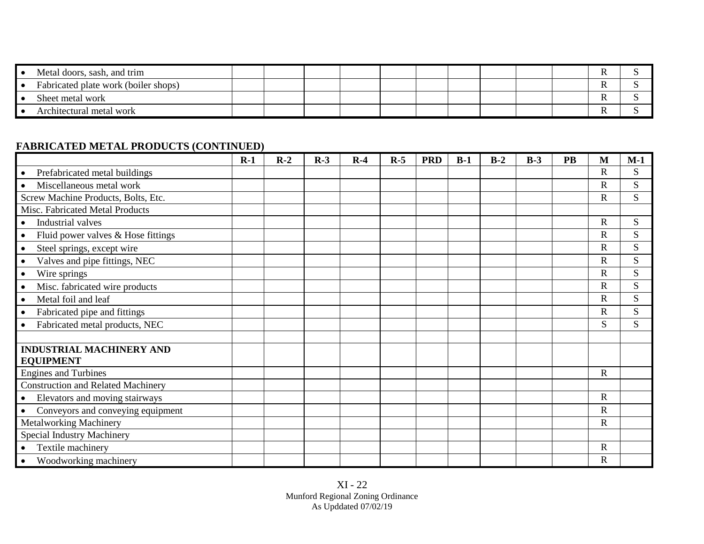| Metal doors, sash, and trim          |  |  |  |  |  |  |
|--------------------------------------|--|--|--|--|--|--|
| Fabricated plate work (boiler shops) |  |  |  |  |  |  |
| Sheet metal work                     |  |  |  |  |  |  |
| Architectural metal work             |  |  |  |  |  |  |

### **FABRICATED METAL PRODUCTS (CONTINUED)**

|                                           | $R-1$ | $R-2$ | $R-3$ | $R-4$ | $R-5$ | <b>PRD</b> | $B-1$ | $B-2$ | $B-3$ | PB | M                     | $M-1$ |
|-------------------------------------------|-------|-------|-------|-------|-------|------------|-------|-------|-------|----|-----------------------|-------|
| Prefabricated metal buildings             |       |       |       |       |       |            |       |       |       |    | $\mathsf{R}$          | S     |
| Miscellaneous metal work                  |       |       |       |       |       |            |       |       |       |    | $\overline{R}$        | S     |
| Screw Machine Products, Bolts, Etc.       |       |       |       |       |       |            |       |       |       |    | $\overline{R}$        | S     |
| Misc. Fabricated Metal Products           |       |       |       |       |       |            |       |       |       |    |                       |       |
| Industrial valves                         |       |       |       |       |       |            |       |       |       |    | $\mathbf R$           | S     |
| Fluid power valves & Hose fittings        |       |       |       |       |       |            |       |       |       |    | $\mathsf{R}$          | S     |
| Steel springs, except wire<br>$\bullet$   |       |       |       |       |       |            |       |       |       |    | $\mathsf{R}$          | S     |
| Valves and pipe fittings, NEC             |       |       |       |       |       |            |       |       |       |    | $\overline{\text{R}}$ | S     |
| Wire springs                              |       |       |       |       |       |            |       |       |       |    | $\overline{R}$        | S     |
| Misc. fabricated wire products            |       |       |       |       |       |            |       |       |       |    | $\mathbf R$           | S     |
| Metal foil and leaf                       |       |       |       |       |       |            |       |       |       |    | $\mathsf{R}$          | S     |
| Fabricated pipe and fittings              |       |       |       |       |       |            |       |       |       |    | $\mathbf R$           | S     |
| Fabricated metal products, NEC            |       |       |       |       |       |            |       |       |       |    | S                     | S     |
|                                           |       |       |       |       |       |            |       |       |       |    |                       |       |
| <b>INDUSTRIAL MACHINERY AND</b>           |       |       |       |       |       |            |       |       |       |    |                       |       |
| <b>EQUIPMENT</b>                          |       |       |       |       |       |            |       |       |       |    |                       |       |
| <b>Engines and Turbines</b>               |       |       |       |       |       |            |       |       |       |    | $\mathbf R$           |       |
| <b>Construction and Related Machinery</b> |       |       |       |       |       |            |       |       |       |    |                       |       |
| Elevators and moving stairways            |       |       |       |       |       |            |       |       |       |    | $\mathbf R$           |       |
| Conveyors and conveying equipment         |       |       |       |       |       |            |       |       |       |    | R                     |       |
| <b>Metalworking Machinery</b>             |       |       |       |       |       |            |       |       |       |    | $\mathbf R$           |       |
| Special Industry Machinery                |       |       |       |       |       |            |       |       |       |    |                       |       |
| Textile machinery                         |       |       |       |       |       |            |       |       |       |    | $\mathbf R$           |       |
| Woodworking machinery                     |       |       |       |       |       |            |       |       |       |    | $\mathbf R$           |       |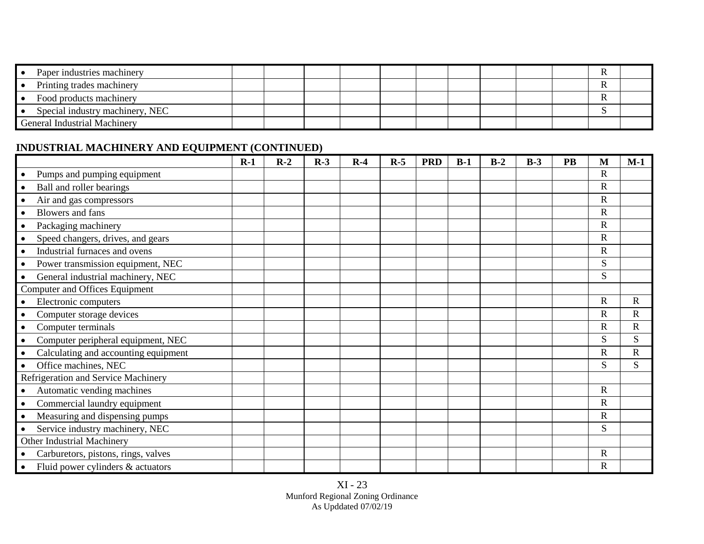| Paper industries machinery          |  |  |  |  |  |  |
|-------------------------------------|--|--|--|--|--|--|
| Printing trades machinery           |  |  |  |  |  |  |
| Food products machinery             |  |  |  |  |  |  |
| Special industry machinery, NEC     |  |  |  |  |  |  |
| <b>General Industrial Machinery</b> |  |  |  |  |  |  |

 $\mathcal{L}_{\mathcal{L}}$ 

# **INDUSTRIAL MACHINERY AND EQUIPMENT (CONTINUED)**

|                                                   | $R-1$ | $R-2$ | $R-3$ | $R-4$ | $R-5$ | <b>PRD</b> | $B-1$ | $B-2$ | $B-3$ | <b>PB</b> | M              | $M-1$       |
|---------------------------------------------------|-------|-------|-------|-------|-------|------------|-------|-------|-------|-----------|----------------|-------------|
| Pumps and pumping equipment<br>$\bullet$          |       |       |       |       |       |            |       |       |       |           | $\mathbf R$    |             |
| Ball and roller bearings<br>$\bullet$             |       |       |       |       |       |            |       |       |       |           | R              |             |
| Air and gas compressors<br>$\bullet$              |       |       |       |       |       |            |       |       |       |           | $\mathbf R$    |             |
| Blowers and fans<br>$\bullet$                     |       |       |       |       |       |            |       |       |       |           | $\mathbf R$    |             |
| Packaging machinery                               |       |       |       |       |       |            |       |       |       |           | $\overline{R}$ |             |
| Speed changers, drives, and gears                 |       |       |       |       |       |            |       |       |       |           | $\mathbf R$    |             |
| Industrial furnaces and ovens                     |       |       |       |       |       |            |       |       |       |           | $\mathbf R$    |             |
| Power transmission equipment, NEC<br>$\bullet$    |       |       |       |       |       |            |       |       |       |           | S              |             |
| General industrial machinery, NEC                 |       |       |       |       |       |            |       |       |       |           | S              |             |
| Computer and Offices Equipment                    |       |       |       |       |       |            |       |       |       |           |                |             |
| Electronic computers<br>$\bullet$                 |       |       |       |       |       |            |       |       |       |           | R              | $\mathbf R$ |
| Computer storage devices                          |       |       |       |       |       |            |       |       |       |           | $\mathsf{R}$   | $\mathbf R$ |
| Computer terminals<br>$\bullet$                   |       |       |       |       |       |            |       |       |       |           | $\mathbf R$    | $\mathbf R$ |
| Computer peripheral equipment, NEC<br>$\bullet$   |       |       |       |       |       |            |       |       |       |           | S              | S           |
| Calculating and accounting equipment<br>$\bullet$ |       |       |       |       |       |            |       |       |       |           | $\mathbf R$    | $\mathbf R$ |
| Office machines, NEC<br>$\bullet$                 |       |       |       |       |       |            |       |       |       |           | S              | S           |
| Refrigeration and Service Machinery               |       |       |       |       |       |            |       |       |       |           |                |             |
| Automatic vending machines<br>$\bullet$           |       |       |       |       |       |            |       |       |       |           | $\mathsf{R}$   |             |
| Commercial laundry equipment<br>$\bullet$         |       |       |       |       |       |            |       |       |       |           | $\mathbf R$    |             |
| Measuring and dispensing pumps<br>$\bullet$       |       |       |       |       |       |            |       |       |       |           | $\mathsf{R}$   |             |
| Service industry machinery, NEC<br>$\bullet$      |       |       |       |       |       |            |       |       |       |           | S              |             |
| Other Industrial Machinery                        |       |       |       |       |       |            |       |       |       |           |                |             |
| Carburetors, pistons, rings, valves<br>$\bullet$  |       |       |       |       |       |            |       |       |       |           | $\mathbf R$    |             |
| Fluid power cylinders & actuators<br>$\bullet$    |       |       |       |       |       |            |       |       |       |           | $\mathbf R$    |             |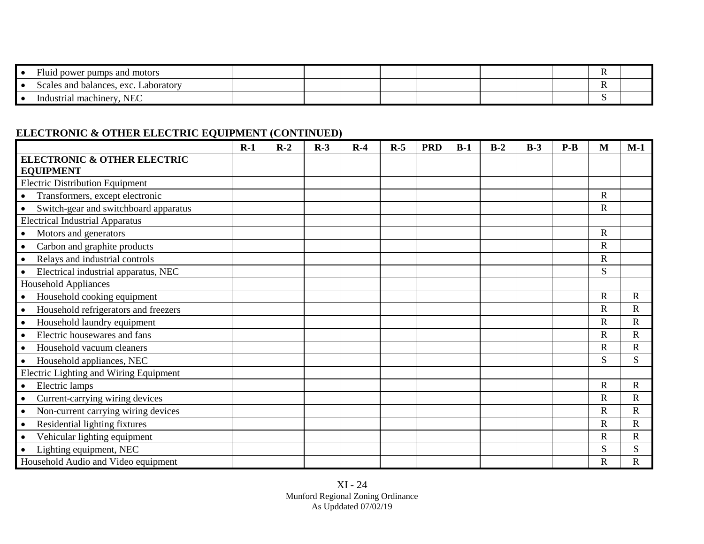| $\blacksquare$<br>Fluid power pumps and motors |  |  |  |  |  |  |
|------------------------------------------------|--|--|--|--|--|--|
| Scales and balances, exc.<br>Laboratory        |  |  |  |  |  |  |
| NEC<br>Industrial machinery                    |  |  |  |  |  |  |

## **ELECTRONIC & OTHER ELECTRIC EQUIPMENT (CONTINUED)**

|                                        | $R-1$ | $R-2$ | $R-3$ | $R-4$ | $R-5$ | <b>PRD</b> | $B-1$ | $B-2$ | $B-3$ | $P-B$ | M            | $M-1$                 |
|----------------------------------------|-------|-------|-------|-------|-------|------------|-------|-------|-------|-------|--------------|-----------------------|
| <b>ELECTRONIC &amp; OTHER ELECTRIC</b> |       |       |       |       |       |            |       |       |       |       |              |                       |
| <b>EQUIPMENT</b>                       |       |       |       |       |       |            |       |       |       |       |              |                       |
| <b>Electric Distribution Equipment</b> |       |       |       |       |       |            |       |       |       |       |              |                       |
| Transformers, except electronic        |       |       |       |       |       |            |       |       |       |       | $\mathbf R$  |                       |
| Switch-gear and switchboard apparatus  |       |       |       |       |       |            |       |       |       |       | $\mathbf R$  |                       |
| <b>Electrical Industrial Apparatus</b> |       |       |       |       |       |            |       |       |       |       |              |                       |
| Motors and generators                  |       |       |       |       |       |            |       |       |       |       | $\mathbf R$  |                       |
| Carbon and graphite products           |       |       |       |       |       |            |       |       |       |       | $\mathbf R$  |                       |
| Relays and industrial controls         |       |       |       |       |       |            |       |       |       |       | $\mathbf R$  |                       |
| Electrical industrial apparatus, NEC   |       |       |       |       |       |            |       |       |       |       | S            |                       |
| <b>Household Appliances</b>            |       |       |       |       |       |            |       |       |       |       |              |                       |
| Household cooking equipment            |       |       |       |       |       |            |       |       |       |       | $\mathbf R$  | $\mathbf R$           |
| Household refrigerators and freezers   |       |       |       |       |       |            |       |       |       |       | $\mathbf R$  | $\mathbf R$           |
| Household laundry equipment            |       |       |       |       |       |            |       |       |       |       | $\mathbf R$  | $\mathbf R$           |
| Electric housewares and fans           |       |       |       |       |       |            |       |       |       |       | $\mathbf R$  | $\mathbf R$           |
| Household vacuum cleaners              |       |       |       |       |       |            |       |       |       |       | $\mathbb{R}$ | $\mathbf R$           |
| Household appliances, NEC              |       |       |       |       |       |            |       |       |       |       | S            | S                     |
| Electric Lighting and Wiring Equipment |       |       |       |       |       |            |       |       |       |       |              |                       |
| Electric lamps                         |       |       |       |       |       |            |       |       |       |       | $\mathbf R$  | $\mathbf R$           |
| Current-carrying wiring devices        |       |       |       |       |       |            |       |       |       |       | $\mathbf R$  | ${\bf R}$             |
| Non-current carrying wiring devices    |       |       |       |       |       |            |       |       |       |       | $\mathbf R$  | $\mathbf R$           |
| Residential lighting fixtures          |       |       |       |       |       |            |       |       |       |       | $\mathbf R$  | $\overline{\text{R}}$ |
| Vehicular lighting equipment           |       |       |       |       |       |            |       |       |       |       | $\mathbf R$  | $\mathbf R$           |
| Lighting equipment, NEC                |       |       |       |       |       |            |       |       |       |       | S            | S                     |
| Household Audio and Video equipment    |       |       |       |       |       |            |       |       |       |       | $\mathbf R$  | $\mathbf R$           |

XI - 24 Munford Regional Zoning Ordinance As Upddated 07/02/19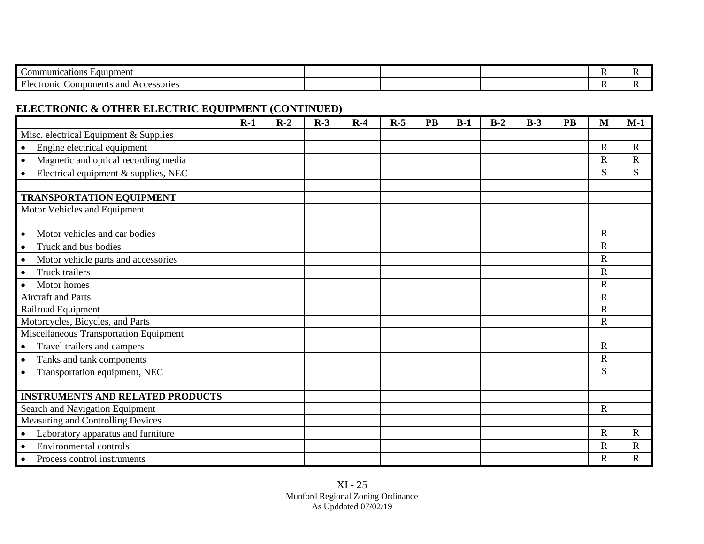| Equipment<br>ications<br>nuni                                                                  |  |  |  |  |  |  |
|------------------------------------------------------------------------------------------------|--|--|--|--|--|--|
| $\mathbf{r}$<br>ano<br>$\gamma$ tronic $\chi$ .<br>Components<br>Accessories<br>ില<br>288011CS |  |  |  |  |  |  |

## **ELECTRONIC & OTHER ELECTRIC EQUIPMENT (CONTINUED)**

|                                                   | $R-1$ | $R-2$ | $R-3$ | $R-4$ | $R-5$ | <b>PB</b> | $B-1$ | $B-2$ | $B-3$ | <b>PB</b> | M            | $M-1$       |
|---------------------------------------------------|-------|-------|-------|-------|-------|-----------|-------|-------|-------|-----------|--------------|-------------|
| Misc. electrical Equipment & Supplies             |       |       |       |       |       |           |       |       |       |           |              |             |
| Engine electrical equipment<br>$\bullet$          |       |       |       |       |       |           |       |       |       |           | $\mathbb{R}$ | $\mathbf R$ |
| Magnetic and optical recording media<br>$\bullet$ |       |       |       |       |       |           |       |       |       |           | $\mathbf R$  | $\mathbf R$ |
| Electrical equipment & supplies, NEC<br>$\bullet$ |       |       |       |       |       |           |       |       |       |           | S            | S           |
|                                                   |       |       |       |       |       |           |       |       |       |           |              |             |
| <b>TRANSPORTATION EQUIPMENT</b>                   |       |       |       |       |       |           |       |       |       |           |              |             |
| Motor Vehicles and Equipment                      |       |       |       |       |       |           |       |       |       |           |              |             |
| Motor vehicles and car bodies<br>$\bullet$        |       |       |       |       |       |           |       |       |       |           | $\mathbf R$  |             |
| Truck and bus bodies<br>$\bullet$                 |       |       |       |       |       |           |       |       |       |           | $\mathbf R$  |             |
| Motor vehicle parts and accessories<br>$\bullet$  |       |       |       |       |       |           |       |       |       |           | $\mathbf R$  |             |
| Truck trailers<br>$\bullet$                       |       |       |       |       |       |           |       |       |       |           | $\mathbf R$  |             |
| Motor homes<br>$\bullet$                          |       |       |       |       |       |           |       |       |       |           | $\mathbf R$  |             |
| <b>Aircraft and Parts</b>                         |       |       |       |       |       |           |       |       |       |           | $\mathbf R$  |             |
| Railroad Equipment                                |       |       |       |       |       |           |       |       |       |           | $\mathbf R$  |             |
| Motorcycles, Bicycles, and Parts                  |       |       |       |       |       |           |       |       |       |           | $\mathbf R$  |             |
| Miscellaneous Transportation Equipment            |       |       |       |       |       |           |       |       |       |           |              |             |
| Travel trailers and campers<br>$\bullet$          |       |       |       |       |       |           |       |       |       |           | $\mathbf R$  |             |
| Tanks and tank components<br>$\bullet$            |       |       |       |       |       |           |       |       |       |           | $\mathbf R$  |             |
| Transportation equipment, NEC<br>$\bullet$        |       |       |       |       |       |           |       |       |       |           | S            |             |
|                                                   |       |       |       |       |       |           |       |       |       |           |              |             |
| <b>INSTRUMENTS AND RELATED PRODUCTS</b>           |       |       |       |       |       |           |       |       |       |           |              |             |
| Search and Navigation Equipment                   |       |       |       |       |       |           |       |       |       |           | $\mathbf R$  |             |
| Measuring and Controlling Devices                 |       |       |       |       |       |           |       |       |       |           |              |             |
| Laboratory apparatus and furniture                |       |       |       |       |       |           |       |       |       |           | $\mathbb{R}$ | $\mathbf R$ |
| Environmental controls                            |       |       |       |       |       |           |       |       |       |           | $\mathbf R$  | $\mathbf R$ |
| Process control instruments<br>$\bullet$          |       |       |       |       |       |           |       |       |       |           | ${\bf R}$    | $\mathbf R$ |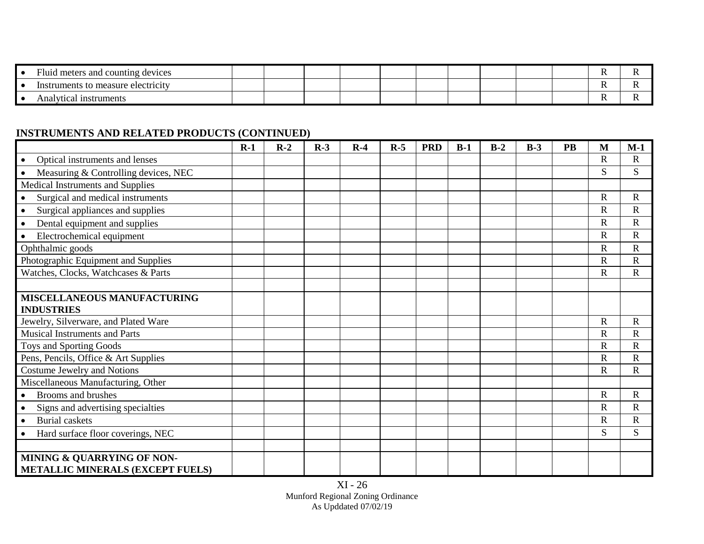| $\mathbf{r}$<br>- Fluid<br>d meters and counting devices |  |  |  |  |  |  |
|----------------------------------------------------------|--|--|--|--|--|--|
| ; to measure electricity<br>Instruments                  |  |  |  |  |  |  |
| Analytical instruments                                   |  |  |  |  |  |  |

## **INSTRUMENTS AND RELATED PRODUCTS (CONTINUED)**

|                                                | $R-1$ | $R-2$ | $R-3$ | $R-4$ | $R-5$ | <b>PRD</b> | $B-1$ | $B-2$ | $B-3$ | PB | M                     | $M-1$                 |
|------------------------------------------------|-------|-------|-------|-------|-------|------------|-------|-------|-------|----|-----------------------|-----------------------|
| Optical instruments and lenses                 |       |       |       |       |       |            |       |       |       |    | $\mathbf R$           | $\mathbf R$           |
| Measuring & Controlling devices, NEC           |       |       |       |       |       |            |       |       |       |    | S                     | S                     |
| Medical Instruments and Supplies               |       |       |       |       |       |            |       |       |       |    |                       |                       |
| Surgical and medical instruments               |       |       |       |       |       |            |       |       |       |    | $\mathbf R$           | $\mathbf R$           |
| Surgical appliances and supplies               |       |       |       |       |       |            |       |       |       |    | $\mathsf{R}$          | $\mathbf R$           |
| Dental equipment and supplies<br>$\bullet$     |       |       |       |       |       |            |       |       |       |    | $\mathbf R$           | $\mathbf R$           |
| Electrochemical equipment                      |       |       |       |       |       |            |       |       |       |    | $\mathbf R$           | $\mathbf R$           |
| Ophthalmic goods                               |       |       |       |       |       |            |       |       |       |    | $\overline{\text{R}}$ | $\overline{\text{R}}$ |
| Photographic Equipment and Supplies            |       |       |       |       |       |            |       |       |       |    | $\overline{\text{R}}$ | $\overline{\text{R}}$ |
| Watches, Clocks, Watchcases & Parts            |       |       |       |       |       |            |       |       |       |    | $\mathsf{R}$          | $\mathbf R$           |
|                                                |       |       |       |       |       |            |       |       |       |    |                       |                       |
| <b>MISCELLANEOUS MANUFACTURING</b>             |       |       |       |       |       |            |       |       |       |    |                       |                       |
| <b>INDUSTRIES</b>                              |       |       |       |       |       |            |       |       |       |    |                       |                       |
| Jewelry, Silverware, and Plated Ware           |       |       |       |       |       |            |       |       |       |    | R                     | $\mathbf R$           |
| <b>Musical Instruments and Parts</b>           |       |       |       |       |       |            |       |       |       |    | $\mathbf R$           | $\overline{\text{R}}$ |
| Toys and Sporting Goods                        |       |       |       |       |       |            |       |       |       |    | $\overline{\text{R}}$ | $\mathbf R$           |
| Pens, Pencils, Office & Art Supplies           |       |       |       |       |       |            |       |       |       |    | $\mathbf R$           | $\mathbf R$           |
| <b>Costume Jewelry and Notions</b>             |       |       |       |       |       |            |       |       |       |    | $\overline{R}$        | $\overline{\text{R}}$ |
| Miscellaneous Manufacturing, Other             |       |       |       |       |       |            |       |       |       |    |                       |                       |
| Brooms and brushes<br>$\bullet$                |       |       |       |       |       |            |       |       |       |    | $\mathbf R$           | $\mathbf R$           |
| Signs and advertising specialties              |       |       |       |       |       |            |       |       |       |    | $\mathbf R$           | $\overline{\text{R}}$ |
| <b>Burial</b> caskets<br>$\bullet$             |       |       |       |       |       |            |       |       |       |    | $\overline{R}$        | ${\bf R}$             |
| Hard surface floor coverings, NEC<br>$\bullet$ |       |       |       |       |       |            |       |       |       |    | S                     | S                     |
|                                                |       |       |       |       |       |            |       |       |       |    |                       |                       |
| MINING & QUARRYING OF NON-                     |       |       |       |       |       |            |       |       |       |    |                       |                       |
| METALLIC MINERALS (EXCEPT FUELS)               |       |       |       |       |       |            |       |       |       |    |                       |                       |

XI - 26 Munford Regional Zoning Ordinance As Upddated 07/02/19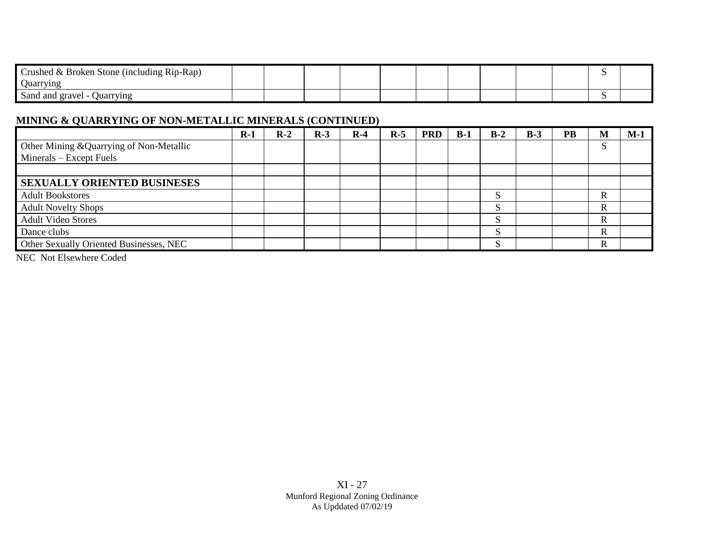| $\sqrt{ }$<br>t Broken Stone (including Rip-Rap)<br>rusned & |  |  |  |  |  |  |
|--------------------------------------------------------------|--|--|--|--|--|--|
| Quarrying                                                    |  |  |  |  |  |  |
| <b>Ouarrying</b><br>Sand and<br>l gravel                     |  |  |  |  |  |  |

### **MINING & QUARRYING OF NON-METALLIC MINERALS (CONTINUED)**

| <b>PRD</b><br>$B-1$ | $B-2$          | $B-3$ | <b>PB</b> | M           | $M-1$ |
|---------------------|----------------|-------|-----------|-------------|-------|
|                     |                |       |           |             |       |
|                     |                |       |           |             |       |
|                     |                |       |           |             |       |
|                     |                |       |           |             |       |
|                     | S              |       |           | R           |       |
|                     | S              |       |           | $\mathbf R$ |       |
|                     | ຕ<br><b>د،</b> |       |           | R           |       |
|                     | S              |       |           | R           |       |
|                     | $\mathbf{C}$   |       |           | R           |       |
|                     |                |       |           |             |       |

NEC Not Elsewhere Coded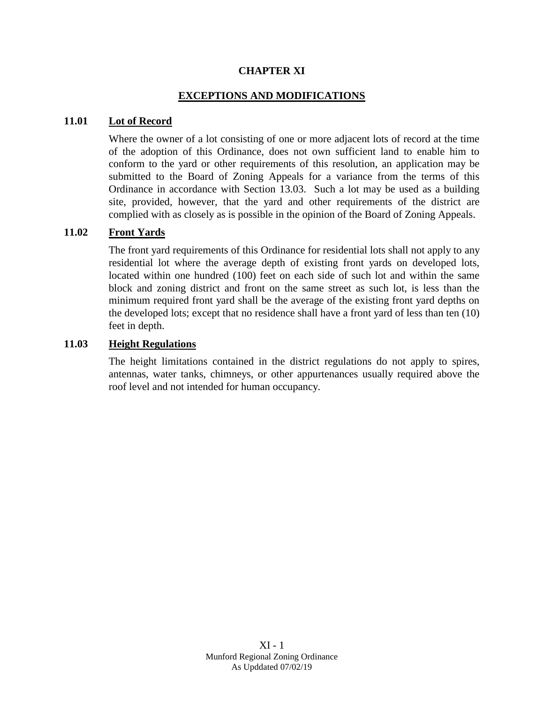#### **CHAPTER XI**

#### **EXCEPTIONS AND MODIFICATIONS**

#### **11.01 Lot of Record**

Where the owner of a lot consisting of one or more adjacent lots of record at the time of the adoption of this Ordinance, does not own sufficient land to enable him to conform to the yard or other requirements of this resolution, an application may be submitted to the Board of Zoning Appeals for a variance from the terms of this Ordinance in accordance with Section 13.03. Such a lot may be used as a building site, provided, however, that the yard and other requirements of the district are complied with as closely as is possible in the opinion of the Board of Zoning Appeals.

#### **11.02 Front Yards**

The front yard requirements of this Ordinance for residential lots shall not apply to any residential lot where the average depth of existing front yards on developed lots, located within one hundred (100) feet on each side of such lot and within the same block and zoning district and front on the same street as such lot, is less than the minimum required front yard shall be the average of the existing front yard depths on the developed lots; except that no residence shall have a front yard of less than ten (10) feet in depth.

#### **11.03 Height Regulations**

The height limitations contained in the district regulations do not apply to spires, antennas, water tanks, chimneys, or other appurtenances usually required above the roof level and not intended for human occupancy.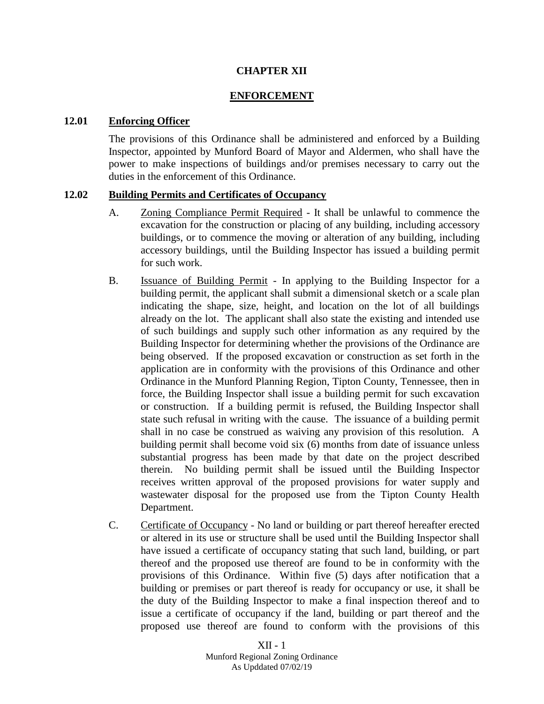#### **CHAPTER XII**

#### **ENFORCEMENT**

#### **12.01 Enforcing Officer**

The provisions of this Ordinance shall be administered and enforced by a Building Inspector, appointed by Munford Board of Mayor and Aldermen, who shall have the power to make inspections of buildings and/or premises necessary to carry out the duties in the enforcement of this Ordinance.

#### **12.02 Building Permits and Certificates of Occupancy**

- A. Zoning Compliance Permit Required It shall be unlawful to commence the excavation for the construction or placing of any building, including accessory buildings, or to commence the moving or alteration of any building, including accessory buildings, until the Building Inspector has issued a building permit for such work.
- B. Issuance of Building Permit In applying to the Building Inspector for a building permit, the applicant shall submit a dimensional sketch or a scale plan indicating the shape, size, height, and location on the lot of all buildings already on the lot. The applicant shall also state the existing and intended use of such buildings and supply such other information as any required by the Building Inspector for determining whether the provisions of the Ordinance are being observed. If the proposed excavation or construction as set forth in the application are in conformity with the provisions of this Ordinance and other Ordinance in the Munford Planning Region, Tipton County, Tennessee, then in force, the Building Inspector shall issue a building permit for such excavation or construction. If a building permit is refused, the Building Inspector shall state such refusal in writing with the cause. The issuance of a building permit shall in no case be construed as waiving any provision of this resolution. A building permit shall become void six (6) months from date of issuance unless substantial progress has been made by that date on the project described therein. No building permit shall be issued until the Building Inspector receives written approval of the proposed provisions for water supply and wastewater disposal for the proposed use from the Tipton County Health Department.
- C. Certificate of Occupancy No land or building or part thereof hereafter erected or altered in its use or structure shall be used until the Building Inspector shall have issued a certificate of occupancy stating that such land, building, or part thereof and the proposed use thereof are found to be in conformity with the provisions of this Ordinance. Within five (5) days after notification that a building or premises or part thereof is ready for occupancy or use, it shall be the duty of the Building Inspector to make a final inspection thereof and to issue a certificate of occupancy if the land, building or part thereof and the proposed use thereof are found to conform with the provisions of this

XII - 1 Munford Regional Zoning Ordinance As Upddated 07/02/19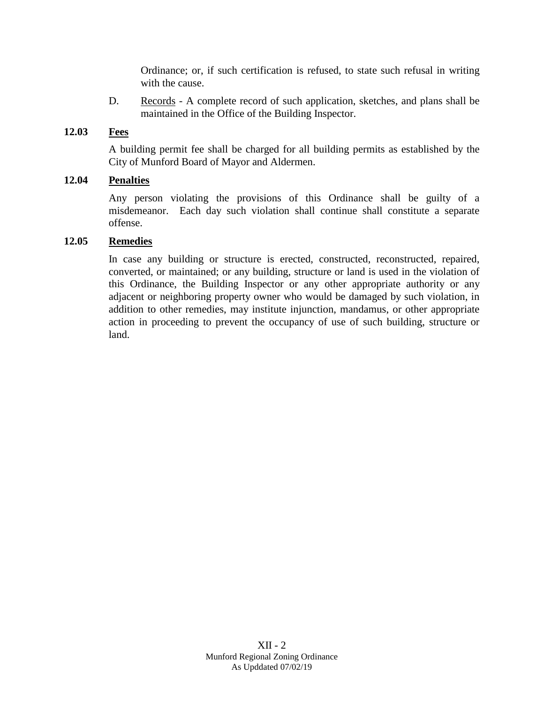Ordinance; or, if such certification is refused, to state such refusal in writing with the cause.

D. Records - A complete record of such application, sketches, and plans shall be maintained in the Office of the Building Inspector.

#### **12.03 Fees**

A building permit fee shall be charged for all building permits as established by the City of Munford Board of Mayor and Aldermen.

#### **12.04 Penalties**

Any person violating the provisions of this Ordinance shall be guilty of a misdemeanor. Each day such violation shall continue shall constitute a separate offense.

#### **12.05 Remedies**

In case any building or structure is erected, constructed, reconstructed, repaired, converted, or maintained; or any building, structure or land is used in the violation of this Ordinance, the Building Inspector or any other appropriate authority or any adjacent or neighboring property owner who would be damaged by such violation, in addition to other remedies, may institute injunction, mandamus, or other appropriate action in proceeding to prevent the occupancy of use of such building, structure or land.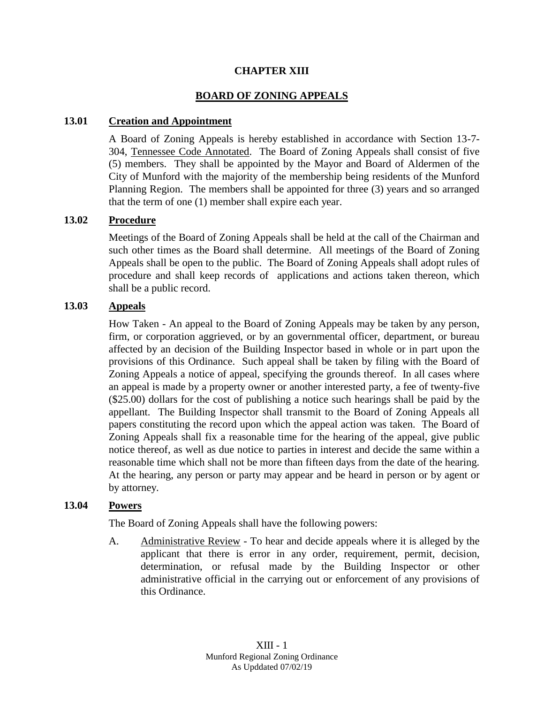#### **CHAPTER XIII**

#### **BOARD OF ZONING APPEALS**

#### **13.01 Creation and Appointment**

A Board of Zoning Appeals is hereby established in accordance with Section 13-7- 304, Tennessee Code Annotated. The Board of Zoning Appeals shall consist of five (5) members. They shall be appointed by the Mayor and Board of Aldermen of the City of Munford with the majority of the membership being residents of the Munford Planning Region. The members shall be appointed for three (3) years and so arranged that the term of one (1) member shall expire each year.

#### **13.02 Procedure**

Meetings of the Board of Zoning Appeals shall be held at the call of the Chairman and such other times as the Board shall determine. All meetings of the Board of Zoning Appeals shall be open to the public. The Board of Zoning Appeals shall adopt rules of procedure and shall keep records of applications and actions taken thereon, which shall be a public record.

#### **13.03 Appeals**

How Taken - An appeal to the Board of Zoning Appeals may be taken by any person, firm, or corporation aggrieved, or by an governmental officer, department, or bureau affected by an decision of the Building Inspector based in whole or in part upon the provisions of this Ordinance. Such appeal shall be taken by filing with the Board of Zoning Appeals a notice of appeal, specifying the grounds thereof. In all cases where an appeal is made by a property owner or another interested party, a fee of twenty-five (\$25.00) dollars for the cost of publishing a notice such hearings shall be paid by the appellant. The Building Inspector shall transmit to the Board of Zoning Appeals all papers constituting the record upon which the appeal action was taken. The Board of Zoning Appeals shall fix a reasonable time for the hearing of the appeal, give public notice thereof, as well as due notice to parties in interest and decide the same within a reasonable time which shall not be more than fifteen days from the date of the hearing. At the hearing, any person or party may appear and be heard in person or by agent or by attorney.

#### **13.04 Powers**

The Board of Zoning Appeals shall have the following powers:

A. Administrative Review - To hear and decide appeals where it is alleged by the applicant that there is error in any order, requirement, permit, decision, determination, or refusal made by the Building Inspector or other administrative official in the carrying out or enforcement of any provisions of this Ordinance.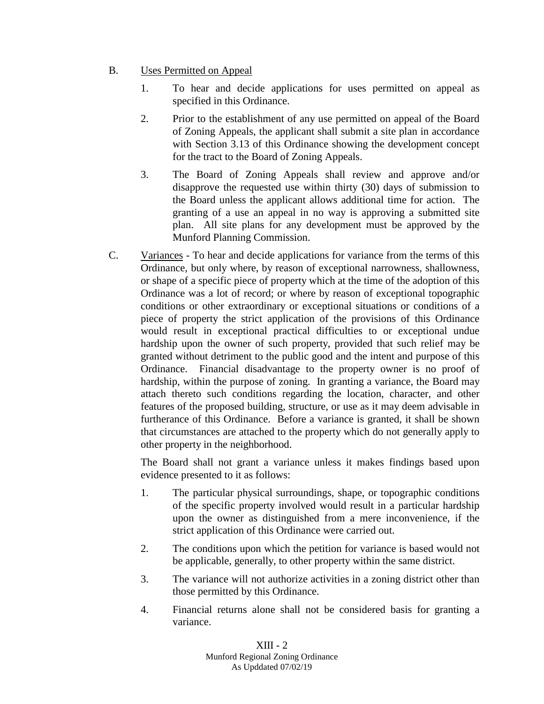- B. Uses Permitted on Appeal
	- 1. To hear and decide applications for uses permitted on appeal as specified in this Ordinance.
	- 2. Prior to the establishment of any use permitted on appeal of the Board of Zoning Appeals, the applicant shall submit a site plan in accordance with Section 3.13 of this Ordinance showing the development concept for the tract to the Board of Zoning Appeals.
	- 3. The Board of Zoning Appeals shall review and approve and/or disapprove the requested use within thirty (30) days of submission to the Board unless the applicant allows additional time for action. The granting of a use an appeal in no way is approving a submitted site plan. All site plans for any development must be approved by the Munford Planning Commission.
- C. Variances To hear and decide applications for variance from the terms of this Ordinance, but only where, by reason of exceptional narrowness, shallowness, or shape of a specific piece of property which at the time of the adoption of this Ordinance was a lot of record; or where by reason of exceptional topographic conditions or other extraordinary or exceptional situations or conditions of a piece of property the strict application of the provisions of this Ordinance would result in exceptional practical difficulties to or exceptional undue hardship upon the owner of such property, provided that such relief may be granted without detriment to the public good and the intent and purpose of this Ordinance. Financial disadvantage to the property owner is no proof of hardship, within the purpose of zoning. In granting a variance, the Board may attach thereto such conditions regarding the location, character, and other features of the proposed building, structure, or use as it may deem advisable in furtherance of this Ordinance. Before a variance is granted, it shall be shown that circumstances are attached to the property which do not generally apply to other property in the neighborhood.

The Board shall not grant a variance unless it makes findings based upon evidence presented to it as follows:

- 1. The particular physical surroundings, shape, or topographic conditions of the specific property involved would result in a particular hardship upon the owner as distinguished from a mere inconvenience, if the strict application of this Ordinance were carried out.
- 2. The conditions upon which the petition for variance is based would not be applicable, generally, to other property within the same district.
- 3. The variance will not authorize activities in a zoning district other than those permitted by this Ordinance.
- 4. Financial returns alone shall not be considered basis for granting a variance.

XIII - 2 Munford Regional Zoning Ordinance As Upddated 07/02/19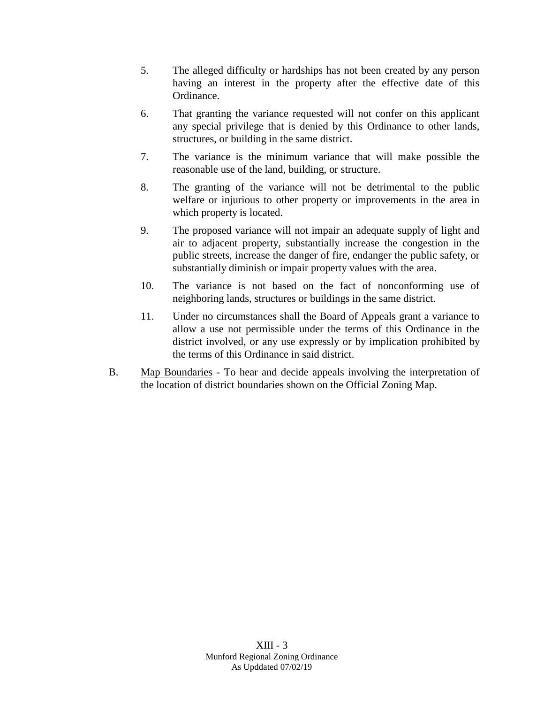- 5. The alleged difficulty or hardships has not been created by any person having an interest in the property after the effective date of this Ordinance.
- 6. That granting the variance requested will not confer on this applicant any special privilege that is denied by this Ordinance to other lands, structures, or building in the same district.
- 7. The variance is the minimum variance that will make possible the reasonable use of the land, building, or structure.
- 8. The granting of the variance will not be detrimental to the public welfare or injurious to other property or improvements in the area in which property is located.
- 9. The proposed variance will not impair an adequate supply of light and air to adjacent property, substantially increase the congestion in the public streets, increase the danger of fire, endanger the public safety, or substantially diminish or impair property values with the area.
- 10. The variance is not based on the fact of nonconforming use of neighboring lands, structures or buildings in the same district.
- 11. Under no circumstances shall the Board of Appeals grant a variance to allow a use not permissible under the terms of this Ordinance in the district involved, or any use expressly or by implication prohibited by the terms of this Ordinance in said district.
- B. Map Boundaries To hear and decide appeals involving the interpretation of the location of district boundaries shown on the Official Zoning Map.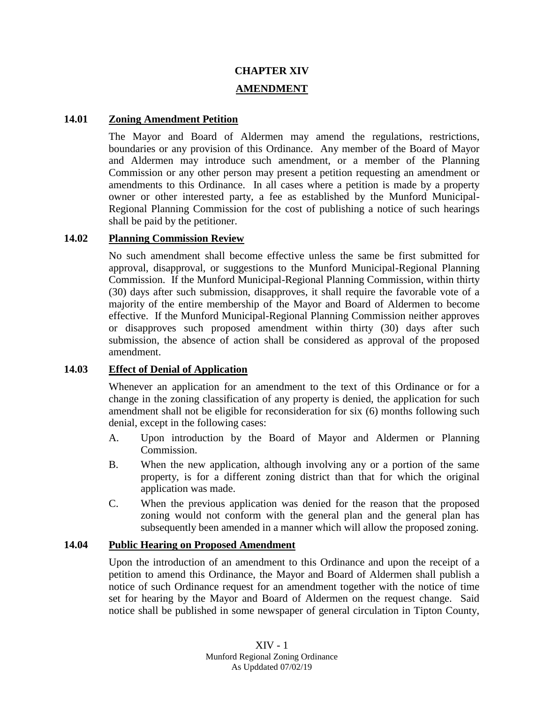# **CHAPTER XIV AMENDMENT**

#### **14.01 Zoning Amendment Petition**

The Mayor and Board of Aldermen may amend the regulations, restrictions, boundaries or any provision of this Ordinance. Any member of the Board of Mayor and Aldermen may introduce such amendment, or a member of the Planning Commission or any other person may present a petition requesting an amendment or amendments to this Ordinance. In all cases where a petition is made by a property owner or other interested party, a fee as established by the Munford Municipal-Regional Planning Commission for the cost of publishing a notice of such hearings shall be paid by the petitioner.

#### **14.02 Planning Commission Review**

No such amendment shall become effective unless the same be first submitted for approval, disapproval, or suggestions to the Munford Municipal-Regional Planning Commission. If the Munford Municipal-Regional Planning Commission, within thirty (30) days after such submission, disapproves, it shall require the favorable vote of a majority of the entire membership of the Mayor and Board of Aldermen to become effective. If the Munford Municipal-Regional Planning Commission neither approves or disapproves such proposed amendment within thirty (30) days after such submission, the absence of action shall be considered as approval of the proposed amendment.

### **14.03 Effect of Denial of Application**

Whenever an application for an amendment to the text of this Ordinance or for a change in the zoning classification of any property is denied, the application for such amendment shall not be eligible for reconsideration for six (6) months following such denial, except in the following cases:

- A. Upon introduction by the Board of Mayor and Aldermen or Planning Commission.
- B. When the new application, although involving any or a portion of the same property, is for a different zoning district than that for which the original application was made.
- C. When the previous application was denied for the reason that the proposed zoning would not conform with the general plan and the general plan has subsequently been amended in a manner which will allow the proposed zoning.

#### **14.04 Public Hearing on Proposed Amendment**

Upon the introduction of an amendment to this Ordinance and upon the receipt of a petition to amend this Ordinance, the Mayor and Board of Aldermen shall publish a notice of such Ordinance request for an amendment together with the notice of time set for hearing by the Mayor and Board of Aldermen on the request change. Said notice shall be published in some newspaper of general circulation in Tipton County,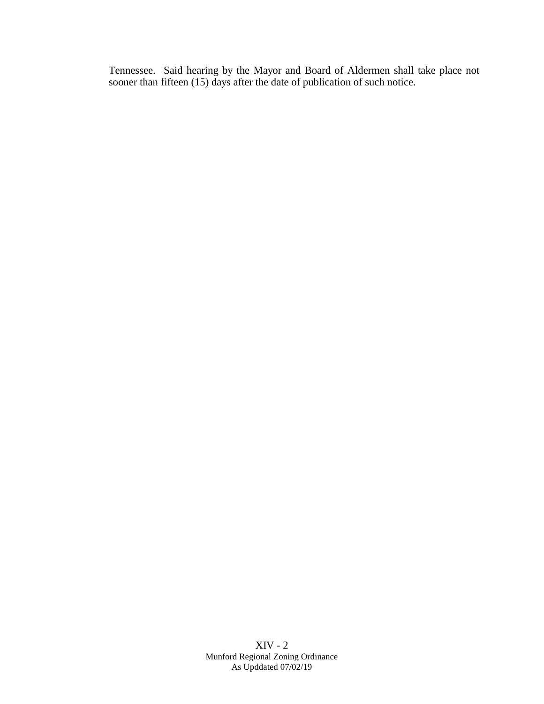Tennessee. Said hearing by the Mayor and Board of Aldermen shall take place not sooner than fifteen (15) days after the date of publication of such notice.

> XIV - 2 Munford Regional Zoning Ordinance As Upddated 07/02/19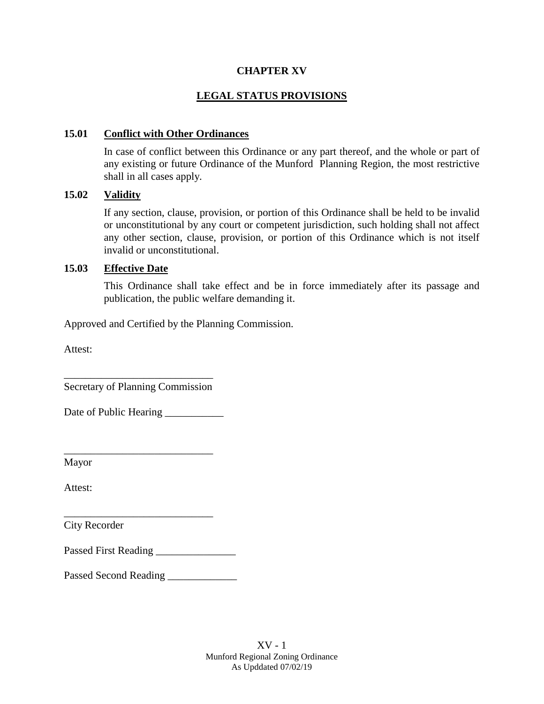### **CHAPTER XV**

## **LEGAL STATUS PROVISIONS**

### **15.01 Conflict with Other Ordinances**

In case of conflict between this Ordinance or any part thereof, and the whole or part of any existing or future Ordinance of the Munford Planning Region, the most restrictive shall in all cases apply.

### **15.02 Validity**

If any section, clause, provision, or portion of this Ordinance shall be held to be invalid or unconstitutional by any court or competent jurisdiction, such holding shall not affect any other section, clause, provision, or portion of this Ordinance which is not itself invalid or unconstitutional.

### **15.03 Effective Date**

This Ordinance shall take effect and be in force immediately after its passage and publication, the public welfare demanding it.

Approved and Certified by the Planning Commission.

Attest:

\_\_\_\_\_\_\_\_\_\_\_\_\_\_\_\_\_\_\_\_\_\_\_\_\_\_\_\_ Secretary of Planning Commission

Date of Public Hearing

\_\_\_\_\_\_\_\_\_\_\_\_\_\_\_\_\_\_\_\_\_\_\_\_\_\_\_\_

\_\_\_\_\_\_\_\_\_\_\_\_\_\_\_\_\_\_\_\_\_\_\_\_\_\_\_\_

Mayor

Attest:

City Recorder

Passed First Reading \_\_\_\_\_\_\_\_\_\_\_\_\_\_\_

Passed Second Reading \_\_\_\_\_\_\_\_\_\_\_\_\_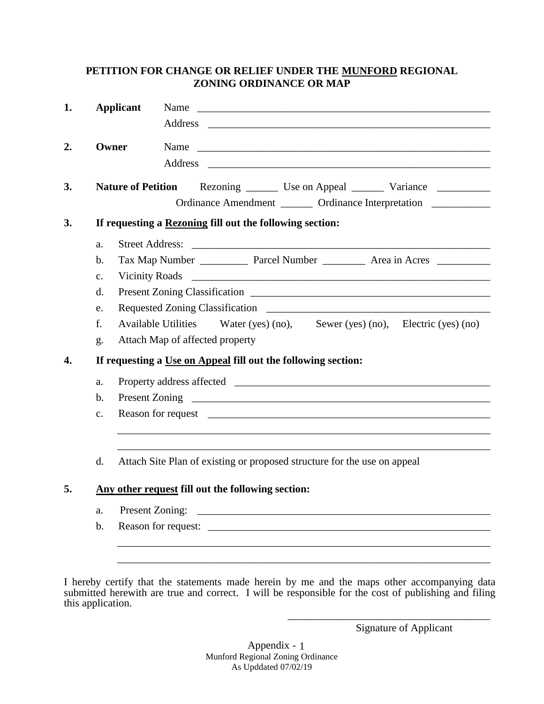## **PETITION FOR CHANGE OR RELIEF UNDER THE MUNFORD REGIONAL ZONING ORDINANCE OR MAP**

| 1. |                                                               | <b>Applicant</b>          | Name<br><u> Alexandria de la contrada de la contrada de la contrada de la contrada de la contrada de la contrada de la c</u> |  |  |  |  |  |  |  |  |  |
|----|---------------------------------------------------------------|---------------------------|------------------------------------------------------------------------------------------------------------------------------|--|--|--|--|--|--|--|--|--|
| 2. | Owner                                                         |                           | Name                                                                                                                         |  |  |  |  |  |  |  |  |  |
| 3. |                                                               | <b>Nature of Petition</b> | Ordinance Amendment ________ Ordinance Interpretation __________                                                             |  |  |  |  |  |  |  |  |  |
| 3. |                                                               |                           | If requesting a Rezoning fill out the following section:                                                                     |  |  |  |  |  |  |  |  |  |
|    | a.                                                            | <b>Street Address:</b>    | <u> 2002 - Jan James James Barnett, fransk politik (d. 1882)</u>                                                             |  |  |  |  |  |  |  |  |  |
|    | $\mathbf b$ .                                                 |                           |                                                                                                                              |  |  |  |  |  |  |  |  |  |
|    | $C_{\bullet}$                                                 | <b>Vicinity Roads</b>     |                                                                                                                              |  |  |  |  |  |  |  |  |  |
|    | d.                                                            |                           |                                                                                                                              |  |  |  |  |  |  |  |  |  |
|    | e.                                                            |                           |                                                                                                                              |  |  |  |  |  |  |  |  |  |
|    | f.                                                            |                           | <b>Available Utilities</b><br>Water (yes) $(no)$ , Sewer (yes) $(no)$ , Electric (yes) $(no)$                                |  |  |  |  |  |  |  |  |  |
|    | g.                                                            |                           | Attach Map of affected property                                                                                              |  |  |  |  |  |  |  |  |  |
| 4. | If requesting a Use on Appeal fill out the following section: |                           |                                                                                                                              |  |  |  |  |  |  |  |  |  |
|    | a.                                                            |                           |                                                                                                                              |  |  |  |  |  |  |  |  |  |
|    | $\mathbf b$ .                                                 |                           |                                                                                                                              |  |  |  |  |  |  |  |  |  |
|    | c.                                                            |                           |                                                                                                                              |  |  |  |  |  |  |  |  |  |
|    | d.                                                            |                           | Attach Site Plan of existing or proposed structure for the use on appeal                                                     |  |  |  |  |  |  |  |  |  |
| 5. |                                                               |                           | Any other request fill out the following section:                                                                            |  |  |  |  |  |  |  |  |  |
|    | a.                                                            |                           | Present Zoning:                                                                                                              |  |  |  |  |  |  |  |  |  |
|    | $\mathbf b$ .                                                 |                           |                                                                                                                              |  |  |  |  |  |  |  |  |  |
|    |                                                               |                           |                                                                                                                              |  |  |  |  |  |  |  |  |  |

I hereby certify that the statements made herein by me and the maps other accompanying data submitted herewith are true and correct. I will be responsible for the cost of publishing and filing this application.

Signature of Applicant

\_\_\_\_\_\_\_\_\_\_\_\_\_\_\_\_\_\_\_\_\_\_\_\_\_\_\_\_\_\_\_\_\_\_\_\_\_\_

Appendix - Munford Regional Zoning Ordinance As Upddated 07/02/19 1